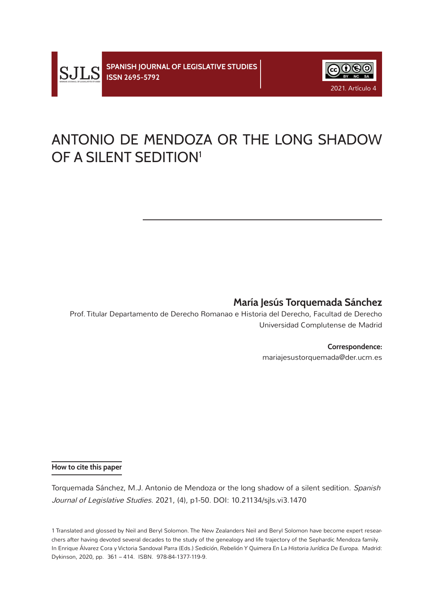

# ANTONIO DE MENDOZA OR THE LONG SHADOW OF A SILENT SEDITION<sup>1</sup>

## **María Jesús Torquemada Sánchez**

 Prof. Titular Departamento de Derecho Romanao e Historia del Derecho, Facultad de Derecho Universidad Complutense de Madrid

#### **Correspondence:**

mariajesustorquemada@der.ucm.es

#### **How to cite this paper**

Torquemada Sánchez, M.J. Antonio de Mendoza or the long shadow of a silent sedition. Spanish Journal of Legislative Studies. 2021, (4), p1-50. DOI: 10.21134/sjls.vi3.1470

1 Translated and glossed by Neil and Beryl Solomon. The New Zealanders Neil and Beryl Solomon have become expert researchers after having devoted several decades to the study of the genealogy and life trajectory of the Sephardic Mendoza family. In Enrique Álvarez Cora y Victoria Sandoval Parra (Eds.) *Sedición, Rebelión Y Quimera En La Historia Jurídica De Europa.* Madrid: Dykinson, 2020, pp. 361 – 414. ISBN. 978-84-1377-119-9.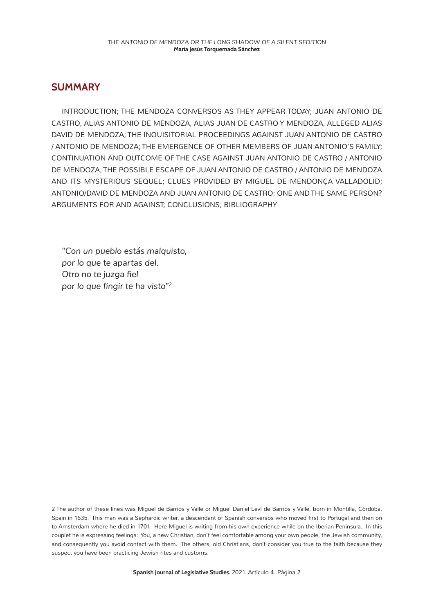#### **SUMMARY**

INTRODUCTION; THE MENDOZA CONVERSOS AS THEY APPEAR TODAY; JUAN ANTONIO DE CASTRO, ALIAS ANTONIO DE MENDOZA, ALIAS JUAN DE CASTRO Y MENDOZA, ALLEGED ALIAS DAVID DE MENDOZA; THE INQUISITORIAL PROCEEDINGS AGAINST JUAN ANTONIO DE CASTRO / ANTONIO DE MENDOZA; THE EMERGENCE OF OTHER MEMBERS OF JUAN ANTONIO'S FAMILY; CONTINUATION AND OUTCOME OF THE CASE AGAINST JUAN ANTONIO DE CASTRO / ANTONIO DE MENDOZA; THE POSSIBLE ESCAPE OF JUAN ANTONIO DE CASTRO / ANTONIO DE MENDOZA AND ITS MYSTERIOUS SEQUEL; CLUES PROVIDED BY MIGUEL DE MENDONÇA VALLADOLID; ANTONIO/DAVID DE MENDOZA AND JUAN ANTONIO DE CASTRO: ONE AND THE SAME PERSON? ARGUMENTS FOR AND AGAINST; CONCLUSIONS; BIBLIOGRAPHY

*"Con un pueblo estás malquisto, por lo que te apartas del. Otro no te juzga fiel por lo que fingir te ha visto"2* 

2 The author of these lines was Miguel de Barrios y Valle or Miguel Daniel Leví de Barrios y Valle, born in Montilla, Córdoba, Spain in 1635. This man was a Sephardic writer, a descendant of Spanish conversos who moved first to Portugal and then on to Amsterdam where he died in 1701. Here Miguel is writing from his own experience while on the Iberian Peninsula. In this couplet he is expressing feelings: You, a new Christian, don't feel comfortable among your own people, the Jewish community, and consequently you avoid contact with them. The others, old Christians, don't consider you true to the faith because they suspect you have been practicing Jewish rites and customs.

**Spanish Journal of Legislative Studies.** 2021. Artículo 4. Página 2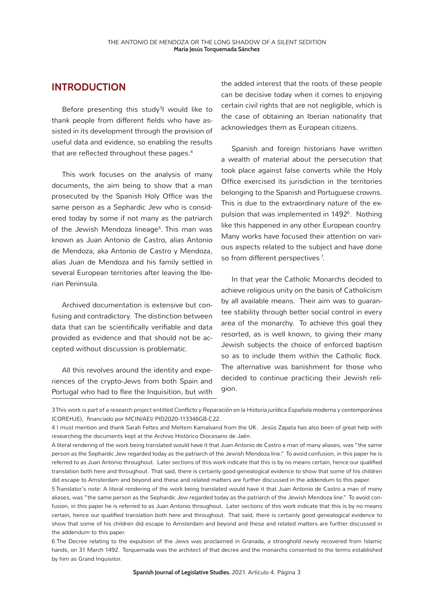#### **INTRODUCTION**

Before presenting this study<sup>3</sup>l would like to thank people from different fields who have assisted in its development through the provision of useful data and evidence, so enabling the results that are reflected throughout these pages.<sup>4</sup>

This work focuses on the analysis of many documents, the aim being to show that a man prosecuted by the Spanish Holy Office was the same person as a Sephardic Jew who is considered today by some if not many as the patriarch of the Jewish Mendoza lineage<sup>5</sup>. This man was known as Juan Antonio de Castro, alias Antonio de Mendoza, aka Antonio de Castro y Mendoza, alias Juan de Mendoza and his family settled in several European territories after leaving the Iberian Peninsula.

Archived documentation is extensive but confusing and contradictory. The distinction between data that can be scientifically verifiable and data provided as evidence and that should not be accepted without discussion is problematic.

All this revolves around the identity and experiences of the crypto-Jews from both Spain and Portugal who had to flee the Inquisition, but with the added interest that the roots of these people can be decisive today when it comes to enjoying certain civil rights that are not negligible, which is the case of obtaining an Iberian nationality that acknowledges them as European citizens.

Spanish and foreign historians have written a wealth of material about the persecution that took place against false converts while the Holy Office exercised its jurisdiction in the territories belonging to the Spanish and Portuguese crowns. This is due to the extraordinary nature of the expulsion that was implemented in 1492<sup>6</sup>. Nothing like this happened in any other European country. Many works have focused their attention on various aspects related to the subject and have done so from different perspectives 7.

In that year the Catholic Monarchs decided to achieve religious unity on the basis of Catholicism by all available means. Their aim was to guarantee stability through better social control in every area of the monarchy. To achieve this goal they resorted, as is well known, to giving their many Jewish subjects the choice of enforced baptism so as to include them within the Catholic flock. The alternative was banishment for those who decided to continue practicing their Jewish religion.

3 This work is part of a research project entitled *Conflicto y Reparación en la Historia jurídica Española moderna y contemporánea* (COREHJE), financiado por MCIN/AEI/ PID2020-113346GB-C22.

5 Translator´s note: A literal rendering of the work being translated would have it that Juan Antonio de Castro a man of many aliases, was "the same person as the Sephardic Jew regarded today as the patriarch of the Jewish Mendoza line." To avoid confusion, in this paper he is referred to as Juan Antonio throughout. Later sections of this work indicate that this is by no means certain, hence our qualified translation both here and throughout. That said, there is certainly good genealogical evidence to show that some of his children did escape to Amsterdam and beyond and these and related matters are further discussed in the addendum to this paper.

6 The Decree relating to the expulsion of the Jews was proclaimed in Granada, a stronghold newly recovered from Islamic hands, on 31 March 1492. Torquemada was the architect of that decree and the monarchs consented to the terms established by him as Grand Inquisitor.

**Spanish Journal of Legislative Studies.** 2021. Artículo 4. Página 3

<sup>4</sup> I must mention and thank Sarah Feltes and Meltem Kamalvand from the UK. Jesús Zapata has also been of great help with researching the documents kept at the Archivo Histórico Diocesano de Jaén.

A literal rendering of the work being translated would have it that Juan Antonio de Castro a man of many aliases, was "the same person as the Sephardic Jew regarded today as the patriarch of the Jewish Mendoza line." To avoid confusion, in this paper he is referred to as Juan Antonio throughout. Later sections of this work indicate that this is by no means certain, hence our qualified translation both here and throughout. That said, there is certainly good genealogical evidence to show that some of his children did escape to Amsterdam and beyond and these and related matters are further discussed in the addendum to this paper.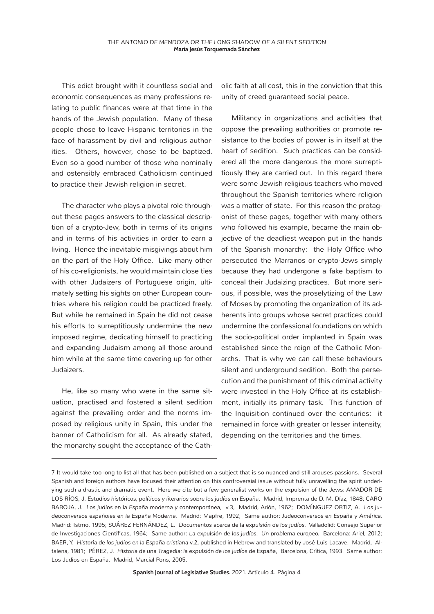This edict brought with it countless social and economic consequences as many professions relating to public finances were at that time in the hands of the Jewish population. Many of these people chose to leave Hispanic territories in the face of harassment by civil and religious authorities. Others, however, chose to be baptized. Even so a good number of those who nominally and ostensibly embraced Catholicism continued to practice their Jewish religion in secret.

The character who plays a pivotal role throughout these pages answers to the classical description of a crypto-Jew, both in terms of its origins and in terms of his activities in order to earn a living. Hence the inevitable misgivings about him on the part of the Holy Office. Like many other of his co-religionists, he would maintain close ties with other Judaizers of Portuguese origin, ultimately setting his sights on other European countries where his religion could be practiced freely. But while he remained in Spain he did not cease his efforts to surreptitiously undermine the new imposed regime, dedicating himself to practicing and expanding Judaism among all those around him while at the same time covering up for other Judaizers.

He, like so many who were in the same situation, practised and fostered a silent sedition against the prevailing order and the norms imposed by religious unity in Spain, this under the banner of Catholicism for all. As already stated, the monarchy sought the acceptance of the Catholic faith at all cost, this in the conviction that this unity of creed guaranteed social peace.

Militancy in organizations and activities that oppose the prevailing authorities or promote resistance to the bodies of power is in itself at the heart of sedition. Such practices can be considered all the more dangerous the more surreptitiously they are carried out. In this regard there were some Jewish religious teachers who moved throughout the Spanish territories where religion was a matter of state. For this reason the protagonist of these pages, together with many others who followed his example, became the main objective of the deadliest weapon put in the hands of the Spanish monarchy: the Holy Office who persecuted the Marranos or crypto-Jews simply because they had undergone a fake baptism to conceal their Judaizing practices. But more serious, if possible, was the proselytizing of the Law of Moses by promoting the organization of its adherents into groups whose secret practices could undermine the confessional foundations on which the socio-political order implanted in Spain was established since the reign of the Catholic Monarchs. That is why we can call these behaviours silent and underground sedition. Both the persecution and the punishment of this criminal activity were invested in the Holy Office at its establishment, initially its primary task. This function of the Inquisition continued over the centuries: it remained in force with greater or lesser intensity, depending on the territories and the times.

<sup>7</sup> It would take too long to list all that has been published on a subject that is so nuanced and still arouses passions. Several Spanish and foreign authors have focused their attention on this controversial issue without fully unravelling the spirit underlying such a drastic and dramatic event. Here we cite but a few generalist works on the expulsion of the Jews: AMADOR DE LOS RÍOS, J. *Estudios históricos, políticos y literarios sobre los judíos en España*. Madrid, Imprenta de D. M. Díaz, 1848; CARO BAROJA, J. *Los judíos en la España moderna y contemporánea*, v.3, Madrid, Arión, 1962; DOMÍNGUEZ ORTIZ, A. *Los judeoconversos españoles en la España Moderna.* Madrid: Mapfre, 1992; Same author: *Judeoconversos en España y América.*  Madrid: Istmo, 1995; SUÁREZ FERNÁNDEZ, L. *Documentos acerca de la expulsión de los judíos.* Valladolid: Consejo Superior de Investigaciones Científicas, 1964; Same author: *La expulsión de los judíos. Un problema europeo.* Barcelona: Ariel, 2012; BAER, Y. *Historia de los judíos en la España cristiana* v.2, published in Hebrew and translated by José Luis Lacave. Madrid, Altalena, 1981; PÉREZ, J. *Historia de una Tragedia: la expulsión de los judíos de España*, Barcelona, Crítica, 1993. Same author: Los Judíos en España, Madrid, Marcial Pons, 2005.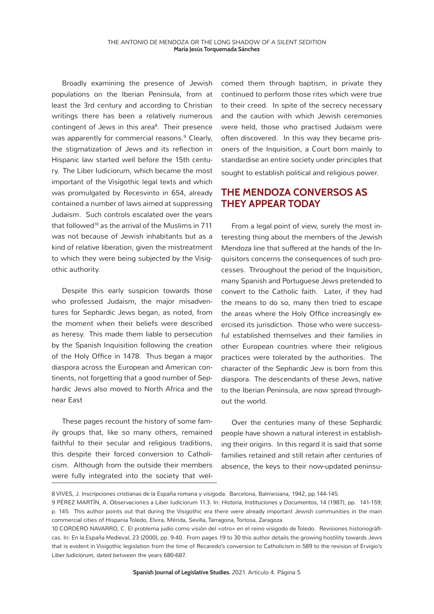Broadly examining the presence of Jewish populations on the Iberian Peninsula, from at least the 3rd century and according to Christian writings there has been a relatively numerous contingent of Jews in this area<sup>8</sup>. Their presence was apparently for commercial reasons.<sup>9</sup> Clearly, the stigmatization of Jews and its reflection in Hispanic law started well before the 15th century. The Liber Iudiciorum, which became the most important of the Visigothic legal texts and which was promulgated by Recesvinto in 654, already contained a number of laws aimed at suppressing Judaism. Such controls escalated over the years that followed<sup>10</sup> as the arrival of the Muslims in  $711$ was not because of Jewish inhabitants but as a kind of relative liberation, given the mistreatment to which they were being subjected by the Visigothic authority.

Despite this early suspicion towards those who professed Judaism, the major misadventures for Sephardic Jews began, as noted, from the moment when their beliefs were described as heresy. This made them liable to persecution by the Spanish Inquisition following the creation of the Holy Office in 1478. Thus began a major diaspora across the European and American continents, not forgetting that a good number of Sephardic Jews also moved to North Africa and the near East

These pages recount the history of some family groups that, like so many others, remained faithful to their secular and religious traditions, this despite their forced conversion to Catholicism. Although from the outside their members were fully integrated into the society that welcomed them through baptism, in private they continued to perform those rites which were true to their creed. In spite of the secrecy necessary and the caution with which Jewish ceremonies were held, those who practised Judaism were often discovered. In this way they became prisoners of the Inquisition, a Court born mainly to standardise an entire society under principles that sought to establish political and religious power.

#### **THE MENDOZA CONVERSOS AS THEY APPEAR TODAY**

From a legal point of view, surely the most interesting thing about the members of the Jewish Mendoza line that suffered at the hands of the Inquisitors concerns the consequences of such processes. Throughout the period of the Inquisition, many Spanish and Portuguese Jews pretended to convert to the Catholic faith. Later, if they had the means to do so, many then tried to escape the areas where the Holy Office increasingly exercised its jurisdiction. Those who were successful established themselves and their families in other European countries where their religious practices were tolerated by the authorities. The character of the Sephardic Jew is born from this diaspora. The descendants of these Jews, native to the Iberian Peninsula, are now spread throughout the world.

Over the centuries many of these Sephardic people have shown a natural interest in establishing their origins. In this regard it is said that some families retained and still retain after centuries of absence, the keys to their now-updated peninsu-

<sup>8</sup> VIVES, J. *Inscripciones cristianas de la España romana y visigoda.* Barcelona, Balmesiana, 1942, pp.144-145.

<sup>9</sup> PÉREZ MARTÍN, A. Observaciones a Liber Iudiciorum 11.3. In: *Historia, Instituciones y Documentos,* 14 (1987), pp. 141-159; p. 145. This author points out that during the Visigothic era there were already important Jewish communities in the main commercial cities of Hispania Toledo, Elvira, Mérida, Sevilla, Tarragona, Tortosa, Zaragoza.

<sup>10</sup> CORDERO NAVARRO, C. El problema judío como visión del «otro» en el reino visigodo de Toledo. Revisiones historiográficas. In: *En la España Medieval*, 23 (2000), pp. 9-40. From pages 19 to 30 this author details the growing hostility towards Jews that is evident in Visigothic legislation from the time of Recaredo's conversion to Catholicism in 589 to the revision of Ervigio's *Liber Iudiciorum*, dated between the years 680-687.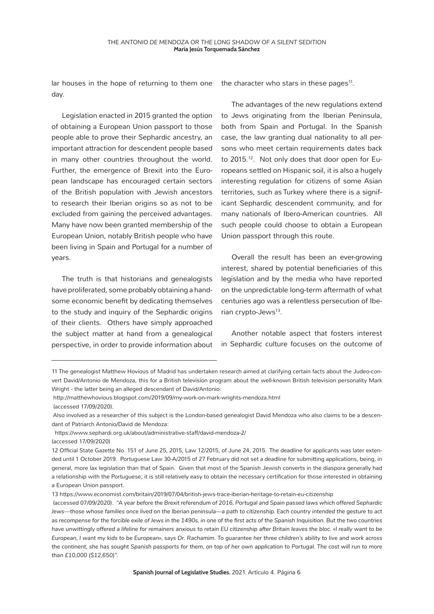lar houses in the hope of returning to them one day.

the character who stars in these pages $11$ .

Legislation enacted in 2015 granted the option of obtaining a European Union passport to those people able to prove their Sephardic ancestry, an important attraction for descendent people based in many other countries throughout the world. Further, the emergence of Brexit into the European landscape has encouraged certain sectors of the British population with Jewish ancestors to research their Iberian origins so as not to be excluded from gaining the perceived advantages. Many have now been granted membership of the European Union, notably British people who have been living in Spain and Portugal for a number of years.

The truth is that historians and genealogists have proliferated, some probably obtaining a handsome economic benefit by dedicating themselves to the study and inquiry of the Sephardic origins of their clients. Others have simply approached the subject matter at hand from a genealogical perspective, in order to provide information about

The advantages of the new regulations extend to Jews originating from the Iberian Peninsula, both from Spain and Portugal. In the Spanish case, the law granting dual nationality to all persons who meet certain requirements dates back to 2015.<sup>12</sup>. Not only does that door open for Europeans settled on Hispanic soil, it is also a hugely interesting regulation for citizens of some Asian territories, such as Turkey where there is a significant Sephardic descendent community, and for many nationals of Ibero-American countries. All such people could choose to obtain a European Union passport through this route.

Overall the result has been an ever-growing interest, shared by potential beneficiaries of this legislation and by the media who have reported on the unpredictable long-term aftermath of what centuries ago was a relentless persecution of Iberian crypto-Jews<sup>13</sup>.

Another notable aspect that fosters interest in Sephardic culture focuses on the outcome of

<sup>11</sup> The genealogist Matthew Hovious of Madrid has undertaken research aimed at clarifying certain facts about the Judeo-convert David/Antonio de Mendoza, this for a British television program about the well-known British television personality Mark Wright - the latter being an alleged descendant of David/Antonio:

http://matthewhovious.blogspot.com/2019/09/my-work-on-mark-wrights-mendoza.html (accessed 17/09/2020).

Also involved as a researcher of this subject is the London-based genealogist David Mendoza who also claims to be a descendant of Patriarch Antonio/David de Mendoza:

https://www.sephardi.org.uk/about/administrative-staff/david-mendoza-2/

<sup>(</sup>accessed 17/09/2020)

<sup>12</sup> Official State Gazette No. 151 of June 25, 2015, Law 12/2015, of June 24, 2015. The deadline for applicants was later extended until 1 October 2019. Portuguese Law 30-A/2015 of 27 February did not set a deadline for submitting applications, being, in general, more lax legislation than that of Spain. Given that most of the Spanish Jewish converts in the diaspora generally had a relationship with the Portuguese; it is still relatively easy to obtain the necessary certification for those interested in obtaining a European Union passport.

<sup>13</sup> https://www.economist.com/britain/2019/07/04/british-jews-trace-iberian-heritage-to-retain-eu-citizenship

 <sup>(</sup>accessed 07/09/2020). *"A year before the Brexit referendum of 2016, Portugal and Spain passed laws which offered Sephardic Jews—those whose families once lived on the Iberian peninsula—a path to citizenship. Each country intended the gesture to act*  as recompense for the forcible exile of Jews in the 1490s, in one of the first acts of the Spanish Inquisition. But the two countries *have unwittingly offered a lifeline for remainers anxious to retain EU citizenship after Britain leaves the bloc. «I really want to be European, I want my kids to be European», says Dr. Rachamim. To guarantee her three children's ability to live and work across the continent, she has sought Spanish passports for them, on top of her own application to Portugal. The cost will run to more than £10,000 (\$12,650)".*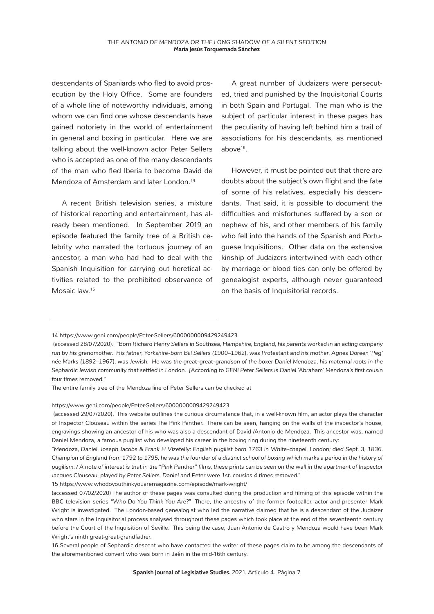descendants of Spaniards who fled to avoid prosecution by the Holy Office. Some are founders of a whole line of noteworthy individuals, among whom we can find one whose descendants have gained notoriety in the world of entertainment in general and boxing in particular. Here we are talking about the well-known actor Peter Sellers who is accepted as one of the many descendants of the man who fled Iberia to become David de Mendoza of Amsterdam and later London.<sup>14</sup>

A recent British television series, a mixture of historical reporting and entertainment, has already been mentioned. In September 2019 an episode featured the family tree of a British celebrity who narrated the tortuous journey of an ancestor, a man who had had to deal with the Spanish Inquisition for carrying out heretical activities related to the prohibited observance of Mosaic law.15

A great number of Judaizers were persecuted, tried and punished by the Inquisitorial Courts in both Spain and Portugal. The man who is the subject of particular interest in these pages has the peculiarity of having left behind him a trail of associations for his descendants, as mentioned above<sup>16</sup>.

However, it must be pointed out that there are doubts about the subject's own flight and the fate of some of his relatives, especially his descendants. That said, it is possible to document the difficulties and misfortunes suffered by a son or nephew of his, and other members of his family who fell into the hands of the Spanish and Portuguese Inquisitions. Other data on the extensive kinship of Judaizers intertwined with each other by marriage or blood ties can only be offered by genealogist experts, although never guaranteed on the basis of Inquisitorial records.

#### https://www.geni.com/people/Peter-Sellers/6000000009429249423

15 https://www.whodoyouthinkyouaremagazine.com/episode/mark-wright/

<sup>14</sup> https://www.geni.com/people/Peter-Sellers/6000000009429249423

 <sup>(</sup>accessed 28/07/2020). *"Born Richard Henry Sellers in Southsea, Hampshire, England, his parents worked in an acting company run by his grandmother. His father, Yorkshire-born Bill Sellers (1900–1962), was Protestant and his mother, Agnes Doreen 'Peg' née Marks (1892–1967), was Jewish. He was the great-great-grandson of the boxer Daniel Mendoza, his maternal roots in the Sephardic Jewish community that settled in London. [According to GENI Peter Sellers is Daniel 'Abraham' Mendoza's first cousin four times* removed*."*

The entire family tree of the Mendoza line of Peter Sellers can be checked at

 <sup>(</sup>accessed 29/07/2020). This website outlines the curious circumstance that, in a well-known film, an actor plays the character of Inspector Clouseau within the series The Pink Panther. There can be seen, hanging on the walls of the inspector's house, engravings showing an ancestor of his who was also a descendant of David /Antonio de Mendoza. This ancestor was, named Daniel Mendoza, a famous pugilist who developed his career in the boxing ring during the nineteenth century:

*<sup>&</sup>quot;Mendoza, Daniel, Joseph Jacobs & Frank H Vizetelly: English pugilist born 1763 in White-chapel, London; died Sept. 3, 1836. Champion of England from 1792 to 1795, he was the founder of a distinct school of boxing which marks a period in the history of pugilism. / A note of interest is that in the "Pink Panther" films, these prints can be seen on the wall in the apartment of Inspector Jacques Clouseau, played by Peter Sellers. Daniel and Peter were 1st. cousins 4 times removed."*

<sup>(</sup>accessed 07/02/2020) The author of these pages was consulted during the production and filming of this episode within the BBC television series *"Who Do You Think You Are?"* There, the ancestry of the former footballer, actor and presenter Mark Wright is investigated. The London-based genealogist who led the narrative claimed that he is a descendant of the Judaizer who stars in the Inquisitorial process analysed throughout these pages which took place at the end of the seventeenth century before the Court of the Inquisition of Seville. This being the case, Juan Antonio de Castro y Mendoza would have been Mark Wright's ninth great-great-grandfather

<sup>16</sup> Several people of Sephardic descent who have contacted the writer of these pages claim to be among the descendants of the aforementioned convert who was born in Jaén in the mid-16th century.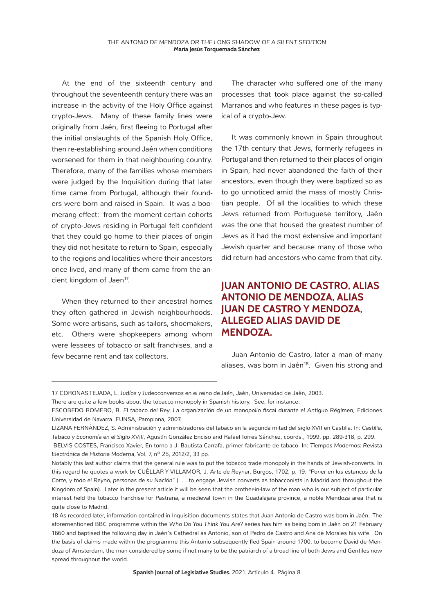At the end of the sixteenth century and throughout the seventeenth century there was an increase in the activity of the Holy Office against crypto-Jews. Many of these family lines were originally from Jaén, first fleeing to Portugal after the initial onslaughts of the Spanish Holy Office, then re-establishing around Jaén when conditions worsened for them in that neighbouring country. Therefore, many of the families whose members were judged by the Inquisition during that later time came from Portugal, although their founders were born and raised in Spain. It was a boomerang effect: from the moment certain cohorts of crypto-Jews residing in Portugal felt confident that they could go home to their places of origin they did not hesitate to return to Spain, especially to the regions and localities where their ancestors once lived, and many of them came from the ancient kingdom of Jaen<sup>17</sup>.

When they returned to their ancestral homes they often gathered in Jewish neighbourhoods. Some were artisans, such as tailors, shoemakers, etc. Others were shopkeepers among whom were lessees of tobacco or salt franchises, and a few became rent and tax collectors.

The character who suffered one of the many processes that took place against the so-called Marranos and who features in these pages is typical of a crypto-Jew.

It was commonly known in Spain throughout the 17th century that Jews, formerly refugees in Portugal and then returned to their places of origin in Spain, had never abandoned the faith of their ancestors, even though they were baptized so as to go unnoticed amid the mass of mostly Christian people. Of all the localities to which these Jews returned from Portuguese territory, Jaén was the one that housed the greatest number of Jews as it had the most extensive and important Jewish quarter and because many of those who did return had ancestors who came from that city.

### **JUAN ANTONIO DE CASTRO, ALIAS ANTONIO DE MENDOZA, ALIAS JUAN DE CASTRO Y MENDOZA, ALLEGED ALIAS DAVID DE MENDOZA.**

Juan Antonio de Castro, later a man of many aliases, was born in Jaén<sup>18</sup>. Given his strong and

<sup>17</sup> CORONAS TEJADA, L. *Judíos y Judeoconversos en el reino de Jaén*, Jaén, Universidad de Jaén, 2003.

There are quite a few books about the tobacco monopoly in Spanish history. See, for instance:

ESCOBEDO ROMERO, R. *El tabaco del Rey. La organización de un monopolio fiscal durante el Antiguo Régimen*, Ediciones Universidad de Navarra. EUNSA, Pamplona, 2007.

LIZANA FERNÁNDEZ, S. Administración y administradores del tabaco en la segunda mitad del siglo XVII en Castilla. In: *Castilla, Tabaco y Economía en el Siglo XVIII*, Agustín González Enciso and Rafael Torres Sánchez, coords., 1999, pp. 289-318, p. 299.

BELVIS COSTES, Francisco Xavier, En torno a J. Bautista Carrafa, primer fabricante de tabaco. In: *Tiempos Modernos: Revista Electrónica de Historia Moderna*, Vol. 7, nº 25, 2012/2, 33 pp.

Notably this last author claims that the general rule was to put the tobacco trade monopoly in the hands of Jewish-converts. In this regard he quotes a work by CUÉLLAR Y VILLAMOR, J. *Arte de Reynar,* Burgos, 1702, p. 19: *"Poner en los estancos de la Corte, y todo el Reyno, personas de su Nación"* (. . . to engage Jewish converts as tobacconists in Madrid and throughout the Kingdom of Spain). Later in the present article it will be seen that the brother-in-law of the man who is our subject of particular interest held the tobacco franchise for Pastrana, a medieval town in the Guadalajara province, a noble Mendoza area that is quite close to Madrid.

<sup>18</sup> As recorded later, information contained in Inquisition documents states that Juan Antonio de Castro was born in Jaén. The aforementioned BBC programme within the *Who Do You Think You Are?* series has him as being born in Jaén on 21 February 1660 and baptised the following day in Jaén's Cathedral as Antonio, son of Pedro de Castro and Ana de Morales his wife. On the basis of claims made within the programme this Antonio subsequently fled Spain around 1700, to become David de Mendoza of Amsterdam, the man considered by some if not many to be the patriarch of a broad line of both Jews and Gentiles now spread throughout the world.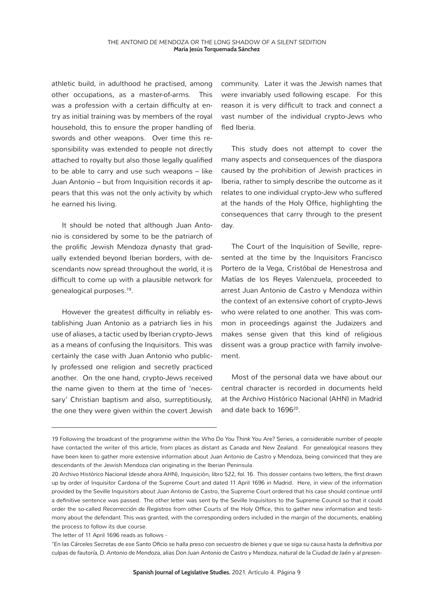athletic build, in adulthood he practised, among other occupations, as a master-of-arms. This was a profession with a certain difficulty at entry as initial training was by members of the royal household, this to ensure the proper handling of swords and other weapons. Over time this responsibility was extended to people not directly attached to royalty but also those legally qualified to be able to carry and use such weapons – like Juan Antonio – but from Inquisition records it appears that this was not the only activity by which he earned his living.

It should be noted that although Juan Antonio is considered by some to be the patriarch of the prolific Jewish Mendoza dynasty that gradually extended beyond Iberian borders, with descendants now spread throughout the world, it is difficult to come up with a plausible network for genealogical purposes.19.

However the greatest difficulty in reliably establishing Juan Antonio as a patriarch lies in his use of aliases, a tactic used by Iberian crypto-Jews as a means of confusing the Inquisitors. This was certainly the case with Juan Antonio who publicly professed one religion and secretly practiced another. On the one hand, crypto-Jews received the name given to them at the time of 'necessary' Christian baptism and also, surreptitiously, the one they were given within the covert Jewish community. Later it was the Jewish names that were invariably used following escape. For this reason it is very difficult to track and connect a vast number of the individual crypto-Jews who fled Iberia.

This study does not attempt to cover the many aspects and consequences of the diaspora caused by the prohibition of Jewish practices in Iberia, rather to simply describe the outcome as it relates to one individual crypto-Jew who suffered at the hands of the Holy Office, highlighting the consequences that carry through to the present day.

The Court of the Inquisition of Seville, represented at the time by the Inquisitors Francisco Portero de la Vega, Cristóbal de Henestrosa and Matías de los Reyes Valenzuela, proceeded to arrest Juan Antonio de Castro y Mendoza within the context of an extensive cohort of crypto-Jews who were related to one another. This was common in proceedings against the Judaizers and makes sense given that this kind of religious dissent was a group practice with family involvement.

Most of the personal data we have about our central character is recorded in documents held at the Archivo Histórico Nacional (AHN) in Madrid and date back to 1696<sup>20</sup>.

<sup>19</sup> Following the broadcast of the programme within the *Who Do You Think You Are?* Series, a considerable number of people have contacted the writer of this article, from places as distant as Canada and New Zealand. For genealogical reasons they have been keen to gather more extensive information about Juan Antonio de Castro y Mendoza, being convinced that they are descendants of the Jewish Mendoza clan originating in the Iberian Peninsula.

<sup>20</sup> Archivo Histórico Nacional (desde ahora AHN), Inquisición, libro 522, *fol.* 16. This dossier contains two letters, the first drawn up by order of Inquisitor Cardona of the Supreme Court and dated 11 April 1696 in Madrid. Here, in view of the information provided by the Seville Inquisitors about Juan Antonio de Castro, the Supreme Court ordered that his case should continue until a definitive sentence was passed. The other letter was sent by the Seville Inquisitors to the Supreme Council so that it could order the so-called *Recorrección de Registros* from other Courts of the Holy Office, this to gather new information and testimony about the defendant. This was granted, with the corresponding orders included in the margin of the documents, enabling the process to follow its due course.

The letter of 11 April 1696 reads as follows -

*<sup>&</sup>quot;En las Cárceles Secretas de ese Santo Oficio se halla preso con secuestro de bienes y que se siga su causa hasta la definitiva por culpas de fautoría, D. Antonio de Mendoza, alias Don Juan Antonio de Castro y Mendoza, natural de la Ciudad de Jaén y al presen-*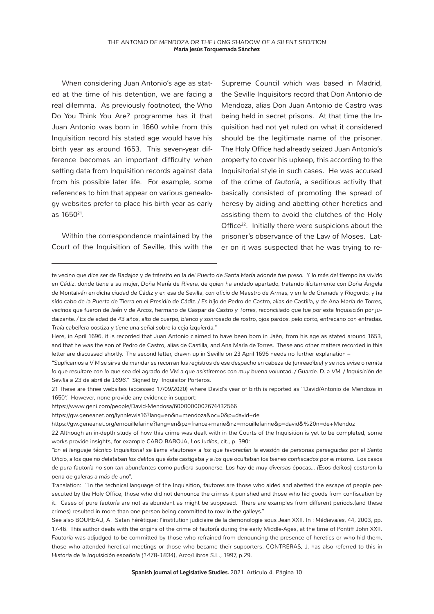When considering Juan Antonio's age as stated at the time of his detention, we are facing a real dilemma. As previously footnoted, the Who Do You Think You Are? programme has it that Juan Antonio was born in 1660 while from this Inquisition record his stated age would have his birth year as around 1653. This seven-year difference becomes an important difficulty when setting data from Inquisition records against data from his possible later life. For example, some references to him that appear on various genealogy websites prefer to place his birth year as early as 165021.

Within the correspondence maintained by the Court of the Inquisition of Seville, this with the

Supreme Council which was based in Madrid, the Seville Inquisitors record that Don Antonio de Mendoza, alias Don Juan Antonio de Castro was being held in secret prisons. At that time the Inquisition had not yet ruled on what it considered should be the legitimate name of the prisoner. The Holy Office had already seized Juan Antonio's property to cover his upkeep, this according to the Inquisitorial style in such cases. He was accused of the crime of *fautoría*, a seditious activity that basically consisted of promoting the spread of heresy by aiding and abetting other heretics and assisting them to avoid the clutches of the Holy Office<sup>22</sup>. Initially there were suspicions about the prisoner's observance of the Law of Moses. Later on it was suspected that he was trying to re-

https://www.geni.com/people/David-Mendosa/6000000002674432566

https://gw.geneanet.org/lynnlewis16?lang=en&n=mendoza&oc=0&p=david+de

https://gw.geneanet.org/emouillefarine?lang=en&pz=france+marie&nz=mouillefarine&p=david&%20n=de+Mendoz

22 Although an in-depth study of how this crime was dealt with in the Courts of the Inquisition is yet to be completed, some works provide insights, for example CARO BAROJA, *Los Judíos*, cit., p. 390:

*te vecino que dice ser de Badajoz y de tránsito en la del Puerto de Santa María adonde fue preso. Y lo más del tiempo ha vivido en Cádiz, donde tiene a su mujer, Doña María de Rivera, de quien ha andado apartado, tratando ilícitamente con Doña Ángela de Montalván en dicha ciudad de Cádiz y en esa de Sevilla, con oficio de Maestro de Armas, y en la de Granada y Riogordo, y ha*  sido cabo de la Puerta de Tierra en el Presidio de Cádiz. / Es hijo de Pedro de Castro, alias de Castilla, y de Ana María de Torres, *vecinos que fueron de Jaén y de Arcos, hermano de Gaspar de Castro y Torres, reconciliado que fue por esta Inquisición por judaizante. / Es de edad de 43 años, alto de cuerpo, blanco y sonrosado de rostro, ojos pardos, pelo corto, entrecano con entradas. Traía cabellera postiza y tiene una señal sobre la ceja izquierda."*

Here, in April 1696, it is recorded that Juan Antonio claimed to have been born in Jaén, from his age as stated around 1653, and that he was the son of Pedro de Castro, alias de Castilla, and Ana María de Torres. These and other matters recorded in this letter are discussed shortly. The second letter, drawn up in Seville on 23 April 1696 needs no further explanation –

*<sup>&</sup>quot;Suplicamos a V M se sirva de mandar se recorran los registros de ese despacho en cabeza de (unreadible) y se nos avise o remita*  lo que resultare con lo que sea del agrado de VM a que asistiremos con muy buena voluntad. / Guarde. D. a VM. / Inquisición de *Sevilla a 23 de abril de 1696."* Signed by Inquisitor Porteros.

<sup>21</sup> These are three websites (accessed 17/09/2020) where David's year of birth is reported as "David/Antonio de Mendoza in 1650". However, none provide any evidence in support:

*<sup>&</sup>quot;En el lenguaje técnico Inquisitorial se llama «fautores» a los que favorecían la evasión de personas perseguidas por el Santo Oficio, a los que no delataban los delitos que éste castigaba y a los que ocultaban los bienes confiscados por el mismo. Los casos de pura fautoría no son tan abundantes como pudiera suponerse. Los hay de muy diversas épocas… (Esos delitos) costaron la pena de galeras a más de uno".*

Translation: "In the technical language of the Inquisition, *fautores* are those who aided and abetted the escape of people persecuted by the Holy Office, those who did not denounce the crimes it punished and those who hid goods from confiscation by it. Cases of pure *fautoría* are not as abundant as might be supposed. There are examples from different periods.(and these crimes) resulted in more than one person being committed to row in the galleys."

See also BOUREAU, A. Satan hérétique: l´institution judiciaire de la demonologie sous Jean XXII. In : *Médievales*, 44, 2003, pp. 17-46. This author deals with the origins of the crime of *fautoría* during the early Middle-Ages, at the time of Pontiff John XXII. *Fautoría* was adjudged to be committed by those who refrained from denouncing the presence of heretics or who hid them, those who attended heretical meetings or those who became their supporters. CONTRERAS, J. has also referred to this in *Historia de la Inquisición española (1478-1834)*, Arco/Libros S.L., 1997, p.29.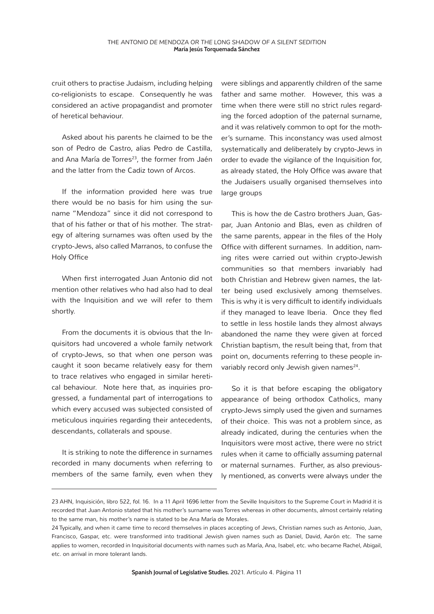cruit others to practise Judaism, including helping co-religionists to escape. Consequently he was considered an active propagandist and promoter of heretical behaviour.

Asked about his parents he claimed to be the son of Pedro de Castro, alias Pedro de Castilla, and Ana María de Torres<sup>23</sup>, the former from Jaén and the latter from the Cadiz town of Arcos.

If the information provided here was true there would be no basis for him using the surname "Mendoza" since it did not correspond to that of his father or that of his mother. The strategy of altering surnames was often used by the crypto-Jews, also called Marranos, to confuse the Holy Office

When first interrogated Juan Antonio did not mention other relatives who had also had to deal with the Inquisition and we will refer to them shortly.

From the documents it is obvious that the Inquisitors had uncovered a whole family network of crypto-Jews, so that when one person was caught it soon became relatively easy for them to trace relatives who engaged in similar heretical behaviour. Note here that, as inquiries progressed, a fundamental part of interrogations to which every accused was subjected consisted of meticulous inquiries regarding their antecedents, descendants, collaterals and spouse.

It is striking to note the difference in surnames recorded in many documents when referring to members of the same family, even when they were siblings and apparently children of the same father and same mother. However, this was a time when there were still no strict rules regarding the forced adoption of the paternal surname, and it was relatively common to opt for the mother's surname. This inconstancy was used almost systematically and deliberately by crypto-Jews in order to evade the vigilance of the Inquisition for, as already stated, the Holy Office was aware that the Judaisers usually organised themselves into large groups

This is how the de Castro brothers Juan, Gaspar, Juan Antonio and Blas, even as children of the same parents, appear in the files of the Holy Office with different surnames. In addition, naming rites were carried out within crypto-Jewish communities so that members invariably had both Christian and Hebrew given names, the latter being used exclusively among themselves. This is why it is very difficult to identify individuals if they managed to leave Iberia. Once they fled to settle in less hostile lands they almost always abandoned the name they were given at forced Christian baptism, the result being that, from that point on, documents referring to these people invariably record only Jewish given names<sup>24</sup>.

So it is that before escaping the obligatory appearance of being orthodox Catholics, many crypto-Jews simply used the given and surnames of their choice. This was not a problem since, as already indicated, during the centuries when the Inquisitors were most active, there were no strict rules when it came to officially assuming paternal or maternal surnames. Further, as also previously mentioned, as converts were always under the

<sup>23</sup> AHN, Inquisición, libro 522, *fol.* 16. In a 11 April 1696 letter from the Seville Inquisitors to the Supreme Court in Madrid it is recorded that Juan Antonio stated that his mother's surname was Torres whereas in other documents, almost certainly relating to the same man, his mother's name is stated to be Ana María de Morales.

<sup>24</sup> Typically, and when it came time to record themselves in places accepting of Jews, Christian names such as Antonio, Juan, Francisco, Gaspar, etc. were transformed into traditional Jewish given names such as Daniel, David, Aarón etc. The same applies to women, recorded in Inquisitorial documents with names such as María, Ana, Isabel, etc. who became Rachel, Abigail, etc. on arrival in more tolerant lands.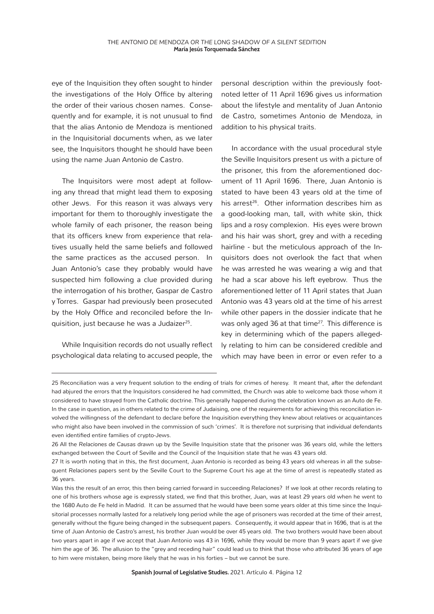eye of the Inquisition they often sought to hinder the investigations of the Holy Office by altering the order of their various chosen names. Consequently and for example, it is not unusual to find that the alias Antonio de Mendoza is mentioned in the Inquisitorial documents when, as we later see, the Inquisitors thought he should have been using the name Juan Antonio de Castro.

The Inquisitors were most adept at following any thread that might lead them to exposing other Jews. For this reason it was always very important for them to thoroughly investigate the whole family of each prisoner, the reason being that its officers knew from experience that relatives usually held the same beliefs and followed the same practices as the accused person. In Juan Antonio's case they probably would have suspected him following a clue provided during the interrogation of his brother, Gaspar de Castro y Torres. Gaspar had previously been prosecuted by the Holy Office and reconciled before the Inquisition, just because he was a Judaizer<sup>25</sup>.

While Inquisition records do not usually reflect psychological data relating to accused people, the

personal description within the previously footnoted letter of 11 April 1696 gives us information about the lifestyle and mentality of Juan Antonio de Castro, sometimes Antonio de Mendoza, in addition to his physical traits.

In accordance with the usual procedural style the Seville Inquisitors present us with a picture of the prisoner, this from the aforementioned document of 11 April 1696. There, Juan Antonio is stated to have been 43 years old at the time of his arrest<sup>26</sup>. Other information describes him as a good-looking man, tall, with white skin, thick lips and a rosy complexion. His eyes were brown and his hair was short, grey and with a receding hairline - but the meticulous approach of the Inquisitors does not overlook the fact that when he was arrested he was wearing a wig and that he had a scar above his left eyebrow. Thus the aforementioned letter of 11 April states that Juan Antonio was 43 years old at the time of his arrest while other papers in the dossier indicate that he was only aged 36 at that time<sup>27</sup>. This difference is key in determining which of the papers allegedly relating to him can be considered credible and which may have been in error or even refer to a

<sup>25</sup> Reconciliation was a very frequent solution to the ending of trials for crimes of heresy. It meant that, after the defendant had abjured the errors that the Inquisitors considered he had committed, the Church was able to welcome back those whom it considered to have strayed from the Catholic doctrine. This generally happened during the celebration known as an Auto de Fe. In the case in question, as in others related to the crime of Judaising, one of the requirements for achieving this reconciliation involved the willingness of the defendant to declare before the Inquisition everything they knew about relatives or acquaintances who might also have been involved in the commission of such 'crimes'. It is therefore not surprising that individual defendants even identified entire families of crypto-Jews.

<sup>26</sup> All the *Relaciones de Causas* drawn up by the Seville Inquisition state that the prisoner was 36 years old, while the letters exchanged between the Court of Seville and the Council of the Inquisition state that he was 43 years old.

<sup>27</sup> It is worth noting that in this, the first document, Juan Antonio is recorded as being 43 years old whereas in all the subsequent *Relaciones* papers sent by the Seville Court to the Supreme Court his age at the time of arrest is repeatedly stated as 36 years.

Was this the result of an error, this then being carried forward in succeeding *Relaciones*? If we look at other records relating to one of his brothers whose age is expressly stated, we find that this brother, Juan, was at least 29 years old when he went to the 1680 Auto de Fe held in Madrid. It can be assumed that he would have been some years older at this time since the Inquisitorial processes normally lasted for a relatively long period while the age of prisoners was recorded at the time of their arrest, generally without the figure being changed in the subsequent papers. Consequently, it would appear that in 1696, that is at the time of Juan Antonio de Castro's arrest, his brother Juan would be over 45 years old. The two brothers would have been about two years apart in age if we accept that Juan Antonio was 43 in 1696, while they would be more than 9 years apart if we give him the age of 36. The allusion to the "grey and receding hair" could lead us to think that those who attributed 36 years of age to him were mistaken, being more likely that he was in his forties – but we cannot be sure.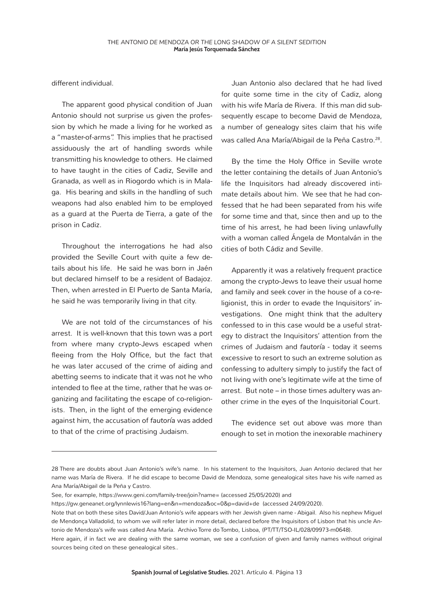different individual.

The apparent good physical condition of Juan Antonio should not surprise us given the profession by which he made a living for he worked as a "master-of-arms". This implies that he practised assiduously the art of handling swords while transmitting his knowledge to others. He claimed to have taught in the cities of Cadiz, Seville and Granada, as well as in Riogordo which is in Malaga. His bearing and skills in the handling of such weapons had also enabled him to be employed as a guard at the Puerta de Tierra, a gate of the prison in Cadiz.

Throughout the interrogations he had also provided the Seville Court with quite a few details about his life. He said he was born in Jaén but declared himself to be a resident of Badajoz. Then, when arrested in El Puerto de Santa María, he said he was temporarily living in that city.

We are not told of the circumstances of his arrest. It is well-known that this town was a port from where many crypto-Jews escaped when fleeing from the Holy Office, but the fact that he was later accused of the crime of aiding and abetting seems to indicate that it was not he who intended to flee at the time, rather that he was organizing and facilitating the escape of co-religionists. Then, in the light of the emerging evidence against him, the accusation of *fautoría* was added to that of the crime of practising Judaism.

Juan Antonio also declared that he had lived for quite some time in the city of Cadiz, along with his wife María de Rivera. If this man did subsequently escape to become David de Mendoza, a number of genealogy sites claim that his wife was called Ana María/Abigail de la Peña Castro.<sup>28</sup>.

By the time the Holy Office in Seville wrote the letter containing the details of Juan Antonio's life the Inquisitors had already discovered intimate details about him. We see that he had confessed that he had been separated from his wife for some time and that, since then and up to the time of his arrest, he had been living unlawfully with a woman called Ángela de Montalván in the cities of both Cádiz and Seville.

Apparently it was a relatively frequent practice among the crypto-Jews to leave their usual home and family and seek cover in the house of a co-religionist, this in order to evade the Inquisitors' investigations. One might think that the adultery confessed to in this case would be a useful strategy to distract the Inquisitors' attention from the crimes of Judaism and *fautoría* - today it seems excessive to resort to such an extreme solution as confessing to adultery simply to justify the fact of not living with one's legitimate wife at the time of arrest. But note – in those times adultery was another crime in the eyes of the Inquisitorial Court.

The evidence set out above was more than enough to set in motion the inexorable machinery

<sup>28</sup> There are doubts about Juan Antonio's wife's name. In his statement to the Inquisitors, Juan Antonio declared that her name was María de Rivera. If he did escape to become David de Mendoza, some genealogical sites have his wife named as Ana María/Abigail de la Peña y Castro.

See, for example, https://www.geni.com/family-tree/join?name= (accessed 25/05/2020) and

https://gw.geneanet.org/lynnlewis16?lang=en&n=mendoza&oc=0&p=david+de (accessed 24/09/2020).

Note that on both these sites David/Juan Antonio's wife appears with her Jewish given name - Abigail. Also his nephew Miguel de Mendonça Valladolid, to whom we will refer later in more detail, declared before the Inquisitors of Lisbon that his uncle Antonio de Mendoza's wife was called Ana María. Archivo Torre do Tombo, Lisboa, (PT/TT/TSO-IL/028/09973-m0648).

Here again, if in fact we are dealing with the same woman, we see a confusion of given and family names without original sources being cited on these genealogical sites..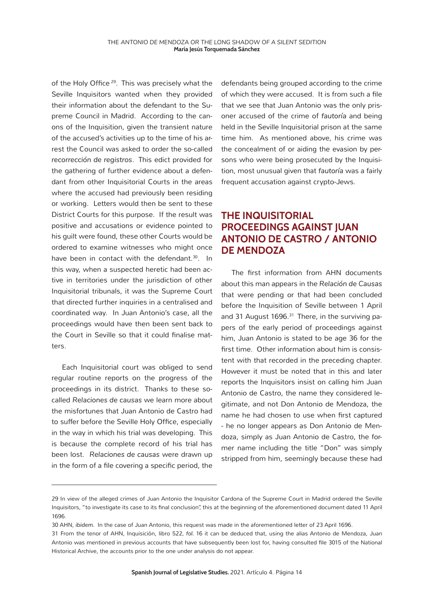of the Holy Office<sup>29</sup>. This was precisely what the Seville Inquisitors wanted when they provided their information about the defendant to the Supreme Council in Madrid. According to the canons of the Inquisition, given the transient nature of the accused's activities up to the time of his arrest the Council was asked to order the so-called *recorrección de registros*. This edict provided for the gathering of further evidence about a defendant from other Inquisitorial Courts in the areas where the accused had previously been residing or working. Letters would then be sent to these District Courts for this purpose. If the result was positive and accusations or evidence pointed to his guilt were found, these other Courts would be ordered to examine witnesses who might once have been in contact with the defendant.<sup>30</sup>. In this way, when a suspected heretic had been active in territories under the jurisdiction of other Inquisitorial tribunals, it was the Supreme Court that directed further inquiries in a centralised and coordinated way. In Juan Antonio's case, all the proceedings would have then been sent back to the Court in Seville so that it could finalise matters.

Each Inquisitorial court was obliged to send regular routine reports on the progress of the proceedings in its district. Thanks to these socalled *Relaciones de causas* we learn more about the misfortunes that Juan Antonio de Castro had to suffer before the Seville Holy Office, especially in the way in which his trial was developing. This is because the complete record of his trial has been lost. *Relaciones de causas* were drawn up in the form of a file covering a specific period, the

defendants being grouped according to the crime of which they were accused. It is from such a file that we see that Juan Antonio was the only prisoner accused of the crime of *fautoría* and being held in the Seville Inquisitorial prison at the same time him. As mentioned above, his crime was the concealment of or aiding the evasion by persons who were being prosecuted by the Inquisition, most unusual given that *fautoría* was a fairly frequent accusation against crypto-Jews.

### **THE INQUISITORIAL PROCEEDINGS AGAINST JUAN ANTONIO DE CASTRO / ANTONIO DE MENDOZA**

The first information from AHN documents about this man appears in the *Relación de Causas* that were pending or that had been concluded before the Inquisition of Seville between 1 April and 31 August 1696.<sup>31</sup> There, in the surviving papers of the early period of proceedings against him, Juan Antonio is stated to be age 36 for the first time. Other information about him is consistent with that recorded in the preceding chapter. However it must be noted that in this and later reports the Inquisitors insist on calling him Juan Antonio de Castro, the name they considered legitimate, and not Don Antonio de Mendoza, the name he had chosen to use when first captured - he no longer appears as Don Antonio de Mendoza, simply as Juan Antonio de Castro, the former name including the title "Don" was simply stripped from him, seemingly because these had

<sup>29</sup> In view of the alleged crimes of Juan Antonio the Inquisitor Cardona of the Supreme Court in Madrid ordered the Seville Inquisitors, "to investigate its case to its final conclusion", this at the beginning of the aforementioned document dated 11 April 1696.

<sup>30</sup> AHN, *ibidem.* In the case of Juan Antonio, this request was made in the aforementioned letter of 23 April 1696.

<sup>31</sup> From the tenor of AHN, Inquisición, libro 522, *fol.* 16 it can be deduced that, using the alias Antonio de Mendoza, Juan Antonio was mentioned in previous accounts that have subsequently been lost for, having consulted file 3015 of the National Historical Archive, the accounts prior to the one under analysis do not appear.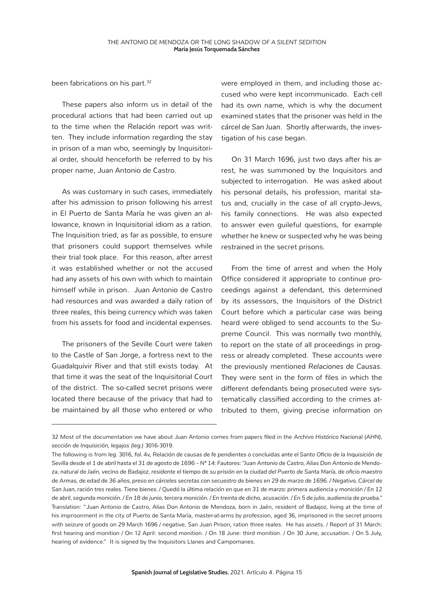been fabrications on his part.<sup>32</sup>

These papers also inform us in detail of the procedural actions that had been carried out up to the time when the *Relación* report was written. They include information regarding the stay in prison of a man who, seemingly by Inquisitorial order, should henceforth be referred to by his proper name, Juan Antonio de Castro.

As was customary in such cases, immediately after his admission to prison following his arrest in El Puerto de Santa María he was given an allowance, known in Inquisitorial idiom as a ration. The Inquisition tried, as far as possible, to ensure that prisoners could support themselves while their trial took place. For this reason, after arrest it was established whether or not the accused had any assets of his own with which to maintain himself while in prison. Juan Antonio de Castro had resources and was awarded a daily ration of three *reales*, this being currency which was taken from his assets for food and incidental expenses.

The prisoners of the Seville Court were taken to the Castle of San Jorge, a fortress next to the Guadalquivir River and that still exists today. At that time it was the seat of the Inquisitorial Court of the district. The so-called secret prisons were located there because of the privacy that had to be maintained by all those who entered or who

were employed in them, and including those accused who were kept incommunicado. Each cell had its own name, which is why the document examined states that the prisoner was held in the *cárcel de San Juan*. Shortly afterwards, the investigation of his case began.

On 31 March 1696, just two days after his arrest, he was summoned by the Inquisitors and subjected to interrogation. He was asked about his personal details, his profession, marital status and, crucially in the case of all crypto-Jews, his family connections. He was also expected to answer even guileful questions, for example whether he knew or suspected why he was being restrained in the secret prisons.

From the time of arrest and when the Holy Office considered it appropriate to continue proceedings against a defendant, this determined by its assessors, the Inquisitors of the District Court before which a particular case was being heard were obliged to send accounts to the Supreme Council. This was normally two monthly, to report on the state of all proceedings in progress or already completed. These accounts were the previously mentioned *Relaciones de Causas*. They were sent in the form of files in which the different defendants being prosecuted were systematically classified according to the crimes attributed to them, giving precise information on

<sup>32</sup> Most of the documentation we have about Juan Antonio comes from papers filed in the *Archivo Histórico Nacional (AHN), sección de Inquisición, legajos (leg.)* 3016-3019.

The following is from *leg.* 3016, *fol.* 4v, *Relación de causas de fe pendientes o concluidas ante el Santo Oficio de la Inquisición de Sevilla desde el 1 de abril hasta el 31 de agosto de 1696 – Nº 14: Fautores: "Juan Antonio de Castro, Alias Don Antonio de Mendoza, natural de Jaén, vecino de Badajoz, residente el tiempo de su prisión en la ciudad del Puerto de Santa María, de oficio maestro de Armas, de edad de 36 años, preso en cárceles secretas con secuestro de bienes en 29 de marzo de 1696. / Negativo, Cárcel de San Juan, ración tres reales. Tiene bienes. / Quedó la última relación en que en 31 de marzo: primera audiencia y monición / En 12 de abril, segunda monición. / En 18 de junio, tercera monición. / En treinta de dicho, acusación. / En 5 de julio, audiencia de prueba."* Translation: "Juan Antonio de Castro, Alias Don Antonio de Mendoza, born in Jaén, resident of Badajoz, living at the time of his imprisonment in the city of Puerto de Santa María, master-at-arms by profession, aged 36, imprisoned in the secret prisons with seizure of goods on 29 March 1696 / negative, San Juan Prison, ration three reales. He has assets. / Report of 31 March: first hearing and monition / On 12 April: second monition. / On 18 June: third monition. / On 30 June, accusation. / On 5 July, hearing of evidence." It is signed by the Inquisitors Llanes and Campomanes.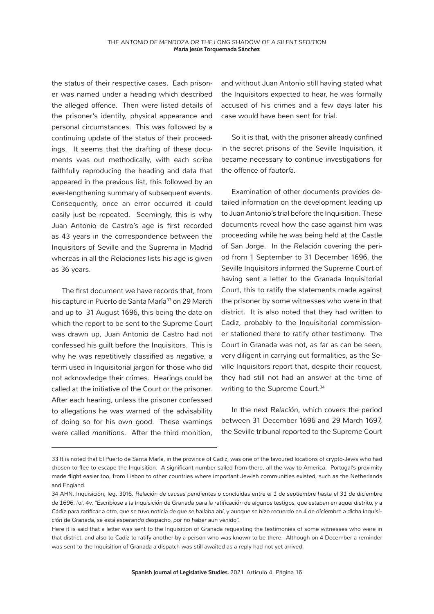the status of their respective cases. Each prisoner was named under a heading which described the alleged offence. Then were listed details of the prisoner's identity, physical appearance and personal circumstances. This was followed by a continuing update of the status of their proceedings. It seems that the drafting of these documents was out methodically, with each scribe faithfully reproducing the heading and data that appeared in the previous list, this followed by an ever-lengthening summary of subsequent events. Consequently, once an error occurred it could easily just be repeated. Seemingly, this is why Juan Antonio de Castro's age is first recorded as 43 years in the correspondence between the Inquisitors of Seville and the Suprema in Madrid whereas in all the *Relaciones* lists his age is given as 36 years.

The first document we have records that, from his capture in Puerto de Santa María<sup>33</sup> on 29 March and up to 31 August 1696, this being the date on which the report to be sent to the Supreme Court was drawn up, Juan Antonio de Castro had not confessed his guilt before the Inquisitors. This is why he was repetitively classified as *negative*, a term used in Inquisitorial jargon for those who did not acknowledge their crimes. Hearings could be called at the initiative of the Court or the prisoner. After each hearing, unless the prisoner confessed to allegations he was warned of the advisability of doing so for his own good. These warnings were called *monitions*. After the third monition, and without Juan Antonio still having stated what the Inquisitors expected to hear, he was formally accused of his crimes and a few days later his case would have been sent for trial.

So it is that, with the prisoner already confined in the secret prisons of the Seville Inquisition, it became necessary to continue investigations for the offence of *fautoría.*

Examination of other documents provides detailed information on the development leading up to Juan Antonio's trial before the Inquisition. These documents reveal how the case against him was proceeding while he was being held at the Castle of San Jorge. In the *Relación* covering the period from 1 September to 31 December 1696, the Seville Inquisitors informed the Supreme Court of having sent a letter to the Granada Inquisitorial Court, this to ratify the statements made against the prisoner by some witnesses who were in that district. It is also noted that they had written to Cadiz, probably to the Inquisitorial commissioner stationed there to ratify other testimony. The Court in Granada was not, as far as can be seen, very diligent in carrying out formalities, as the Seville Inquisitors report that, despite their request, they had still not had an answer at the time of writing to the Supreme Court.<sup>34</sup>

In the next *Relación*, which covers the period between 31 December 1696 and 29 March 1697, the Seville tribunal reported to the Supreme Court

<sup>33</sup> It is noted that El Puerto de Santa María, in the province of Cadiz, was one of the favoured locations of crypto-Jews who had chosen to flee to escape the Inquisition. A significant number sailed from there, all the way to America. Portugal's proximity made flight easier too, from Lisbon to other countries where important Jewish communities existed, such as the Netherlands and England.

<sup>34</sup> AHN, Inquisición, leg. 3016. *Relación de causas pendientes o concluidas entre el 1 de septiembre hasta el 31 de diciembre de 1696, fol. 4v. "Escribiose a la Inquisición de Granada para la ratificación de algunos testigos, que estaban en aquel distrito, y a Cádiz para ratificar a otro, que se tuvo noticia de que se hallaba ahí, y aunque se hizo recuerdo en 4 de diciembre a dicha Inquisición de Granada, se está esperando despacho, por no haber aun venido".*

Here it is said that a letter was sent to the Inquisition of Granada requesting the testimonies of some witnesses who were in that district, and also to Cadiz to ratify another by a person who was known to be there. Although on 4 December a reminder was sent to the Inquisition of Granada a dispatch was still awaited as a reply had not yet arrived.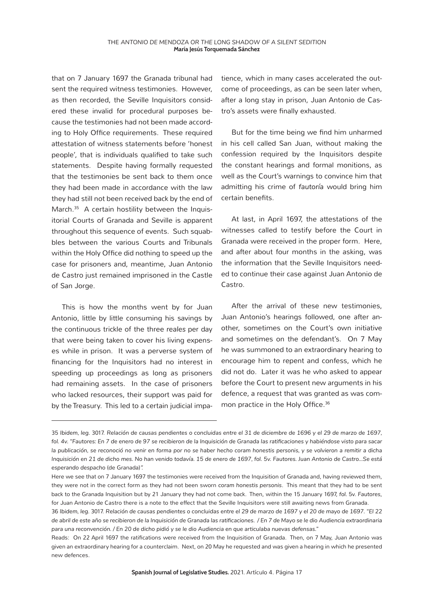that on 7 January 1697 the Granada tribunal had sent the required witness testimonies. However, as then recorded, the Seville Inquisitors considered these invalid for procedural purposes because the testimonies had not been made according to Holy Office requirements. These required attestation of witness statements before 'honest people', that is individuals qualified to take such statements. Despite having formally requested that the testimonies be sent back to them once they had been made in accordance with the law they had still not been received back by the end of March.<sup>35</sup> A certain hostility between the Inquisitorial Courts of Granada and Seville is apparent throughout this sequence of events. Such squabbles between the various Courts and Tribunals within the Holy Office did nothing to speed up the case for prisoners and, meantime, Juan Antonio de Castro just remained imprisoned in the Castle of San Jorge.

This is how the months went by for Juan Antonio, little by little consuming his savings by the continuous trickle of the three *reales* per day that were being taken to cover his living expenses while in prison. It was a perverse system of financing for the Inquisitors had no interest in speeding up proceedings as long as prisoners had remaining assets. In the case of prisoners who lacked resources, their support was paid for by the Treasury. This led to a certain judicial impatience, which in many cases accelerated the outcome of proceedings, as can be seen later when, after a long stay in prison, Juan Antonio de Castro's assets were finally exhausted.

But for the time being we find him unharmed in his cell called San Juan, without making the confession required by the Inquisitors despite the constant hearings and formal monitions, as well as the Court's warnings to convince him that admitting his crime of *fautoría* would bring him certain benefits.

At last, in April 1697, the attestations of the witnesses called to testify before the Court in Granada were received in the proper form. Here, and after about four months in the asking, was the information that the Seville Inquisitors needed to continue their case against Juan Antonio de Castro.

After the arrival of these new testimonies, Juan Antonio's hearings followed, one after another, sometimes on the Court's own initiative and sometimes on the defendant's. On 7 May he was summoned to an extraordinary hearing to encourage him to repent and confess, which he did not do. Later it was he who asked to appear before the Court to present new arguments in his defence, a request that was granted as was common practice in the Holy Office.<sup>36</sup>

<sup>35</sup> *Ibidem, leg.* 3017. *Relación de causas pendientes o concluidas entre el 31 de diciembre de 1696 y el 29 de marzo de 1697, fol. 4v. "Fautores: En 7 de enero de 97 se recibieron de la Inquisición de Granada las ratificaciones y habiéndose visto para sacar la publicación, se reconoció no venir en forma por no se haber hecho coram honestis personis, y se volvieron a remitir a dicha Inquisición en 21 de dicho mes. No han venido todavía. 15 de enero de 1697, fol. 5v. Fautores. Juan Antonio de Castro…Se está esperando despacho* (de Granada)".

Here we see that on 7 January 1697 the testimonies were received from the Inquisition of Granada and, having reviewed them, they were not in the correct form as they had not been sworn *coram honestis personis*. This meant that they had to be sent back to the Granada Inquisition but by 21 January they had not come back. Then, within the 15 January 1697, *fol.* 5v. *Fautores*, for Juan Antonio de Castro there is a note to the effect that the Seville Inquisitors were still awaiting news from Granada.

<sup>36</sup> *Ibidem, leg.* 3017. *Relación de causas pendientes o concluidas entre el 29 de marzo de 1697 y el 20 de mayo de 1697. "El 22 de abril de este año se recibieron de la Inquisición de Granada las ratificaciones. / En 7 de Mayo se le dio Audiencia extraordinaria para una reconvención. / En 20 de dicho pidió y se le dio Audiencia en que articulaba nuevas defensas."*

Reads: On 22 April 1697 the ratifications were received from the Inquisition of Granada. Then, on 7 May, Juan Antonio was given an extraordinary hearing for a counterclaim. Next, on 20 May he requested and was given a hearing in which he presented new defences.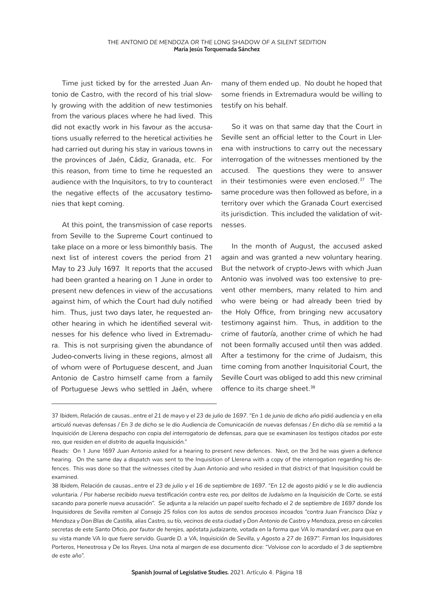Time just ticked by for the arrested Juan Antonio de Castro, with the record of his trial slowly growing with the addition of new testimonies from the various places where he had lived. This did not exactly work in his favour as the accusations usually referred to the heretical activities he had carried out during his stay in various towns in the provinces of Jaén, Cádiz, Granada, etc. For this reason, from time to time he requested an audience with the Inquisitors, to try to counteract the negative effects of the accusatory testimonies that kept coming.

At this point, the transmission of case reports from Seville to the Supreme Court continued to take place on a more or less bimonthly basis. The next list of interest covers the period from 21 May to 23 July 1697. It reports that the accused had been granted a hearing on 1 June in order to present new defences in view of the accusations against him, of which the Court had duly notified him. Thus, just two days later, he requested another hearing in which he identified several witnesses for his defence who lived in Extremadura. This is not surprising given the abundance of Judeo-converts living in these regions, almost all of whom were of Portuguese descent, and Juan Antonio de Castro himself came from a family of Portuguese Jews who settled in Jaén, where

many of them ended up. No doubt he hoped that some friends in Extremadura would be willing to testify on his behalf.

So it was on that same day that the Court in Seville sent an official letter to the Court in Llerena with instructions to carry out the necessary interrogation of the witnesses mentioned by the accused. The questions they were to answer in their testimonies were even enclosed.<sup>37</sup> The same procedure was then followed as before, in a territory over which the Granada Court exercised its jurisdiction. This included the validation of witnesses.

In the month of August, the accused asked again and was granted a new voluntary hearing. But the network of crypto-Jews with which Juan Antonio was involved was too extensive to prevent other members, many related to him and who were being or had already been tried by the Holy Office, from bringing new accusatory testimony against him. Thus, in addition to the crime of *fautoría*, another crime of which he had not been formally accused until then was added. After a testimony for the crime of Judaism, this time coming from another Inquisitorial Court, the Seville Court was obliged to add this new criminal offence to its charge sheet.<sup>38</sup>

<sup>37</sup> *Ibidem, Relación de causas…entre el 21 de mayo y el 23 de julio de 1697. "En 1 de junio de dicho año pidió audiencia y en ella articuló nuevas defensas / En 3 de dicho se le dio Audiencia de Comunicación de nuevas defensas / En dicho día se remitió a la Inquisición de Llerena despacho con copia del interrogatorio de defensas, para que se examinasen los testigos citados por este reo, que residen en el distrito de aquella Inquisición."*

Reads: On 1 June 1697 Juan Antonio asked for a hearing to present new defences. Next, on the 3rd he was given a defence hearing. On the same day a dispatch was sent to the Inquisition of Llerena with a copy of the interrogation regarding his defences. This was done so that the witnesses cited by Juan Antonio and who resided in that district of that Inquisition could be examined.

<sup>38</sup> *Ibidem, Relación de causas…entre el 23 de julio y el 16 de septiembre de 1697. "En 12 de agosto pidió y se le dio audiencia voluntaria. / Por haberse recibido nueva testificación contra este reo, por delitos de Judaísmo en la Inquisición de Corte, se está sacando para ponerle nueva acusación". Se adjunta a la relación un papel suelto fechado el 2 de septiembre de 1697 donde los Inquisidores de Sevilla remiten al Consejo 25 folios con los autos de sendos procesos incoados "contra Juan Francisco Díaz y Mendoza y Don Blas de Castilla, alias Castro, su tío, vecinos de esta ciudad y Don Antonio de Castro y Mendoza, preso en cárceles secretas de este Santo Oficio, por fautor de herejes, apóstata judaizante, votada en la forma que VA lo mandará ver, para que en su vista mande VA lo que fuere servido. Guarde D. a VA, Inquisición de Sevilla, y Agosto a 27 de 1697". Firman los Inquisidores Porteros, Henestrosa y De los Reyes. Una nota al margen de ese documento dice: "Volviose con lo acordado el 3 de septiembre de este año".*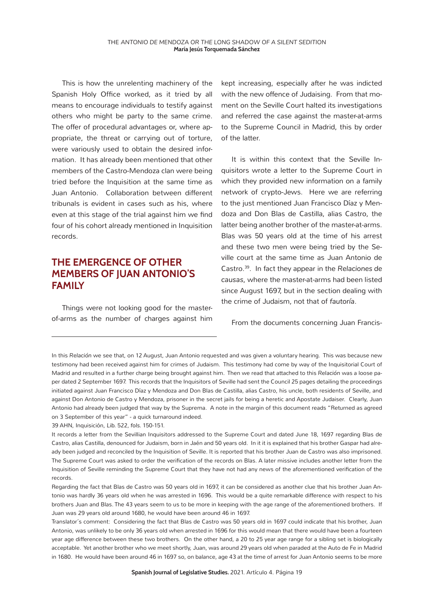This is how the unrelenting machinery of the Spanish Holy Office worked, as it tried by all means to encourage individuals to testify against others who might be party to the same crime. The offer of procedural advantages or, where appropriate, the threat or carrying out of torture, were variously used to obtain the desired information. It has already been mentioned that other members of the Castro-Mendoza clan were being tried before the Inquisition at the same time as Juan Antonio. Collaboration between different tribunals is evident in cases such as his, where even at this stage of the trial against him we find four of his cohort already mentioned in Inquisition records.

#### **THE EMERGENCE OF OTHER MEMBERS OF JUAN ANTONIO'S FAMILY**

Things were not looking good for the masterof-arms as the number of charges against him kept increasing, especially after he was indicted with the new offence of Judaising. From that moment on the Seville Court halted its investigations and referred the case against the master-at-arms to the Supreme Council in Madrid, this by order of the latter.

It is within this context that the Seville Inquisitors wrote a letter to the Supreme Court in which they provided new information on a family network of crypto-Jews. Here we are referring to the just mentioned Juan Francisco Díaz y Mendoza and Don Blas de Castilla, alias Castro, the latter being another brother of the master-at-arms. Blas was 50 years old at the time of his arrest and these two men were being tried by the Seville court at the same time as Juan Antonio de Castro.39. In fact they appear in the *Relaciones de causas*, where the master-at-arms had been listed since August 1697, but in the section dealing with the crime of Judaism, not that of *fautoría*.

From the documents concerning Juan Francis-

In this *Relación* we see that, on 12 August, Juan Antonio requested and was given a voluntary hearing. This was because new testimony had been received against him for crimes of Judaism. This testimony had come by way of the Inquisitorial Court of Madrid and resulted in a further charge being brought against him. Then we read that attached to this *Relación* was a loose paper dated 2 September 1697. This records that the Inquisitors of Seville had sent the Council 25 pages detailing the proceedings initiated against Juan Francisco Díaz y Mendoza and Don Blas de Castilla, alias Castro, his uncle, both residents of Seville, and against Don Antonio de Castro y Mendoza, prisoner in the secret jails for being a heretic and Apostate Judaiser. Clearly, Juan Antonio had already been judged that way by the Suprema. A note in the margin of this document reads "Returned as agreed on 3 September of this year" - a quick turnaround indeed.

39 AHN, Inquisición, *Lib.* 522, *fols.* 150-151.

It records a letter from the Sevillian Inquisitors addressed to the Supreme Court and dated June 18, 1697 regarding Blas de Castro, alias Castilla, denounced for Judaism, born in Jaén and 50 years old. In it it is explained that his brother Gaspar had already been judged and reconciled by the Inquisition of Seville. It is reported that his brother Juan de Castro was also imprisoned. The Supreme Court was asked to order the verification of the records on Blas. A later missive includes another letter from the Inquisition of Seville reminding the Supreme Court that they have not had any news of the aforementioned verification of the records.

Regarding the fact that Blas de Castro was 50 years old in 1697, it can be considered as another clue that his brother Juan Antonio was hardly 36 years old when he was arrested in 1696. This would be a quite remarkable difference with respect to his brothers Juan and Blas. The 43 years seem to us to be more in keeping with the age range of the aforementioned brothers. If Juan was 29 years old around 1680, he would have been around 46 in 1697.

Translator´s comment: Considering the fact that Blas de Castro was 50 years old in 1697 could indicate that his brother, Juan Antonio, was unlikely to be only 36 years old when arrested in 1696 for this would mean that there would have been a fourteen year age difference between these two brothers. On the other hand, a 20 to 25 year age range for a sibling set is biologically acceptable. Yet another brother who we meet shortly, Juan, was around 29 years old when paraded at the Auto de Fe in Madrid in 1680. He would have been around 46 in 1697 so, on balance, age 43 at the time of arrest for Juan Antonio seems to be more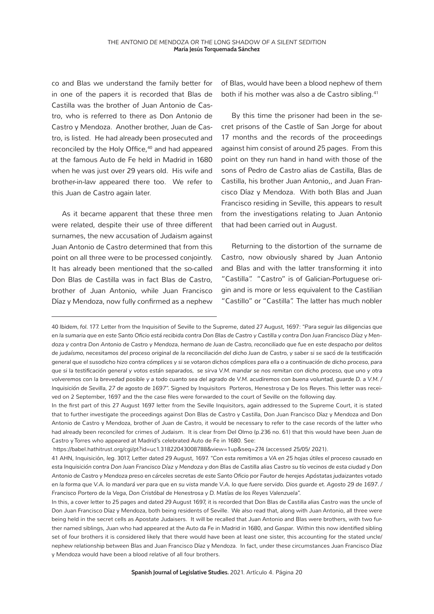co and Blas we understand the family better for in one of the papers it is recorded that Blas de Castilla was the brother of Juan Antonio de Castro, who is referred to there as Don Antonio de Castro y Mendoza. Another brother, Juan de Castro, is listed. He had already been prosecuted and reconciled by the Holy Office,<sup>40</sup> and had appeared at the famous Auto de Fe held in Madrid in 1680 when he was just over 29 years old. His wife and brother-in-law appeared there too. We refer to this Juan de Castro again later.

As it became apparent that these three men were related, despite their use of three different surnames, the new accusation of Judaism against Juan Antonio de Castro determined that from this point on all three were to be processed conjointly. It has already been mentioned that the so-called Don Blas de Castilla was in fact Blas de Castro, brother of Juan Antonio, while Juan Francisco Díaz y Mendoza, now fully confirmed as a nephew of Blas, would have been a blood nephew of them both if his mother was also a de Castro sibling.<sup>41</sup>

By this time the prisoner had been in the secret prisons of the Castle of San Jorge for about 17 months and the records of the proceedings against him consist of around 25 pages. From this point on they run hand in hand with those of the sons of Pedro de Castro alias de Castilla, Blas de Castilla, his brother Juan Antonio,, and Juan Francisco Díaz y Mendoza. With both Blas and Juan Francisco residing in Seville, this appears to result from the investigations relating to Juan Antonio that had been carried out in August.

Returning to the distortion of the surname de Castro, now obviously shared by Juan Antonio and Blas and with the latter transforming it into "Castilla". "Castro" is of Galician-Portuguese origin and is more or less equivalent to the Castilian "Castillo" or "Castilla". The latter has much nobler

In the first part of this 27 August 1697 letter from the Seville Inquisitors, again addressed to the Supreme Court, it is stated that to further investigate the proceedings against Don Blas de Castro y Castilla, Don Juan Francisco Díaz y Mendoza and Don Antonio de Castro y Mendoza, brother of Juan de Castro, it would be necessary to refer to the case records of the latter who had already been reconciled for crimes of Judaism. It is clear from Del Olmo (p.236 no. 61) that this would have been Juan de Castro y Torres who appeared at Madrid's celebrated Auto de Fe in 1680. See:

https://babel.hathitrust.org/cgi/pt?id=uc1.31822043008788&view=1up&seq=274 (accessed 25/05/ 2021).

In this, a cover letter to 25 pages and dated 29 August 1697, it is recorded that Don Blas de Castilla alias Castro was the uncle of Don Juan Francisco Díaz y Mendoza, both being residents of Seville. We also read that, along with Juan Antonio, all three were being held in the secret cells as Apostate Judaisers. It will be recalled that Juan Antonio and Blas were brothers, with two further named siblings, Juan who had appeared at the Auto da Fe in Madrid in 1680, and Gaspar. Within this now identified sibling set of four brothers it is considered likely that there would have been at least one sister, this accounting for the stated uncle/ nephew relationship between Blas and Juan Francisco Díaz y Mendoza. In fact, under these circumstances Juan Francisco Díaz y Mendoza would have been a blood relative of all four brothers.

<sup>40</sup> *Ibidem, fol.* 177. Letter from the Inquisition of Seville to the Supreme, dated 27 August, 1697: *"Para seguir las diligencias que en la sumaria que en este Santo Oficio está recibida contra Don Blas de Castro y Castilla y contra Don Juan Francisco Díaz y Mendoza y contra Don Antonio de Castro y Mendoza, hermano de Juan de Castro, reconciliado que fue en este despacho por delitos de judaísmo, necesitamos del proceso original de la reconciliación del dicho Juan de Castro, y saber si se sacó de la testificación general que el susodicho hizo contra cómplices y si se votaron dichos cómplices para ella o a continuación de dicho proceso, para que si la testificación general y votos están separados, se sirva V.M. mandar se nos remitan con dicho proceso, que uno y otra volveremos con la brevedad posible y a todo cuanto sea del agrado de V.M. acudiremos con buena voluntad, guarde D. a V.M. / Inquisición de Sevilla, 27 de agosto de 1697".* Signed by Inquisitors Porteros, Henestrosa y De los Reyes. This letter was received on 2 September, 1697 and the the case files were forwarded to the court of Seville on the following day.

<sup>41</sup> AHN, Inquisición, *leg.* 3017, Letter dated 29 August, 1697. *"Con esta remitimos a VA en 25 hojas útiles el proceso causado en esta Inquisición contra Don Juan Francisco Díaz y Mendoza y don Blas de Castilla alias Castro su tío vecinos de esta ciudad y Don Antonio de Castro y Mendoza preso en cárceles secretas de este Santo Oficio por Fautor de herejes Apóstatas judaizantes votado en la forma que V.A. lo mandará ver para que en su vista mande V.A. lo que fuere servido. Dios guarde et. Agosto 29 de 1697. / Francisco Portero de la Vega, Don Cristóbal de Henestrosa y D. Matías de los Reyes Valenzuela".*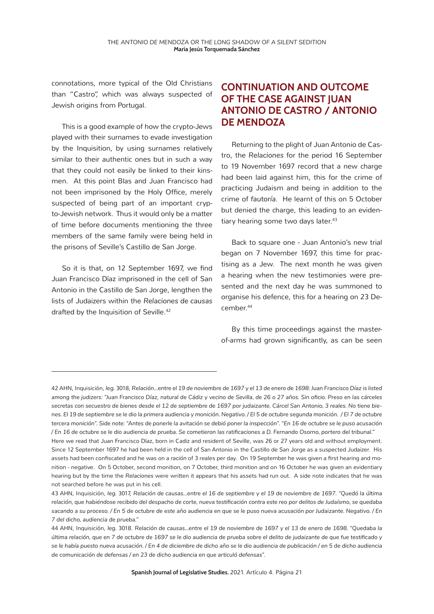connotations, more typical of the Old Christians than "Castro", which was always suspected of Jewish origins from Portugal.

This is a good example of how the crypto-Jews played with their surnames to evade investigation by the Inquisition, by using surnames relatively similar to their authentic ones but in such a way that they could not easily be linked to their kinsmen. At this point Blas and Juan Francisco had not been imprisoned by the Holy Office, merely suspected of being part of an important crypto-Jewish network. Thus it would only be a matter of time before documents mentioning the three members of the same family were being held in the prisons of Seville's Castillo de San Jorge.

So it is that, on 12 September 1697, we find Juan Francisco Díaz imprisoned in the cell of San Antonio in the Castillo de San Jorge, lengthen the lists of Judaizers within the *Relaciones de causas* drafted by the Inquisition of Seville.<sup>42</sup>

### **CONTINUATION AND OUTCOME OF THE CASE AGAINST JUAN ANTONIO DE CASTRO / ANTONIO DE MENDOZA**

Returning to the plight of Juan Antonio de Castro, the *Relaciones* for the period 16 September to 19 November 1697 record that a new charge had been laid against him, this for the crime of practicing Judaism and being in addition to the crime of *fautoría*. He learnt of this on 5 October but denied the charge, this leading to an evidentiary hearing some two days later.<sup>43</sup>

Back to square one - Juan Antonio's new trial began on 7 November 1697, this time for practising as a Jew. The next month he was given a hearing when the new testimonies were presented and the next day he was summoned to organise his defence, this for a hearing on 23 December.<sup>44</sup>

By this time proceedings against the masterof-arms had grown significantly, as can be seen

<sup>42</sup> AHN, Inquisición, *leg.* 3018, *Relación…entre el 19 de noviembre de 1697 y el 13 de enero de 1698: Juan Francisco Díaz is listed among the judizers: "Juan Francisco Díaz, natural de Cádiz y vecino de Sevilla, de 26 o 27 años. Sin oficio. Preso en las cárceles secretas con secuestro de bienes desde el 12 de septiembre de 1697 por judaizante. Cárcel San Antonio, 3 reales. No tiene bienes. El 19 de septiembre se le dio la primera audiencia y monición. Negativo. / El 5 de octubre segunda monición. / El 7 de octubre tercera monición". Side note: "Antes de ponerle la avitación se debió poner la inspección". "En 16 de octubre se le puso acusación / En 16 de octubre se le dio audiencia de prueba. Se cometieron las ratificaciones a D. Fernando Osorno, portero del tribunal."*

Here we read that Juan Francisco Díaz, born in Cadiz and resident of Seville, was 26 or 27 years old and without employment. Since 12 September 1697 he had been held in the cell of San Antonio in the Castillo de San Jorge as a suspected Judaizer. His assets had been confiscated and he was on a *ración* of 3 reales per day. On 19 September he was given a first hearing and monition - negative. On 5 October, second monition, on 7 October, third monition and on 16 October he was given an evidentiary hearing but by the time the *Relaciones* were written it appears that his assets had run out. A side note indicates that he was not searched before he was put in his cell.

<sup>43</sup> AHN, Inquisición, *leg.* 3017, *Relación de causas…entre el 16 de septiembre y el 19 de noviembre de 1697. "Quedó la última relación, que habiéndose recibido del despacho de corte, nueva testificación contra este reo por delitos de Judaísmo, se quedaba sacando a su proceso. / En 5 de octubre de este año audiencia en que se le puso nueva acusación por Judaizante. Negativo. / En 7 del dicho, audiencia de prueba."*

<sup>44</sup> AHN, Inquisición, *leg.* 3018. *Relación de causas…entre el 19 de noviembre de 1697 y el 13 de enero de 1698. "Quedaba la última relación, que en 7 de octubre de 1697 se le dio audiencia de prueba sobre el delito de judaizante de que fue testificado y se le había puesto nueva acusación. / En 4 de diciembre de dicho año se le dio audiencia de publicación / en 5 de dicho audiencia de comunicación de defensas / en 23 de dicho audiencia en que articuló defensas".*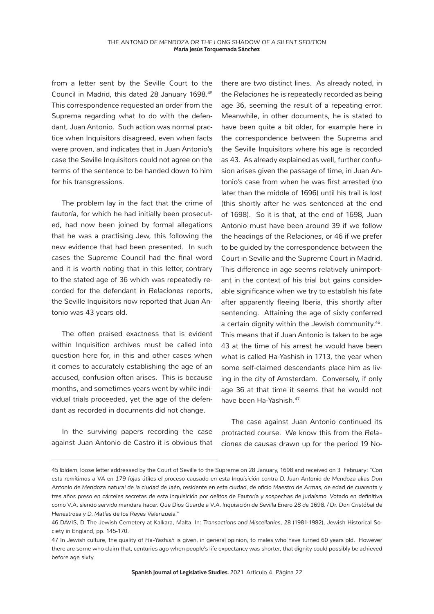from a letter sent by the Seville Court to the Council in Madrid, this dated 28 January 1698.45 This correspondence requested an order from the Suprema regarding what to do with the defendant, Juan Antonio. Such action was normal practice when Inquisitors disagreed, even when facts were proven, and indicates that in Juan Antonio's case the Seville Inquisitors could not agree on the terms of the sentence to be handed down to him for his transgressions.

The problem lay in the fact that the crime of *fautoría*, for which he had initially been prosecuted, had now been joined by formal allegations that he was a practising Jew, this following the new evidence that had been presented. In such cases the Supreme Council had the final word and it is worth noting that in this letter, contrary to the stated age of 36 which was repeatedly recorded for the defendant in *Relaciones* reports, the Seville Inquisitors now reported that Juan Antonio was 43 years old.

The often praised exactness that is evident within Inquisition archives must be called into question here for, in this and other cases when it comes to accurately establishing the age of an accused, confusion often arises. This is because months, and sometimes years went by while individual trials proceeded, yet the age of the defendant as recorded in documents did not change.

In the surviving papers recording the case against Juan Antonio de Castro it is obvious that

there are two distinct lines. As already noted, in the *Relaciones* he is repeatedly recorded as being age 36, seeming the result of a repeating error. Meanwhile, in other documents, he is stated to have been quite a bit older, for example here in the correspondence between the Suprema and the Seville Inquisitors where his age is recorded as 43. As already explained as well, further confusion arises given the passage of time, in Juan Antonio's case from when he was first arrested (no later than the middle of 1696) until his trail is lost (this shortly after he was sentenced at the end of 1698). So it is that, at the end of 1698, Juan Antonio must have been around 39 if we follow the headings of the *Relaciones*, or 46 if we prefer to be guided by the correspondence between the Court in Seville and the Supreme Court in Madrid. This difference in age seems relatively unimportant in the context of his trial but gains considerable significance when we try to establish his fate after apparently fleeing Iberia, this shortly after sentencing. Attaining the age of sixty conferred a certain dignity within the Jewish community.<sup>46</sup>. This means that if Juan Antonio is taken to be age 43 at the time of his arrest he would have been what is called Ha-Yashish in 1713, the year when some self-claimed descendants place him as living in the city of Amsterdam. Conversely, if only age 36 at that time it seems that he would not have been Ha-Yashish.<sup>47</sup>

The case against Juan Antonio continued its protracted course. We know this from the *Relaciones de causas* drawn up for the period 19 No-

<sup>45</sup> *Ibidem,* loose letter addressed by the Court of Seville to the Supreme on 28 January, 1698 and received on 3 February: *"Con esta remitimos a VA en 179 fojas útiles el proceso causado en esta Inquisición contra D. Juan Antonio de Mendoza alias Don Antonio de Mendoza natural de la ciudad de Jaén, residente en esta ciudad, de oficio Maestro de Armas, de edad de cuarenta y tres años preso en cárceles secretas de esta Inquisición por delitos de Fautoría y sospechas de judaísmo. Votado en definitiva como V.A. siendo servido mandara hacer. Que Dios Guarde a V.A. Inquisición de Sevilla Enero 28 de 1698. / Dr. Don Cristóbal de Henestrosa y D. Matías de los Reyes Valenzuela."*

<sup>46</sup> DAVIS, D. The Jewish Cemetery at Kalkara, Malta. In: *Transactions and Miscellanies*, 28 (1981-1982), Jewish Historical Society in England, pp. 145-170.

<sup>47</sup> In Jewish culture, the quality of *Ha-Yashish* is given, in general opinion, to males who have turned 60 years old. However there are some who claim that, centuries ago when people's life expectancy was shorter, that dignity could possibly be achieved before age sixty.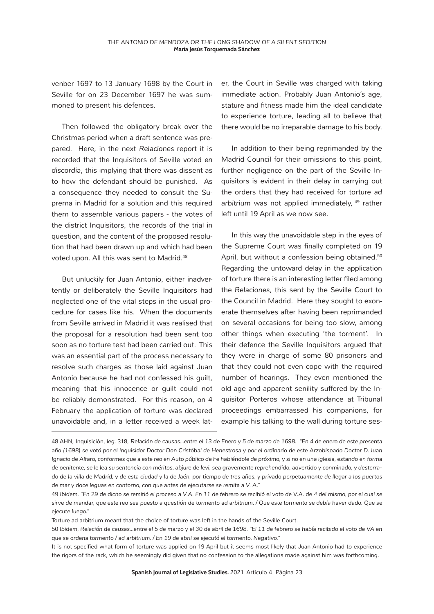venber 1697 to 13 January 1698 by the Court in Seville for on 23 December 1697 he was summoned to present his defences.

Then followed the obligatory break over the Christmas period when a draft sentence was prepared. Here, in the next *Relaciones* report it is recorded that the Inquisitors of Seville voted *en discordia*, this implying that there was dissent as to how the defendant should be punished. As a consequence they needed to consult the Suprema in Madrid for a solution and this required them to assemble various papers - the votes of the district Inquisitors, the records of the trial in question, and the content of the proposed resolution that had been drawn up and which had been voted upon. All this was sent to Madrid.<sup>48</sup>

But unluckily for Juan Antonio, either inadvertently or deliberately the Seville Inquisitors had neglected one of the vital steps in the usual procedure for cases like his. When the documents from Seville arrived in Madrid it was realised that the proposal for a resolution had been sent too soon as no torture test had been carried out. This was an essential part of the process necessary to resolve such charges as those laid against Juan Antonio because he had not confessed his guilt, meaning that his innocence or guilt could not be reliably demonstrated. For this reason, on 4 February the application of torture was declared unavoidable and, in a letter received a week later, the Court in Seville was charged with taking immediate action. Probably Juan Antonio's age, stature and fitness made him the ideal candidate to experience torture, leading all to believe that there would be no irreparable damage to his body.

In addition to their being reprimanded by the Madrid Council for their omissions to this point, further negligence on the part of the Seville Inquisitors is evident in their delay in carrying out the orders that they had received for torture *ad*  arbitrium was not applied immediately, <sup>49</sup> rather left until 19 April as we now see.

In this way the unavoidable step in the eyes of the Supreme Court was finally completed on 19 April, but without a confession being obtained.<sup>50</sup> Regarding the untoward delay in the application of torture there is an interesting letter filed among the *Relaciones*, this sent by the Seville Court to the Council in Madrid. Here they sought to exonerate themselves after having been reprimanded on several occasions for being too slow, among other things when executing 'the torment'. In their defence the Seville Inquisitors argued that they were in charge of some 80 prisoners and that they could not even cope with the required number of hearings. They even mentioned the old age and apparent senility suffered by the Inquisitor Porteros whose attendance at Tribunal proceedings embarrassed his companions, for example his talking to the wall during torture ses-

<sup>48</sup> AHN, Inquisición, *leg.* 318, *Relación de causas…entre el 13 de Enero y 5 de marzo de 1698. "En 4 de enero de este presenta año (1698) se votó por el Inquisidor Doctor Don Cristóbal de Henestrosa y por el ordinario de este Arzobispado Doctor D. Juan Ignacio de Alfaro, conformes que a este reo en Auto público de Fe habiéndole de próximo, y si no en una iglesia, estando en forma de penitente, se le lea su sentencia con méritos, abjure de levi, sea gravemente reprehendido, advertido y conminado, y desterrado de la villa de Madrid, y de esta ciudad y la de Jaén, por tiempo de tres años, y privado perpetuamente de llegar a los puertos de mar y doce leguas en contorno, con que antes de ejecutarse se remita a V. A."*

<sup>49</sup> *Ibidem. "En 29 de dicho se remitió el proceso a V.A. En 11 de febrero se recibió el voto de V.A. de 4 del mismo, por el cual se sirve de mandar, que este reo sea puesto a questión de tormento ad arbitrium. / Que este tormento se debía haver dado. Que se ejecute luego."*

Torture ad arbitrium meant that the choice of torture was left in the hands of the Seville Court.

<sup>50</sup> *Ibidem, Relación de causas…entre el 5 de marzo y el 30 de abril de 1698. "El 11 de febrero se había recibido el voto de VA en que se ordena tormento / ad arbitrium. / En 19 de abril se ejecutó el tormento. Negativo."*

It is not specified what form of torture was applied on 19 April but it seems most likely that Juan Antonio had to experience the rigors of the rack, which he seemingly did given that no confession to the allegations made against him was forthcoming.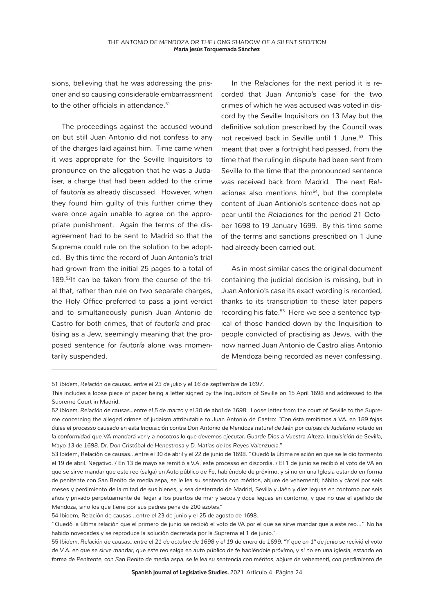sions, believing that he was addressing the prisoner and so causing considerable embarrassment to the other officials in attendance.<sup>51</sup>

The proceedings against the accused wound on but still Juan Antonio did not confess to any of the charges laid against him. Time came when it was appropriate for the Seville Inquisitors to pronounce on the allegation that he was a Judaiser, a charge that had been added to the crime of *fautoría* as already discussed. However, when they found him guilty of this further crime they were once again unable to agree on the appropriate punishment. Again the terms of the disagreement had to be sent to Madrid so that the Suprema could rule on the solution to be adopted. By this time the record of Juan Antonio's trial had grown from the initial 25 pages to a total of 189.<sup>52</sup>It can be taken from the course of the trial that, rather than rule on two separate charges, the Holy Office preferred to pass a joint verdict and to simultaneously punish Juan Antonio de Castro for both crimes, that of *fautoría* and practising as a Jew, seemingly meaning that the proposed sentence for *fautoría* alone was momentarily suspended.

In the *Relaciones* for the next period it is recorded that Juan Antonio's case for the two crimes of which he was accused was voted in discord by the Seville Inquisitors on 13 May but the definitive solution prescribed by the Council was not received back in Seville until 1 June.<sup>53</sup> This meant that over a fortnight had passed, from the time that the ruling in dispute had been sent from Seville to the time that the pronounced sentence was received back from Madrid. The next *Rel*aciones also mentions him<sup>54</sup>, but the complete content of Juan Antionio's sentence does not appear until the *Relaciones* for the period 21 October 1698 to 19 January 1699. By this time some of the terms and sanctions prescribed on 1 June had already been carried out.

As in most similar cases the original document containing the judicial decision is missing, but in Juan Antonio's case its exact wording is recorded, thanks to its transcription to these later papers recording his fate.<sup>55</sup> Here we see a sentence typical of those handed down by the Inquisition to people convicted of practising as Jews, with the now named Juan Antonio de Castro alias Antonio de Mendoza being recorded as never confessing.

<sup>51</sup> *Ibidem, Relación de causas…entre el 23 de julio y el 16 de septiembre de 1697.* 

This includes a loose piece of paper being a letter signed by the Inquisitors of Seville on 15 April 1698 and addressed to the Supreme Court in Madrid.

<sup>52</sup> Ibidem. Relación de causas...entre el 5 de marzo y el 30 de abril de 1698. Loose letter from the court of Seville to the Supreme concerning the alleged crimes of judaism attributable to Juan Antonio de Castro: *"Con ésta remitimos a VA. en 189 fojas útiles el processo causado en esta Inquisición contra Don Antonio de Mendoza natural de Jaén por culpas de Judaísmo votado en la conformidad que VA mandará ver y a nosotros lo que devemos ejecutar. Guarde Dios a Vuestra Alteza. Inquisición de Sevilla, Mayo 13 de 1698. Dr. Don Cristóbal de Henestrosa y D. Matías de los Reyes Valenzuela."*

<sup>53</sup> Ibidem, Relación de causas…entre el 30 de abril y el 22 de junio de 1698. "Quedó la última relación en que se le dio tormento el 19 de abril. Negativo. / En 13 de mayo se remitió a V.A. este processo en discordia. / El 1 de junio se recibió el voto de VA en que se sirve mandar que este reo (salga) en Auto público de Fe, habiéndole de próximo, y si no en una Iglesia estando en forma de penitente con San Benito de media aspa, se le lea su sentencia con méritos, abjure de vehementi; hábito y cárcel por seis meses y perdimiento de la mitad de sus bienes, y sea desterrado de Madrid, Sevilla y Jaén y diez leguas en contorno por seis años y privado perpetuamente de llegar a los puertos de mar y secos y doce leguas en contorno, y que no use el apellido de Mendoza, sino los que tiene por sus padres pena de 200 azotes."

<sup>54</sup> Ibidem, Relación de causas…entre el 23 de junio y el 25 de agosto de 1698.

<sup>&</sup>quot;Quedó la última relación que el primero de junio se recibió el voto de VA por el que se sirve mandar que a este reo…" No ha habido novedades y se reproduce la solución decretada por la Suprema el 1 de junio."

<sup>55</sup> *Ibidem, Relación de causas…entre el 21 de octubre de 1698 y el 19 de enero de 1699. "Y que en 1º de junio se recivió el voto de V.A. en que se sirve mandar, que este reo salga en auto público de fe habiéndole próximo, y si no en una iglesia, estando en forma de Penitente, con San Benito de media aspa, se le lea su sentencia con méritos, abjure de vehementi, con perdimiento de*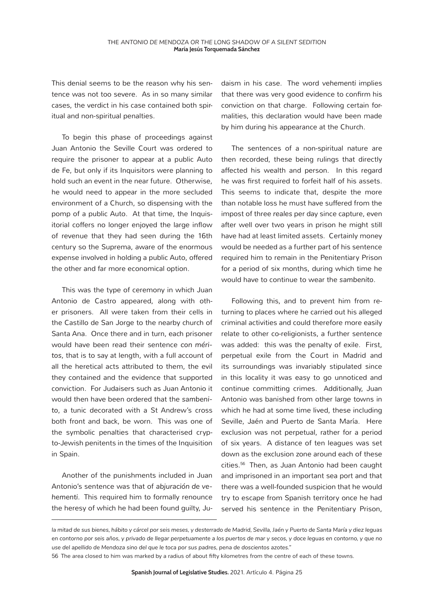This denial seems to be the reason why his sentence was not too severe. As in so many similar cases, the verdict in his case contained both spiritual and non-spiritual penalties.

To begin this phase of proceedings against Juan Antonio the Seville Court was ordered to require the prisoner to appear at a public Auto de Fe, but only if its Inquisitors were planning to hold such an event in the near future. Otherwise, he would need to appear in the more secluded environment of a Church, so dispensing with the pomp of a public Auto. At that time, the Inquisitorial coffers no longer enjoyed the large inflow of revenue that they had seen during the 16th century so the Suprema, aware of the enormous expense involved in holding a public Auto, offered the other and far more economical option.

This was the type of ceremony in which Juan Antonio de Castro appeared, along with other prisoners. All were taken from their cells in the Castillo de San Jorge to the nearby church of Santa Ana. Once there and in turn, each prisoner would have been read their sentence *con méritos*, that is to say at length, with a full account of all the heretical acts attributed to them, the evil they contained and the evidence that supported conviction. For Judaisers such as Juan Antonio it would then have been ordered that the *sambenito*, a tunic decorated with a St Andrew's cross both front and back, be worn. This was one of the symbolic penalties that characterised crypto-Jewish penitents in the times of the Inquisition in Spain.

Another of the punishments included in Juan Antonio's sentence was that of *abjuración de vehementi*. This required him to formally renounce the heresy of which he had been found guilty, Ju-

daism in his case. The word *vehementi* implies that there was very good evidence to confirm his conviction on that charge. Following certain formalities, this declaration would have been made by him during his appearance at the Church.

The sentences of a non-spiritual nature are then recorded, these being rulings that directly affected his wealth and person. In this regard he was first required to forfeit half of his assets. This seems to indicate that, despite the more than notable loss he must have suffered from the impost of three *reales* per day since capture, even after well over two years in prison he might still have had at least limited assets. Certainly money would be needed as a further part of his sentence required him to remain in the Penitentiary Prison for a period of six months, during which time he would have to continue to wear the *sambenito*.

Following this, and to prevent him from returning to places where he carried out his alleged criminal activities and could therefore more easily relate to other co-religionists, a further sentence was added: this was the penalty of exile. First, perpetual exile from the Court in Madrid and its surroundings was invariably stipulated since in this locality it was easy to go unnoticed and continue committing crimes. Additionally, Juan Antonio was banished from other large towns in which he had at some time lived, these including Seville, Jaén and Puerto de Santa María. Here exclusion was not perpetual, rather for a period of six years. A distance of ten leagues was set down as the exclusion zone around each of these cities.56 Then, as Juan Antonio had been caught and imprisoned in an important sea port and that there was a well-founded suspicion that he would try to escape from Spanish territory once he had served his sentence in the Penitentiary Prison,

*la mitad de sus bienes, hábito y cárcel por seis meses, y desterrado de Madrid, Sevilla, Jaén y Puerto de Santa María y diez leguas en contorno por seis años, y privado de llegar perpetuamente a los puertos de mar y secos, y doce leguas en contorno, y que no use del apellido de Mendoza sino del que le toca por sus padres, pena de doscientos azotes."*

<sup>56</sup> The area closed to him was marked by a radius of about fifty kilometres from the centre of each of these towns.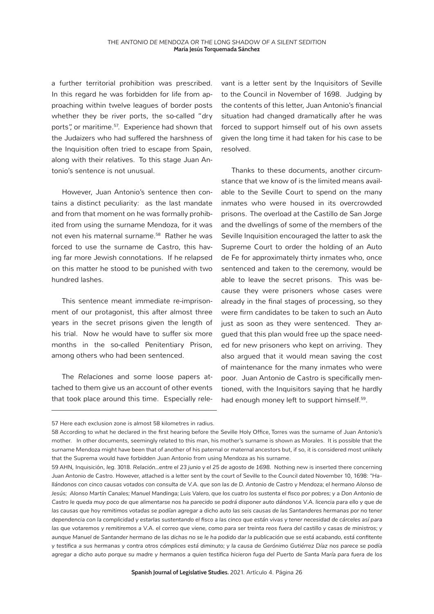a further territorial prohibition was prescribed. In this regard he was forbidden for life from approaching within twelve leagues of border posts whether they be river ports, the so-called "dry ports", or maritime.<sup>57</sup>. Experience had shown that the Judaizers who had suffered the harshness of the Inquisition often tried to escape from Spain, along with their relatives. To this stage Juan Antonio's sentence is not unusual.

However, Juan Antonio's sentence then contains a distinct peculiarity: as the last mandate and from that moment on he was formally prohibited from using the surname Mendoza, for it was not even his maternal surname.<sup>58</sup> Rather he was forced to use the surname de Castro, this having far more Jewish connotations. If he relapsed on this matter he stood to be punished with two hundred lashes.

This sentence meant immediate re-imprisonment of our protagonist, this after almost three years in the secret prisons given the length of his trial. Now he would have to suffer six more months in the so-called Penitentiary Prison, among others who had been sentenced.

The *Relaciones* and some loose papers attached to them give us an account of other events that took place around this time. Especially relevant is a letter sent by the Inquisitors of Seville to the Council in November of 1698. Judging by the contents of this letter, Juan Antonio's financial situation had changed dramatically after he was forced to support himself out of his own assets given the long time it had taken for his case to be resolved.

Thanks to these documents, another circumstance that we know of is the limited means available to the Seville Court to spend on the many inmates who were housed in its overcrowded prisons. The overload at the Castillo de San Jorge and the dwellings of some of the members of the Seville Inquisition encouraged the latter to ask the Supreme Court to order the holding of an Auto de Fe for approximately thirty inmates who, once sentenced and taken to the ceremony, would be able to leave the secret prisons. This was because they were prisoners whose cases were already in the final stages of processing, so they were firm candidates to be taken to such an Auto just as soon as they were sentenced. They argued that this plan would free up the space needed for new prisoners who kept on arriving. They also argued that it would mean saving the cost of maintenance for the many inmates who were poor. Juan Antonio de Castro is specifically mentioned, with the Inquisitors saying that he hardly had enough money left to support himself.<sup>59</sup>.

<sup>57</sup> Here each exclusion zone is almost 58 kilometres in radius.

<sup>58</sup> According to what he declared in the first hearing before the Seville Holy Office, Torres was the surname of Juan Antonio's mother. In other documents, seemingly related to this man, his mother's surname is shown as Morales. It is possible that the surname Mendoza might have been that of another of his paternal or maternal ancestors but, if so, it is considered most unlikely that the Suprema would have forbidden Juan Antonio from using Mendoza as his surname.

<sup>59</sup> AHN, Inquisición, *leg.* 3018. *Relación…entre el 23 junio y el 25 de agosto de 1698.* Nothing new is inserted there concerning Juan Antonio de Castro. However, attached is a letter sent by the court of Seville to the Council dated November 10, 1698: *"Hallándonos con cinco causas votados con consulta de V.A. que son las de D. Antonio de Castro y Mendoza; el hermano Alonso de Jesús; Alonso Martín Canales; Manuel Mandinga; Luis Valero, que los cuatro los sustenta el fisco por pobres; y a Don Antonio de Castro le queda muy poco de que alimentarse nos ha parecido se podrá disponer auto dándonos V.A. licencia para ello y que de*  las causas que hoy remitimos votadas se podían agregar a dicho auto las seis causas de las Santanderes hermanas por no tener *dependencia con la complicidad y estarlas sustentando el fisco a las cinco que están vivas y tener necesidad de cárceles así para las que votaremos y remitiremos a V.A. el correo que viene, como para ser treinta reos fuera del castillo y casas de ministros; y aunque Manuel de Santander hermano de las dichas no se le ha podido dar la publicación que se está acabando, está confitente y testifica a sus hermanas y contra otros cómplices está diminuto; y la causa de Gerónimo Gutiérrez Díaz nos parece se podía agregar a dicho auto porque su madre y hermanos a quien testifica hicieron fuga del Puerto de Santa María para fuera de los*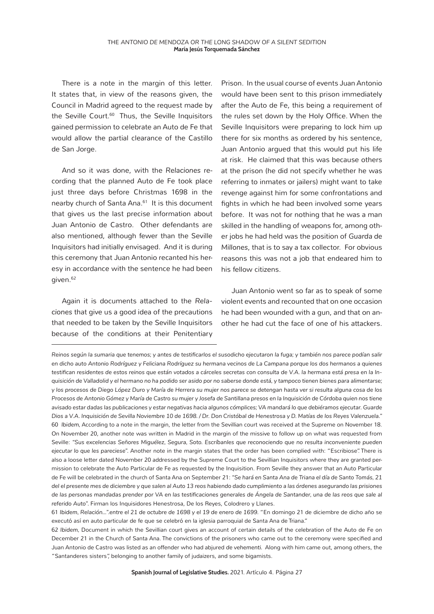There is a note in the margin of this letter. It states that, in view of the reasons given, the Council in Madrid agreed to the request made by the Seville Court.<sup>60</sup> Thus, the Seville Inquisitors gained permission to celebrate an Auto de Fe that would allow the partial clearance of the Castillo de San Jorge.

And so it was done, with the *Relaciones* recording that the planned Auto de Fe took place just three days before Christmas 1698 in the nearby church of Santa Ana.<sup>61</sup> It is this document that gives us the last precise information about Juan Antonio de Castro. Other defendants are also mentioned, although fewer than the Seville Inquisitors had initially envisaged. And it is during this ceremony that Juan Antonio recanted his heresy in accordance with the sentence he had been given.62

Again it is documents attached to the *Relaciones* that give us a good idea of the precautions that needed to be taken by the Seville Inquisitors because of the conditions at their Penitentiary

Prison. In the usual course of events Juan Antonio would have been sent to this prison immediately after the Auto de Fe, this being a requirement of the rules set down by the Holy Office. When the Seville Inquisitors were preparing to lock him up there for six months as ordered by his sentence, Juan Antonio argued that this would put his life at risk. He claimed that this was because others at the prison (he did not specify whether he was referring to inmates or jailers) might want to take revenge against him for some confrontations and fights in which he had been involved some years before. It was not for nothing that he was a man skilled in the handling of weapons for, among other jobs he had held was the position of *Guarda de Millones*, that is to say a tax collector. For obvious reasons this was not a job that endeared him to his fellow citizens.

Juan Antonio went so far as to speak of some violent events and recounted that on one occasion he had been wounded with a gun, and that on another he had cut the face of one of his attackers.

61 *Ibidem, Relación…".entre el 21 de octubre de 1698 y el 19 de enero de 1699.* "En domingo 21 de diciembre de dicho año se executó así en auto particular de fe que se celebró en la iglesia parroquial de Santa Ana de Triana."

62 *Ibidem,* Document in which the Sevillian court gives an account of certain details of the celebration of the Auto de Fe on December 21 in the Church of Santa Ana. The convictions of the prisoners who came out to the ceremony were specified and Juan Antonio de Castro was listed as an offender who had abjured *de vehementi.* Along with him came out, among others, the "Santanderes sisters", belonging to another family of judaizers, and some bigamists.

*Reinos según la sumaria que tenemos; y antes de testificarlos el susodicho ejecutaron la fuga; y también nos parece podían salir en dicho auto Antonio Rodríguez y Feliciana Rodríguez su hermana vecinos de La Campana porque los dos hermanos a quienes testifican residentes de estos reinos que están votados a cárceles secretas con consulta de V.A. la hermana está presa en la Inquisición de Valladolid y el hermano no ha podido ser asido por no saberse donde está, y tampoco tienen bienes para alimentarse; y los procesos de Diego López Duro y María de Herrera su mujer nos parece se detengan hasta ver si resulta alguna cosa de los Procesos de Antonio Gómez y María de Castro su mujer y Josefa de Santillana presos en la Inquisición de Córdoba quien nos tiene avisado estar dadas las publicaciones y estar negativas hacia algunos cómplices; VA mandará lo que debiéramos ejecutar. Guarde Dios a V.A. Inquisición de Sevilla Noviembre 10 de 1698. / Dr. Don Cristóbal de Henestrosa y D. Matías de los Reyes Valenzuela."* 60 *Ibidem,* According to a note in the margin, the letter from the Sevillian court was received at the Supreme on November 18. On November 20, another note was written in Madrid in the margin of the missive to follow up on what was requested from Seville: *"Sus excelencias Señores Miguélez, Segura, Soto. Escríbanles que reconociendo que no resulta inconveniente pueden ejecutar lo que les pareciese".* Another note in the margin states that the order has been complied with: "Escribiose". There is also a loose letter dated November 20 addressed by the Supreme Court to the Sevillian Inquisitors where they are granted permission to celebrate the Auto Particular de Fe as requested by the Inquisition. From Seville they answer that an Auto Particular de Fe will be celebrated in the church of Santa Ana on September 21: *"Se hará en Santa Ana de Triana el día de Santo Tomás, 21 del el presente mes de diciembre y que salen al Auto 13 reos habiendo dado cumplimiento a las órdenes asegurando las prisiones de las personas mandadas prender por VA en las testificaciones generales de Ángela de Santander, una de las reos que sale al referido Auto".* Firman los Inquisidores Henestrosa, De los Reyes, Colodrero y Llanes.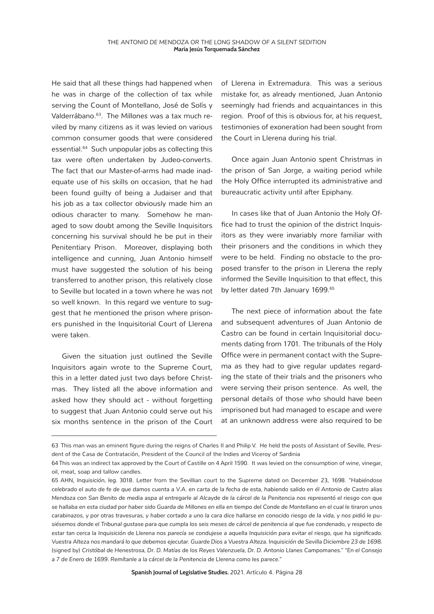He said that all these things had happened when he was in charge of the collection of tax while serving the Count of Montellano, José de Solís y Valderrábano.63. The *Millones* was a tax much reviled by many citizens as it was levied on various common consumer goods that were considered essential.64 Such unpopular jobs as collecting this tax were often undertaken by Judeo-converts. The fact that our Master-of-arms had made inadequate use of his skills on occasion, that he had been found guilty of being a Judaiser and that his job as a tax collector obviously made him an odious character to many. Somehow he managed to sow doubt among the Seville Inquisitors concerning his survival should he be put in their Penitentiary Prison. Moreover, displaying both intelligence and cunning, Juan Antonio himself must have suggested the solution of his being transferred to another prison, this relatively close to Seville but located in a town where he was not so well known. In this regard we venture to suggest that he mentioned the prison where prisoners punished in the Inquisitorial Court of Llerena were taken.

Given the situation just outlined the Seville Inquisitors again wrote to the Supreme Court, this in a letter dated just two days before Christmas. They listed all the above information and asked how they should act - without forgetting to suggest that Juan Antonio could serve out his six months sentence in the prison of the Court of Llerena in Extremadura. This was a serious mistake for, as already mentioned, Juan Antonio seemingly had friends and acquaintances in this region. Proof of this is obvious for, at his request, testimonies of exoneration had been sought from the Court in Llerena during his trial.

Once again Juan Antonio spent Christmas in the prison of San Jorge, a waiting period while the Holy Office interrupted its administrative and bureaucratic activity until after Epiphany.

In cases like that of Juan Antonio the Holy Office had to trust the opinion of the district Inquisitors as they were invariably more familiar with their prisoners and the conditions in which they were to be held. Finding no obstacle to the proposed transfer to the prison in Llerena the reply informed the Seville Inquisition to that effect, this by letter dated 7th January 1699.<sup>65</sup>

The next piece of information about the fate and subsequent adventures of Juan Antonio de Castro can be found in certain Inquisitorial documents dating from 1701. The tribunals of the Holy Office were in permanent contact with the Suprema as they had to give regular updates regarding the state of their trials and the prisoners who were serving their prison sentence. As well, the personal details of those who should have been imprisoned but had managed to escape and were at an unknown address were also required to be

**Spanish Journal of Legislative Studies.** 2021. Artículo 4. Página 28

<sup>63</sup> This man was an eminent figure during the reigns of Charles II and Philip V. He held the posts of Assistant of Seville, President of the Casa de Contratación, President of the Council of the Indies and Viceroy of Sardinia

<sup>64</sup> This was an indirect tax approved by the Court of Castille on 4 April 1590. It was levied on the consumption of wine, vinegar, oil, meat, soap and tallow candles.

<sup>65</sup> AHN, *Inquisición, leg.* 3018. Letter from the Sevillian court to the Supreme dated on December 23, 1698. *"Habiéndose celebrado el auto de fe de que damos cuenta a V.A. en carta de la fecha de esta, habiendo salido en él Antonio de Castro alias Mendoza con San Benito de media aspa al entregarle al Alcayde de la cárcel de la Penitencia nos representó el riesgo con que se hallaba en esta ciudad por haber sido Guarda de Millones en ella en tiempo del Conde de Montellano en el cual le tiraron unos carabinazos, y por otras travesuras, y haber cortado a uno la cara dice hallarse en conocido riesgo de la vida, y nos pidió le pusiésemos donde el Tribunal gustase para que cumpla los seis meses de cárcel de penitencia al que fue condenado, y respecto de estar tan cerca la Inquisición de Llerena nos parecía se condujese a aquella Inquisición para evitar el riesgo, que ha significado. Vuestra Alteza nos mandará lo que debemos ejecutar. Guarde Dios a Vuestra Alteza. Inquisición de Sevilla Diciembre 23 de 1698.*  (signed by) *Cristóbal de Henestrosa, Dr. D. Matías de los Reyes Valenzuela, Dr. D. Antonio Llanes Campomanes." "En el Consejo a 7 de Enero de 1699. Remítanle a la cárcel de la Penitencia de Llerena como les parece."*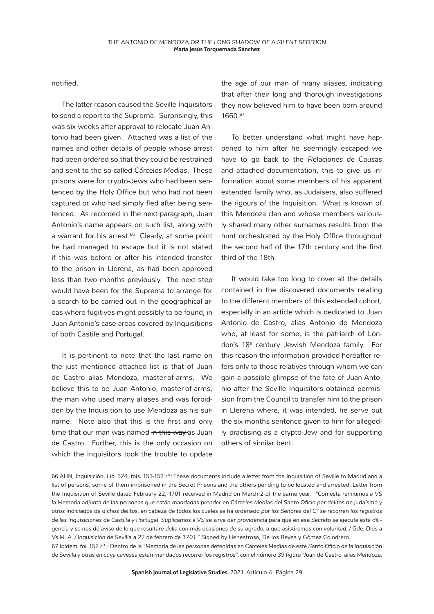notified.

The latter reason caused the Seville Inquisitors to send a report to the Suprema. Surprisingly, this was six weeks after approval to relocate Juan Antonio had been given. Attached was a list of the names and other details of people whose arrest had been ordered so that they could be restrained and sent to the so-called *Cárceles Medias*. These prisons were for crypto-Jews who had been sentenced by the Holy Office but who had not been captured or who had simply fled after being sentenced. As recorded in the next paragraph, Juan Antonio's name appears on such list, along with a warrant for his arrest.<sup>66</sup> Clearly, at some point he had managed to escape but it is not stated if this was before or after his intended transfer to the prison in Llerena, as had been approved less than two months previously. The next step would have been for the Suprema to arrange for a search to be carried out in the geographical areas where fugitives might possibly to be found, in Juan Antonio's case areas covered by Inquisitions of both Castile and Portugal.

It is pertinent to note that the last name on the just mentioned attached list is that of Juan de Castro alias Mendoza, master-of-arms. We believe this to be Juan Antonio, master-of-arms, the man who used many aliases and was forbidden by the Inquisition to use Mendoza as his surname. Note also that this is the first and only time that our man was named in this way as Juan de Castro. Further, this is the only occasion on which the Inquisitors took the trouble to update

the age of our man of many aliases, indicating that after their long and thorough investigations they now believed him to have been born around 1660.67

To better understand what might have happened to him after he seemingly escaped we have to go back to the *Relaciones de Causas* and attached documentation, this to give us information about some members of his apparent extended family who, as Judaisers, also suffered the rigours of the Inquisition. What is known of this Mendoza clan and whose members variously shared many other surnames results from the hunt orchestrated by the Holy Office throughout the second half of the 17th century and the first third of the 18th

It would take too long to cover all the details contained in the discovered documents relating to the different members of this extended cohort, especially in an article which is dedicated to Juan Antonio de Castro, alias Antonio de Mendoza who, at least for some, is the patriarch of London's 18th century Jewish Mendoza family. For this reason the information provided hereafter refers only to those relatives through whom we can gain a possible glimpse of the fate of Juan Antonio after the Seville Inquisitors obtained permission from the Council to transfer him to the prison in Llerena where, it was intended, he serve out the six months sentence given to him for allegedly practising as a crypto-Jew and for supporting others of similar bent.

<sup>66</sup> AHN, Inquisición, *Lib.* 524, *fols.* 151-152 rº: These documents include a letter from the Inquisition of Seville to Madrid and a list of persons, some of them imprisoned in the Secret Prisons and the others pending to be located and arrested: Letter from the Inquisition of Seville dated February 22, 1701 received in Madrid on March 2 of the same year: *"Con esta remitimos a VS la Memoria adjunta de las personas que están mandadas prender en Cárceles Medias del Santo Oficio por delitos de judaísmo y otros indiciados de dichos delitos, en cabeza de todos los cuales se ha ordenado por los Señores del Cº se recorran los registros de las Inquisiciones de Castilla y Portugal. Suplicamos a VS se sirva dar providencia para que en ese Secreto se ejecute esta diligencia y se nos dé aviso de lo que resultare della con más ocasiones de su agrado, a que asistiremos con voluntad. / Gde. Dios a Vs M. A. / Inquisición de Sevilla a 22 de febrero de 1701."* Signed by Henestrosa, De los Reyes y Gómez Colodrero.

<sup>67</sup> *Ibidem, fol.* 152 rº.: Dentro de la *"Memoria de las personas detenidas en Cárceles Medias de este Santo Oficio de la Inquisición de Sevilla y otras en cuya cavessa están mandados recorrer los registros", con el número 39 figura "Juan de Castro, alias Mendoza,*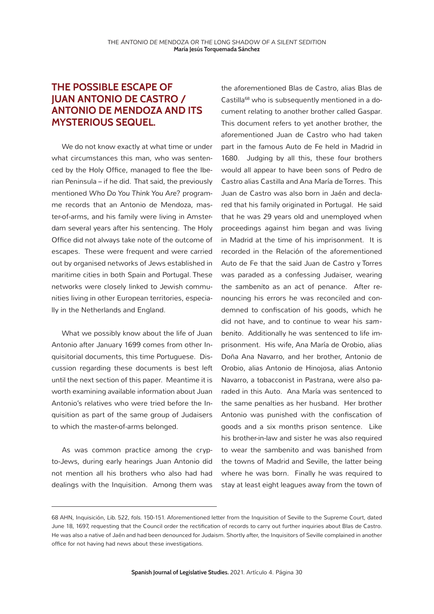### **THE POSSIBLE ESCAPE OF JUAN ANTONIO DE CASTRO / ANTONIO DE MENDOZA AND ITS MYSTERIOUS SEQUEL.**

We do not know exactly at what time or under what circumstances this man, who was sentenced by the Holy Office, managed to flee the Iberian Peninsula – if he did. That said, the previously mentioned *Who Do You Think You Are?* programme records that an Antonio de Mendoza, master-of-arms, and his family were living in Amsterdam several years after his sentencing. The Holy Office did not always take note of the outcome of escapes. These were frequent and were carried out by organised networks of Jews established in maritime cities in both Spain and Portugal. These networks were closely linked to Jewish communities living in other European territories, especially in the Netherlands and England.

What we possibly know about the life of Juan Antonio after January 1699 comes from other Inquisitorial documents, this time Portuguese. Discussion regarding these documents is best left until the next section of this paper. Meantime it is worth examining available information about Juan Antonio's relatives who were tried before the Inquisition as part of the same group of Judaisers to which the master-of-arms belonged.

As was common practice among the crypto-Jews, during early hearings Juan Antonio did not mention all his brothers who also had had dealings with the Inquisition. Among them was

the aforementioned Blas de Castro, alias Blas de Castilla<sup>68</sup> who is subsequently mentioned in a document relating to another brother called Gaspar. This document refers to yet another brother, the aforementioned Juan de Castro who had taken part in the famous Auto de Fe held in Madrid in 1680. Judging by all this, these four brothers would all appear to have been sons of Pedro de Castro alias Castilla and Ana María de Torres. This Juan de Castro was also born in Jaén and declared that his family originated in Portugal. He said that he was 29 years old and unemployed when proceedings against him began and was living in Madrid at the time of his imprisonment. It is recorded in the Relación of the aforementioned Auto de Fe that the said Juan de Castro y Torres was paraded as a confessing Judaiser, wearing the *sambenito* as an act of penance. After renouncing his errors he was reconciled and condemned to confiscation of his goods, which he did not have, and to continue to wear his *sambenito*. Additionally he was sentenced to life imprisonment. His wife, Ana María de Orobio, alias Doña Ana Navarro, and her brother, Antonio de Orobio, alias Antonio de Hinojosa, alias Antonio Navarro, a tobacconist in Pastrana, were also paraded in this Auto. Ana María was sentenced to the same penalties as her husband. Her brother Antonio was punished with the confiscation of goods and a six months prison sentence. Like his brother-in-law and sister he was also required to wear the sambenito and was banished from the towns of Madrid and Seville, the latter being where he was born. Finally he was required to stay at least eight leagues away from the town of

<sup>68</sup> AHN, Inquisición, *Lib.* 522, *fols.* 150-151. Aforementioned letter from the Inquisition of Seville to the Supreme Court, dated June 18, 1697, requesting that the Council order the rectification of records to carry out further inquiries about Blas de Castro. He was also a native of Jaén and had been denounced for Judaism. Shortly after, the Inquisitors of Seville complained in another office for not having had news about these investigations.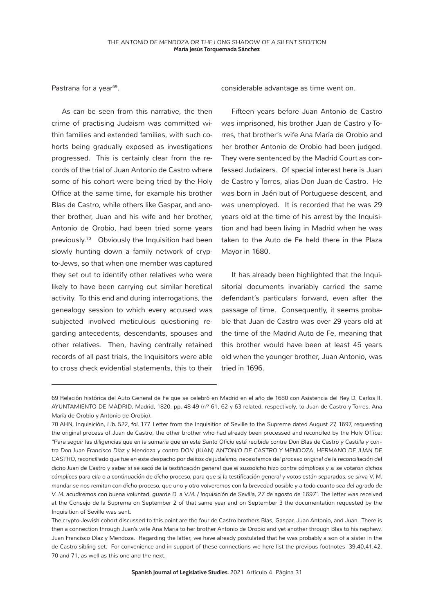Pastrana for a year<sup>69</sup>.

As can be seen from this narrative, the then crime of practising Judaism was committed within families and extended families, with such cohorts being gradually exposed as investigations progressed. This is certainly clear from the records of the trial of Juan Antonio de Castro where some of his cohort were being tried by the Holy Office at the same time, for example his brother Blas de Castro, while others like Gaspar, and another brother, Juan and his wife and her brother, Antonio de Orobio, had been tried some years previously.70 Obviously the Inquisition had been slowly hunting down a family network of crypto-Jews, so that when one member was captured they set out to identify other relatives who were likely to have been carrying out similar heretical activity. To this end and during interrogations, the genealogy session to which every accused was subjected involved meticulous questioning regarding antecedents, descendants, spouses and other relatives. Then, having centrally retained records of all past trials, the Inquisitors were able to cross check evidential statements, this to their considerable advantage as time went on.

Fifteen years before Juan Antonio de Castro was imprisoned, his brother Juan de Castro y Torres, that brother's wife Ana María de Orobio and her brother Antonio de Orobio had been judged. They were sentenced by the Madrid Court as confessed Judaizers. Of special interest here is Juan de Castro y Torres, alias Don Juan de Castro. He was born in Jaén but of Portuguese descent, and was unemployed. It is recorded that he was 29 years old at the time of his arrest by the Inquisition and had been living in Madrid when he was taken to the Auto de Fe held there in the Plaza Mayor in 1680.

It has already been highlighted that the Inquisitorial documents invariably carried the same defendant's particulars forward, even after the passage of time. Consequently, it seems probable that Juan de Castro was over 29 years old at the time of the Madrid Auto de Fe, meaning that this brother would have been at least 45 years old when the younger brother, Juan Antonio, was tried in 1696.

<sup>69</sup> Relación histórica del Auto General de Fe que se celebró en Madrid en el año de 1680 con Asistencia del Rey D. Carlos II. AYUNTAMIENTO DE MADRID, Madrid, 1820. pp. 48-49 (nº 61, 62 y 63 related, respectively, to Juan de Castro y Torres, Ana María de Orobio y Antonio de Orobio).

<sup>70</sup> AHN, Inquisición, *Lib.* 522, *fol.* 177. Letter from the Inquisition of Seville to the Supreme dated August 27, 1697, requesting the original process of Juan de Castro, the other brother who had already been processed and reconciled by the Holy Office: *"Para seguir las diligencias que en la sumaria que en este Santo Oficio está recibida contra Don Blas de Castro y Castilla y contra Don Juan Francisco Díaz y Mendoza y contra DON (JUAN) ANTONIO DE CASTRO Y MENDOZA, HERMANO DE JUAN DE CASTRO, reconciliado que fue en este despacho por delitos de judaísmo, necesitamos del proceso original de la reconciliación del dicho Juan de Castro y saber si se sacó de la testificación general que el susodicho hizo contra cómplices y si se votaron dichos cómplices para ella o a continuación de dicho proceso, para que si la testificación general y votos están separados, se sirva V. M. mandar se nos remitan con dicho proceso, que uno y otro volveremos con la brevedad posible y a todo cuanto sea del agrado de V. M. acudiremos con buena voluntad, guarde D. a V.M. / Inquisición de Sevilla, 27 de agosto de 1697".* The letter was received at the Consejo de la Suprema on September 2 of that same year and on September 3 the documentation requested by the Inquisition of Seville was sent.

The crypto-Jewish cohort discussed to this point are the four de Castro brothers Blas, Gaspar, Juan Antonio, and Juan. There is then a connection through Juan's wife Ana Maria to her brother Antonio de Orobio and yet another through Blas to his nephew, Juan Francisco Díaz y Mendoza. Regarding the latter, we have already postulated that he was probably a son of a sister in the de Castro sibling set. For convenience and in support of these connections we here list the previous footnotes 39,40,41,42, 70 and 71, as well as this one and the next.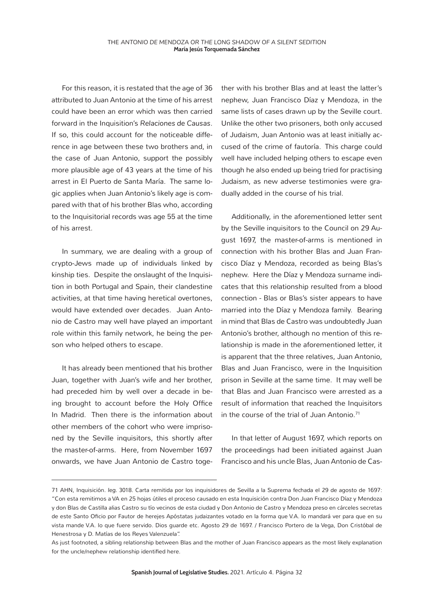For this reason, it is restated that the age of 36 attributed to Juan Antonio at the time of his arrest could have been an error which was then carried forward in the Inquisition's *Relaciones de Causas*. If so, this could account for the noticeable difference in age between these two brothers and, in the case of Juan Antonio, support the possibly more plausible age of 43 years at the time of his arrest in El Puerto de Santa María. The same logic applies when Juan Antonio's likely age is compared with that of his brother Blas who, according to the Inquisitorial records was age 55 at the time of his arrest.

In summary, we are dealing with a group of crypto-Jews made up of individuals linked by kinship ties. Despite the onslaught of the Inquisition in both Portugal and Spain, their clandestine activities, at that time having heretical overtones, would have extended over decades. Juan Antonio de Castro may well have played an important role within this family network, he being the person who helped others to escape.

It has already been mentioned that his brother Juan, together with Juan's wife and her brother, had preceded him by well over a decade in being brought to account before the Holy Office In Madrid. Then there is the information about other members of the cohort who were imprisoned by the Seville inquisitors, this shortly after the master-of-arms. Here, from November 1697 onwards, we have Juan Antonio de Castro toge-

ther with his brother Blas and at least the latter's nephew, Juan Francisco Díaz y Mendoza, in the same lists of cases drawn up by the Seville court. Unlike the other two prisoners, both only accused of Judaism, Juan Antonio was at least initially accused of the crime of fautoría. This charge could well have included helping others to escape even though he also ended up being tried for practising Judaism, as new adverse testimonies were gradually added in the course of his trial.

Additionally, in the aforementioned letter sent by the Seville inquisitors to the Council on 29 August 1697, the master-of-arms is mentioned in connection with his brother Blas and Juan Francisco Díaz y Mendoza, recorded as being Blas's nephew. Here the Díaz y Mendoza surname indicates that this relationship resulted from a blood connection - Blas or Blas's sister appears to have married into the Díaz y Mendoza family. Bearing in mind that Blas de Castro was undoubtedly Juan Antonio's brother, although no mention of this relationship is made in the aforementioned letter, it is apparent that the three relatives, Juan Antonio, Blas and Juan Francisco, were in the Inquisition prison in Seville at the same time. It may well be that Blas and Juan Francisco were arrested as a result of information that reached the Inquisitors in the course of the trial of Juan Antonio.<sup>71</sup>

In that letter of August 1697, which reports on the proceedings had been initiated against Juan Francisco and his uncle Blas, Juan Antonio de Cas-

<sup>71</sup> AHN, Inquisición. *leg.* 3018. Carta remitida por los inquisidores de Sevilla a la Suprema fechada el 29 de agosto de 1697: "Con esta remitimos a VA en 25 hojas útiles el proceso causado en esta Inquisición contra Don Juan Francisco Díaz y Mendoza y don Blas de Castilla alias Castro su tío vecinos de esta ciudad y Don Antonio de Castro y Mendoza preso en cárceles secretas de este Santo Oficio por Fautor de herejes Apóstatas judaizantes votado en la forma que V.A. lo mandará ver para que en su vista mande V.A. lo que fuere servido. Dios guarde etc. Agosto 29 de 1697. / Francisco Portero de la Vega, Don Cristóbal de Henestrosa y D. Matías de los Reyes Valenzuela".

As just footnoted, a sibling relationship between Blas and the mother of Juan Francisco appears as the most likely explanation for the uncle/nephew relationship identified here.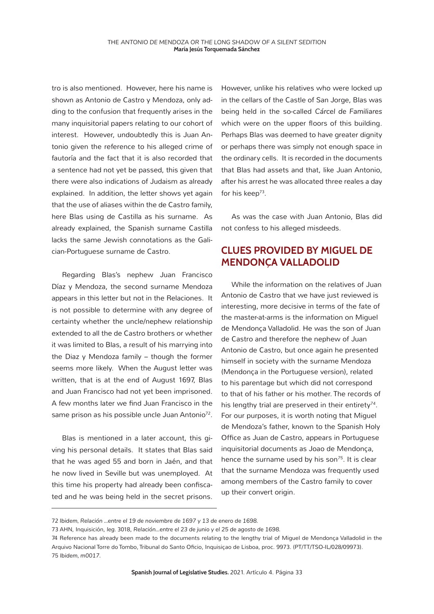tro is also mentioned. However, here his name is shown as Antonio de Castro y Mendoza, only adding to the confusion that frequently arises in the many inquisitorial papers relating to our cohort of interest. However, undoubtedly this is Juan Antonio given the reference to his alleged crime of fautoría and the fact that it is also recorded that a sentence had not yet be passed, this given that there were also indications of Judaism as already explained. In addition, the letter shows yet again that the use of aliases within the de Castro family, here Blas using de Castilla as his surname. As already explained, the Spanish surname Castilla lacks the same Jewish connotations as the Galician-Portuguese surname de Castro.

Regarding Blas's nephew Juan Francisco Díaz y Mendoza, the second surname Mendoza appears in this letter but not in the Relaciones. It is not possible to determine with any degree of certainty whether the uncle/nephew relationship extended to all the de Castro brothers or whether it was limited to Blas, a result of his marrying into the Diaz y Mendoza family – though the former seems more likely. When the August letter was written, that is at the end of August 1697, Blas and Juan Francisco had not yet been imprisoned. A few months later we find Juan Francisco in the same prison as his possible uncle Juan Antonio<sup>72</sup>.

Blas is mentioned in a later account, this giving his personal details. It states that Blas said that he was aged 55 and born in Jaén, and that he now lived in Seville but was unemployed. At this time his property had already been confiscated and he was being held in the secret prisons.

However, unlike his relatives who were locked up in the cellars of the Castle of San Jorge, Blas was being held in the so-called *Cárcel de Familiares*  which were on the upper floors of this building. Perhaps Blas was deemed to have greater dignity or perhaps there was simply not enough space in the ordinary cells. It is recorded in the documents that Blas had assets and that, like Juan Antonio, after his arrest he was allocated three reales a day for his keep<sup>73</sup>.

As was the case with Juan Antonio, Blas did not confess to his alleged misdeeds.

#### **CLUES PROVIDED BY MIGUEL DE MENDONÇA VALLADOLID**

While the information on the relatives of Juan Antonio de Castro that we have just reviewed is interesting, more decisive in terms of the fate of the master-at-arms is the information on Miguel de Mendonça Valladolid. He was the son of Juan de Castro and therefore the nephew of Juan Antonio de Castro, but once again he presented himself in society with the surname Mendoza (Mendonça in the Portuguese version), related to his parentage but which did not correspond to that of his father or his mother. The records of his lengthy trial are preserved in their entirety*<sup>74</sup>*. For our purposes, it is worth noting that Miguel de Mendoza's father, known to the Spanish Holy Office as Juan de Castro, appears in Portuguese inquisitorial documents as Joao de Mendonça, hence the surname used by his son*<sup>75</sup>*. It is clear that the surname Mendoza was frequently used among members of the Castro family to cover up their convert origin.

<sup>72</sup> *Ibidem, Relación …entre el 19 de noviembre de 1697 y 13 de enero de 1698.*

<sup>73</sup> AHN, Inquisición, *leg.* 3018, *Relación…entre el 23 de junio y el 25 de agosto de 1698.*

<sup>74</sup> Reference has already been made to the documents relating to the lengthy trial of Miguel de Mendonça Valladolid in the Arquivo Nacional Torre do Tombo, Tribunal do Santo Oficio, Inquisiçao de Lisboa, proc. 9973. (PT/TT/TSO-IL/028/09973). 75 *Ibidem, m0017.*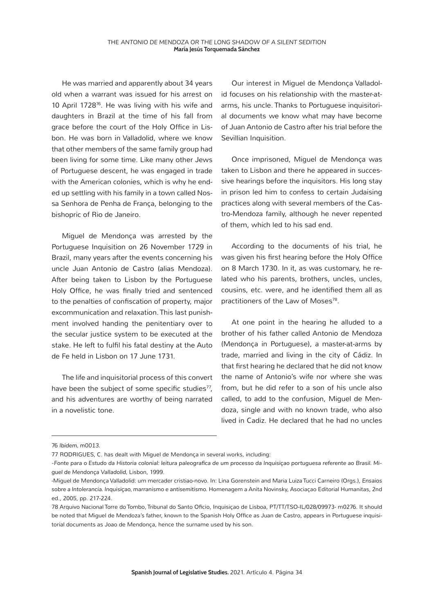He was married and apparently about 34 years old when a warrant was issued for his arrest on 10 April 172876. He was living with his wife and daughters in Brazil at the time of his fall from grace before the court of the Holy Office in Lisbon. He was born in Valladolid, where we know that other members of the same family group had been living for some time. Like many other Jews of Portuguese descent, he was engaged in trade with the American colonies, which is why he ended up settling with his family in a town called Nossa Senhora de Penha de França, belonging to the bishopric of Rio de Janeiro.

Miguel de Mendonça was arrested by the Portuguese Inquisition on 26 November 1729 in Brazil, many years after the events concerning his uncle Juan Antonio de Castro (alias Mendoza). After being taken to Lisbon by the Portuguese Holy Office, he was finally tried and sentenced to the penalties of confiscation of property, major excommunication and relaxation. This last punishment involved handing the penitentiary over to the secular justice system to be executed at the stake. He left to fulfil his fatal destiny at the Auto de Fe held in Lisbon on 17 June 1731.

The life and inquisitorial process of this convert have been the subject of some specific studies<sup>77</sup>, and his adventures are worthy of being narrated in a novelistic tone.

Our interest in Miguel de Mendonça Valladolid focuses on his relationship with the master-atarms, his uncle. Thanks to Portuguese inquisitorial documents we know what may have become of Juan Antonio de Castro after his trial before the Sevillian Inquisition.

Once imprisoned, Miguel de Mendonça was taken to Lisbon and there he appeared in successive hearings before the inquisitors. His long stay in prison led him to confess to certain Judaising practices along with several members of the Castro-Mendoza family, although he never repented of them, which led to his sad end.

According to the documents of his trial, he was given his first hearing before the Holy Office on 8 March 1730. In it, as was customary, he related who his parents, brothers, uncles, uncles, cousins, etc. were, and he identified them all as practitioners of the Law of Moses<sup>78</sup>.

At one point in the hearing he alluded to a brother of his father called Antonio de Mendoza (Mendonça in Portuguese), a master-at-arms by trade, married and living in the city of Cádiz. In that first hearing he declared that he did not know the name of Antonio's wife nor where she was from, but he did refer to a son of his uncle also called, to add to the confusion, Miguel de Mendoza, single and with no known trade, who also lived in Cadiz. He declared that he had no uncles

<sup>76</sup> *Ibidem, m0013.*

<sup>77</sup> RODRIGUES, C. has dealt with Miguel de Mendonça in several works, including:

*<sup>-</sup>Fonte para o Estudo da Historia colonial: leitura paleografica de um processo da Inquisiçao portuguesa referente ao Brasil. Miguel de Mendonça Valladolid,* Lisbon, 1999.

<sup>-</sup>Miguel de Mendonça Valladolid: um mercader cristiao-novo. In: Lina Gorenstein and Maria Luiza Tucci Carneiro (Orgs.), *Ensaios sobre a Intolerancia. Inquisiçao, marranismo e antisemitismo.* Homenagem a Anita Novinsky, Asociaçao Editorial Humanitas, 2nd ed., 2005, pp. 217-224.

<sup>78</sup> Arquivo Nacional Torre do Tombo, Tribunal do Santo Oficio, Inquisiçao de Lisboa, PT/TT/TSO-IL/028/09973- m0276. It should be noted that Miguel de Mendoza's father, known to the Spanish Holy Office as Juan de Castro, appears in Portuguese inquisitorial documents as Joao de Mendonça, hence the surname used by his son.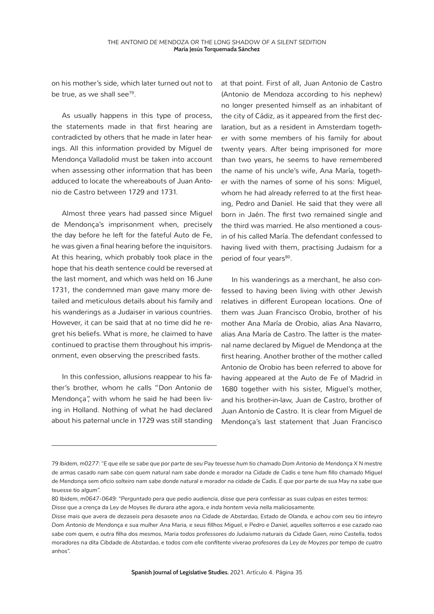on his mother's side, which later turned out not to be true, as we shall see<sup>79</sup>.

As usually happens in this type of process, the statements made in that first hearing are contradicted by others that he made in later hearings. All this information provided by Miguel de Mendonça Valladolid must be taken into account when assessing other information that has been adduced to locate the whereabouts of Juan Antonio de Castro between 1729 and 1731.

Almost three years had passed since Miguel de Mendonça's imprisonment when, precisely the day before he left for the fateful Auto de Fe, he was given a final hearing before the inquisitors. At this hearing, which probably took place in the hope that his death sentence could be reversed at the last moment, and which was held on 16 June 1731, the condemned man gave many more detailed and meticulous details about his family and his wanderings as a Judaiser in various countries. However, it can be said that at no time did he regret his beliefs. What is more, he claimed to have continued to practise them throughout his imprisonment, even observing the prescribed fasts.

In this confession, allusions reappear to his father's brother, whom he calls "Don Antonio de Mendonça", with whom he said he had been living in Holland. Nothing of what he had declared about his paternal uncle in 1729 was still standing at that point. First of all, Juan Antonio de Castro (Antonio de Mendoza according to his nephew) no longer presented himself as an inhabitant of the city of Cádiz, as it appeared from the first declaration, but as a resident in Amsterdam together with some members of his family for about twenty years. After being imprisoned for more than two years, he seems to have remembered the name of his uncle's wife, Ana María, together with the names of some of his sons: Miguel, whom he had already referred to at the first hearing, Pedro and Daniel. He said that they were all born in Jaén. The first two remained single and the third was married. He also mentioned a cousin of his called María. The defendant confessed to having lived with them, practising Judaism for a period of four years<sup>80</sup>.

In his wanderings as a merchant, he also confessed to having been living with other Jewish relatives in different European locations. One of them was Juan Francisco Orobio, brother of his mother Ana María de Orobio, alias Ana Navarro, alias Ana María de Castro. The latter is the maternal name declared by Miguel de Mendonça at the first hearing. Another brother of the mother called Antonio de Orobio has been referred to above for having appeared at the Auto de Fe of Madrid in 1680 together with his sister, Miguel's mother, and his brother-in-law, Juan de Castro, brother of Juan Antonio de Castro. It is clear from Miguel de Mendonça's last statement that Juan Francisco

<sup>79</sup> *Ibidem, m0277: "E que elle se sabe que por parte de seu Pay teuesse hum tio chamado Dom Antonio de Mendonça X N mestre de armas casado nam sabe con quem natural nam sabe donde e morador na Cidade de Cadis e tene hum fillo chamado Miguel de Mendonça sem oficio solteiro nam sabe donde natural e morador na cidade de Cadis. E que por parte de sua May na sabe que teuesse tio algum".*

<sup>80</sup> *Ibidem, m0647-0649: "Perguntado pera que pedio audiencia, disse que pera confessar as suas culpas en estes termos: Disse que a crença da Ley de Moyses Ile durara athe agora, e inda hontem vevia nella maliciosamente.*

*Disse mais que avera de dezaseis pera desasete anos na Cidade de Abstardao, Estado de Olanda, e achou com seu tio inteyro Dom Antonio de Mendonça e sua mulher Ana Maria, e seus fillhos Miguel, e Pedro e Daniel, aquelles solterros e ese cazado nao sabe com quem, e outra filha dos mesmos, Maria todos professores do Judaismo naturais da Cidade Gaen, reino Castella, todos moradores na dita Cibdade de Abstardao, e todos com elle confitente viverao profesores da Ley de Moyzes por tempo de cuatro anhos".*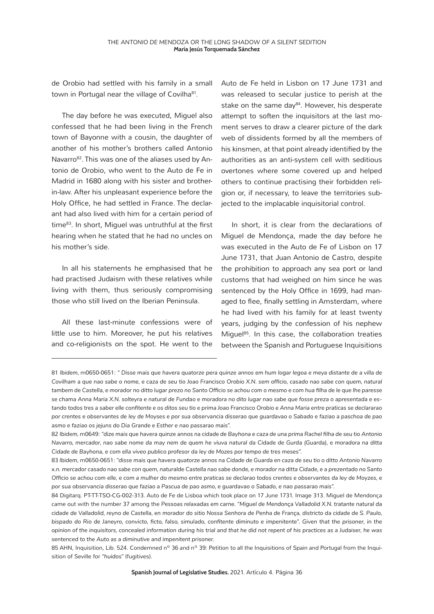de Orobio had settled with his family in a small town in Portugal near the village of Covilha<sup>81</sup>.

The day before he was executed, Miguel also confessed that he had been living in the French town of Bayonne with a cousin, the daughter of another of his mother's brothers called Antonio Navarro<sup>82</sup>. This was one of the aliases used by Antonio de Orobio, who went to the Auto de Fe in Madrid in 1680 along with his sister and brotherin-law. After his unpleasant experience before the Holy Office, he had settled in France. The declarant had also lived with him for a certain period of time83. In short, Miguel was untruthful at the first hearing when he stated that he had no uncles on his mother's side.

In all his statements he emphasised that he had practised Judaism with these relatives while living with them, thus seriously compromising those who still lived on the Iberian Peninsula.

All these last-minute confessions were of little use to him. Moreover, he put his relatives and co-religionists on the spot. He went to the Auto de Fe held in Lisbon on 17 June 1731 and was released to secular justice to perish at the stake on the same day<sup>84</sup>. However, his desperate attempt to soften the inquisitors at the last moment serves to draw a clearer picture of the dark web of dissidents formed by all the members of his kinsmen, at that point already identified by the authorities as an anti-system cell with seditious overtones where some covered up and helped others to continue practising their forbidden religion or, if necessary, to leave the territories subjected to the implacable inquisitorial control.

In short, it is clear from the declarations of Miguel de Mendonça, made the day before he was executed in the Auto de Fe of Lisbon on 17 June 1731, that Juan Antonio de Castro, despite the prohibition to approach any sea port or land customs that had weighed on him since he was sentenced by the Holy Office in 1699, had managed to flee, finally settling in Amsterdam, where he had lived with his family for at least twenty years, judging by the confession of his nephew Miguel<sup>85</sup>. In this case, the collaboration treaties between the Spanish and Portuguese Inquisitions

<sup>81</sup> *Ibidem,* m0650-0651: *" Disse mais que havera quatorze pera quinze annos em hum logar legoa e meya distante de a villa de Covilham a que nao sabe o nome, e caza de seu tio Joao Francisco Orobio X.N. sem officio, casado nao sabe con quem, natural tambem de Castella, e morador no ditto lugar prezo no Santo Officio se achou com o mesmo e com hua filha de le que lhe paresse se chama Anna Maria X.N. solteyra e natural de Fundao e moradora no dito lugar nao sabe que fosse preza o apresentada e estando todos tres a saber elle confitente e os ditos seu tio e prima Joao Francisco Orobio e Anna Maria entre praticas se declararao por crentes e observantes de ley de Moyses e por sua observancia disserao que guardavao o Sabado e faziao a paschoa de pao asmo e faziao os jejuns do Dia Grande e Esther e nao passarao mais".*

<sup>82</sup> *Ibidem,* m0649: *"dize mais que havera quinze annos na cidade de Bayhona e caza de una prima Rachel filha de seu tio Antonio Navarro, mercador, nao sabe nome da may nem de quem he viuva natural da Cidade de Gurda (Guarda), e moradora na ditta Cidade de Bayhona, e com ella viveo publico profesor da ley de Mozes por tempo de tres meses".*

<sup>83</sup> *Ibidem,* m0650-0651: *"disse mais que havera quatorze annos na Cidade de Guarda en caza de seu tio o ditto Antonio Navarro x.n. mercador casado nao sabe con quem, naturalde Castella nao sabe donde, e morador na ditta Cidade, e a prezentado no Santo Officio se achou com elle, e com a mulher do mesmo entre praticas se declarao todos crentes e observantes da ley de Moyzes, e por sua observancia disserao que faziao a Pascua de pao asmo, e guardavao o Sabado, e nao passarao mais".*

<sup>84</sup> Digitarq. PT-TT-TSO-CG-002-313. Auto de Fe de Lisboa which took place on 17 June 1731. Image 313. Miguel de Mendonça came out with the number 37 among the *Pessoas relaxadas em carne. "Miguel de Mendonça Valladolid X.N. tratante natural da cidade de Valladolid, reyno de Castella, en morador do sitio Nossa Senhora de Penha de França, districto da cidade de S. Paulo, bispado do Rio de Janeyro, convicto, ficto, falso, simulado, confitente diminuto e impenitente". Given that the prisoner, in the opinion of the inquisitors, concealed information during his trial and that he did not repent of his practices as a Judaiser, he was sentenced to the Auto as a diminutive and impenitent prisoner.* 

<sup>85</sup> AHN, Inquisition, Lib. 524. Condemned n<sup>o</sup> 36 and n<sup>o</sup> 39: Petition to all the Inquisitions of Spain and Portugal from the Inquisition of Seville for *"huidos"* (fugitives).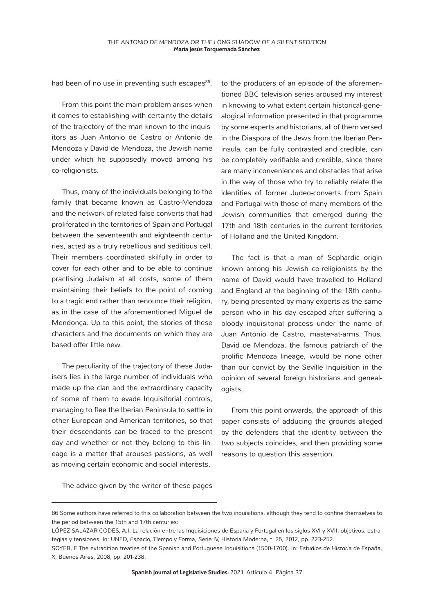had been of no use in preventing such escapes<sup>86</sup>.

From this point the main problem arises when it comes to establishing with certainty the details of the trajectory of the man known to the inquisitors as Juan Antonio de Castro or Antonio de Mendoza y David de Mendoza, the Jewish name under which he supposedly moved among his co-religionists.

Thus, many of the individuals belonging to the family that became known as Castro-Mendoza and the network of related false converts that had proliferated in the territories of Spain and Portugal between the seventeenth and eighteenth centuries, acted as a truly rebellious and seditious cell. Their members coordinated skilfully in order to cover for each other and to be able to continue practising Judaism at all costs, some of them maintaining their beliefs to the point of coming to a tragic end rather than renounce their religion, as in the case of the aforementioned Miguel de Mendonça. Up to this point, the stories of these characters and the documents on which they are based offer little new.

The peculiarity of the trajectory of these Judaisers lies in the large number of individuals who made up the clan and the extraordinary capacity of some of them to evade Inquisitorial controls, managing to flee the Iberian Peninsula to settle in other European and American territories, so that their descendants can be traced to the present day and whether or not they belong to this lineage is a matter that arouses passions, as well as moving certain economic and social interests.

to the producers of an episode of the aforementioned BBC television series aroused my interest in knowing to what extent certain historical-genealogical information presented in that programme by some experts and historians, all of them versed in the Diaspora of the Jews from the Iberian Peninsula, can be fully contrasted and credible, can be completely verifiable and credible, since there are many inconveniences and obstacles that arise in the way of those who try to reliably relate the identities of former Judeo-converts from Spain and Portugal with those of many members of the Jewish communities that emerged during the 17th and 18th centuries in the current territories of Holland and the United Kingdom.

The fact is that a man of Sephardic origin known among his Jewish co-religionists by the name of David would have travelled to Holland and England at the beginning of the 18th century, being presented by many experts as the same person who in his day escaped after suffering a bloody inquisitorial process under the name of Juan Antonio de Castro, master-at-arms. Thus, David de Mendoza, the famous patriarch of the prolific Mendoza lineage, would be none other than our convict by the Seville Inquisition in the opinion of several foreign historians and genealogists.

From this point onwards, the approach of this paper consists of adducing the grounds alleged by the defenders that the identity between the two subjects coincides, and then providing some reasons to question this assertion.

The advice given by the writer of these pages

<sup>86</sup> Some authors have referred to this collaboration between the two inquisitions, although they tend to confine themselves to the period between the 15th and 17th centuries:

LÓPEZ-SALAZAR CODES, A.I. La relación entre las Inquisiciones de España y Portugal en los siglos XVI y XVII: objetivos, estrategias y tensiones. In: UNED, *Espacio, Tiempo y Forma*, Serie IV, Historia Moderna, t. 25, 2012, pp. 223-252.

SOYER, F. The extradition treaties of the Spanish and Portuguese Inquisitions (1500-1700). In: *Estudios de Historia de España*, X, Buenos Aires, 2008, pp. 201-238.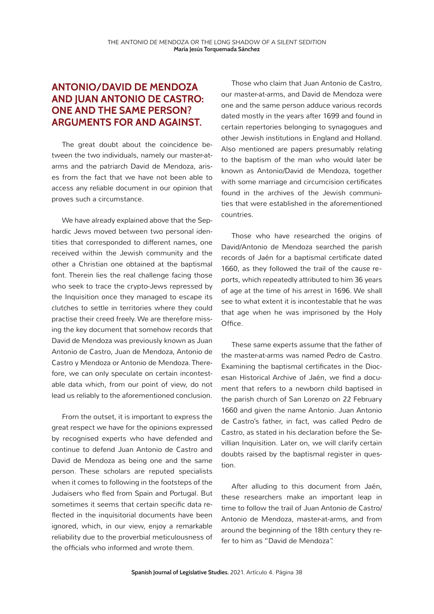#### **ANTONIO/DAVID DE MENDOZA AND JUAN ANTONIO DE CASTRO: ONE AND THE SAME PERSON? ARGUMENTS FOR AND AGAINST.**

The great doubt about the coincidence between the two individuals, namely our master-atarms and the patriarch David de Mendoza, arises from the fact that we have not been able to access any reliable document in our opinion that proves such a circumstance.

We have already explained above that the Sephardic Jews moved between two personal identities that corresponded to different names, one received within the Jewish community and the other a Christian one obtained at the baptismal font. Therein lies the real challenge facing those who seek to trace the crypto-Jews repressed by the Inquisition once they managed to escape its clutches to settle in territories where they could practise their creed freely. We are therefore missing the key document that somehow records that David de Mendoza was previously known as Juan Antonio de Castro, Juan de Mendoza, Antonio de Castro y Mendoza or Antonio de Mendoza. Therefore, we can only speculate on certain incontestable data which, from our point of view, do not lead us reliably to the aforementioned conclusion.

From the outset, it is important to express the great respect we have for the opinions expressed by recognised experts who have defended and continue to defend Juan Antonio de Castro and David de Mendoza as being one and the same person. These scholars are reputed specialists when it comes to following in the footsteps of the Judaisers who fled from Spain and Portugal. But sometimes it seems that certain specific data reflected in the inquisitorial documents have been ignored, which, in our view, enjoy a remarkable reliability due to the proverbial meticulousness of the officials who informed and wrote them.

Those who claim that Juan Antonio de Castro, our master-at-arms, and David de Mendoza were one and the same person adduce various records dated mostly in the years after 1699 and found in certain repertories belonging to synagogues and other Jewish institutions in England and Holland. Also mentioned are papers presumably relating to the baptism of the man who would later be known as Antonio/David de Mendoza, together with some marriage and circumcision certificates found in the archives of the Jewish communities that were established in the aforementioned countries.

Those who have researched the origins of David/Antonio de Mendoza searched the parish records of Jaén for a baptismal certificate dated 1660, as they followed the trail of the *cause reports*, which repeatedly attributed to him 36 years of age at the time of his arrest in 1696. We shall see to what extent it is incontestable that he was that age when he was imprisoned by the Holy Office.

These same experts assume that the father of the master-at-arms was named Pedro de Castro. Examining the baptismal certificates in the Diocesan Historical Archive of Jaén, we find a document that refers to a newborn child baptised in the parish church of San Lorenzo on 22 February 1660 and given the name Antonio. Juan Antonio de Castro's father, in fact, was called Pedro de Castro, as stated in his declaration before the Sevillian Inquisition. Later on, we will clarify certain doubts raised by the baptismal register in question.

After alluding to this document from Jaén, these researchers make an important leap in time to follow the trail of Juan Antonio de Castro/ Antonio de Mendoza, master-at-arms, and from around the beginning of the 18th century they refer to him as "David de Mendoza".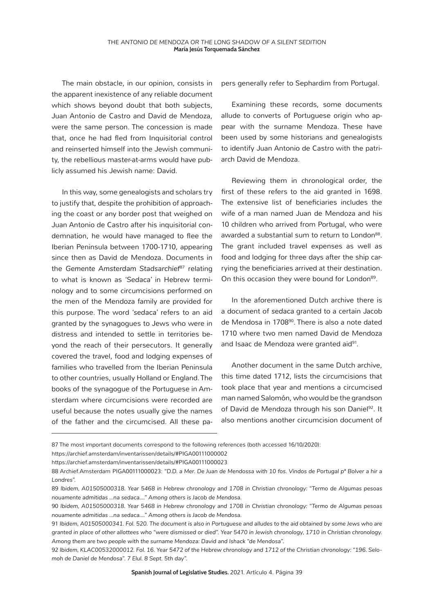The main obstacle, in our opinion, consists in the apparent inexistence of any reliable document which shows beyond doubt that both subjects, Juan Antonio de Castro and David de Mendoza, were the same person. The concession is made that, once he had fled from Inquisitorial control and reinserted himself into the Jewish community, the rebellious master-at-arms would have publicly assumed his Jewish name: David.

In this way, some genealogists and scholars try to justify that, despite the prohibition of approaching the coast or any border post that weighed on Juan Antonio de Castro after his inquisitorial condemnation, he would have managed to flee the Iberian Peninsula between 1700-1710, appearing since then as David de Mendoza. Documents in the *Gemente Amsterdam Stadsarchief*87 relating to what is known as *'Sedaca'* in Hebrew terminology and to some circumcisions performed on the men of the Mendoza family are provided for this purpose. The word *'sedaca'* refers to an aid granted by the synagogues to Jews who were in distress and intended to settle in territories beyond the reach of their persecutors. It generally covered the travel, food and lodging expenses of families who travelled from the Iberian Peninsula to other countries, usually Holland or England. The books of the synagogue of the Portuguese in Amsterdam where circumcisions were recorded are useful because the notes usually give the names of the father and the circumcised. All these papers generally refer to Sephardim from Portugal.

Examining these records, some documents allude to converts of Portuguese origin who appear with the surname Mendoza. These have been used by some historians and genealogists to identify Juan Antonio de Castro with the patriarch David de Mendoza.

Reviewing them in chronological order, the first of these refers to the aid granted in 1698. The extensive list of beneficiaries includes the wife of a man named Juan de Mendoza and his 10 children who arrived from Portugal, who were awarded a substantial sum to return to London<sup>88</sup>. The grant included travel expenses as well as food and lodging for three days after the ship carrying the beneficiaries arrived at their destination. On this occasion they were bound for London<sup>89</sup>.

In the aforementioned Dutch archive there is a document of *sedaca* granted to a certain Jacob de Mendosa in 1708<sup>90</sup>. There is also a note dated 1710 where two men named David de Mendoza and Isaac de Mendoza were granted aid<sup>91</sup>.

Another document in the same Dutch archive, this time dated 1712, lists the circumcisions that took place that year and mentions a circumcised man named Salomón, who would be the grandson of David de Mendoza through his son Daniel<sup>92</sup>. It also mentions another circumcision document of

<sup>87</sup> The most important documents correspond to the following references (both accessed 16/10/2020): https://archief.amsterdam/inventarissen/details/#PIGA00111000002

https://archief.amsterdam/inventarissen/details/#PIGA00111000023

<sup>88</sup> Archief.Amsterdam PIGA00111000023: *"D.D. a Mer. De Juan de Mendossa with 10 fos. Vindos de Portugal pª Bolver a hir a Londres".*

<sup>89</sup> *Ibidem, A01505000318. Year 5468 in Hebrew chronology and 1708 in Christian chronology: "Termo de Algumas pesoas nouamente admitidas ...na sedaca...." Among others is Jacob de Mendosa.*

<sup>90</sup> *Ibidem, A01505000318. Year 5468 in Hebrew chronology and 1708 in Christian chronology: "Termo de Algumas pesoas nouamente admitidas ...na sedaca...." Among others is Jacob de Mendosa.*

<sup>91</sup> *Ibidem, A01505000341. Fol. 520. The document is also in Portuguese and alludes to the aid obtained by some Jews who are granted in place of other allottees who "were dismissed or died". Year 5470 in Jewish chronology, 1710 in Christian chronology. Among them are two people with the surname Mendoza: David and Ishack "de Mendosa".*

<sup>92</sup> *Ibidem, KLAC00532000012. Fol. 16. Year 5472 of the Hebrew chronology and 1712 of the Christian chronology: "196. Selomoh de Daniel de Mendosa". 7 Elul. 8 Sept. 5th day".*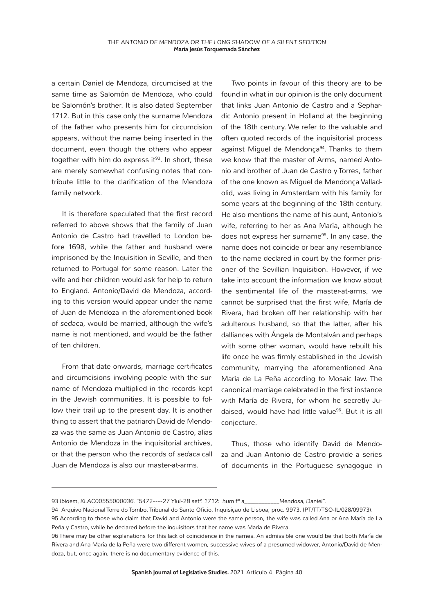a certain Daniel de Mendoza, circumcised at the same time as Salomón de Mendoza, who could be Salomón's brother. It is also dated September 1712. But in this case only the surname Mendoza of the father who presents him for circumcision appears, without the name being inserted in the document, even though the others who appear together with him do express it $93$ . In short, these are merely somewhat confusing notes that contribute little to the clarification of the Mendoza family network.

It is therefore speculated that the first record referred to above shows that the family of Juan Antonio de Castro had travelled to London before 1698, while the father and husband were imprisoned by the Inquisition in Seville, and then returned to Portugal for some reason. Later the wife and her children would ask for help to return to England. Antonio/David de Mendoza, according to this version would appear under the name of Juan de Mendoza in the aforementioned book of *sedaca*, would be married, although the wife's name is not mentioned, and would be the father of ten children.

From that date onwards, marriage certificates and circumcisions involving people with the surname of Mendoza multiplied in the records kept in the Jewish communities. It is possible to follow their trail up to the present day. It is another thing to assert that the patriarch David de Mendoza was the same as Juan Antonio de Castro, alias Antonio de Mendoza in the inquisitorial archives, or that the person who the records of *sedaca* call Juan de Mendoza is also our master-at-arms.

Two points in favour of this theory are to be found in what in our opinion is the only document that links Juan Antonio de Castro and a Sephardic Antonio present in Holland at the beginning of the 18th century. We refer to the valuable and often quoted records of the inquisitorial process against Miguel de Mendonca<sup>94</sup>. Thanks to them we know that the master of Arms, named Antonio and brother of Juan de Castro y Torres, father of the one known as Miguel de Mendonça Valladolid, was living in Amsterdam with his family for some years at the beginning of the 18th century. He also mentions the name of his aunt, Antonio's wife, referring to her as Ana María, although he does not express her surname<sup>95</sup>. In any case, the name does not coincide or bear any resemblance to the name declared in court by the former prisoner of the Sevillian Inquisition. However, if we take into account the information we know about the sentimental life of the master-at-arms, we cannot be surprised that the first wife, María de Rivera, had broken off her relationship with her adulterous husband, so that the latter, after his dalliances with Ángela de Montalván and perhaps with some other woman, would have rebuilt his life once he was firmly established in the Jewish community, marrying the aforementioned Ana María de La Peña according to Mosaic law. The canonical marriage celebrated in the first instance with María de Rivera, for whom he secretly Judaised, would have had little value<sup>96</sup>. But it is all conjecture.

Thus, those who identify David de Mendoza and Juan Antonio de Castro provide a series of documents in the Portuguese synagogue in

<sup>93</sup> *Ibidem, KLAC00555000036. "5472----27 Ylul-28 setº. 1712: hum fº a\_\_\_\_\_\_\_\_\_\_\_\_Mendosa, Daniel".*

<sup>94</sup> Arquivo Nacional Torre do Tombo, Tribunal do Santo Oficio, Inquisiçao de Lisboa, proc. 9973. (PT/TT/TSO-IL/028/09973).

<sup>95</sup> According to those who claim that David and Antonio were the same person, the wife was called Ana or Ana María de La Peña y Castro, while he declared before the inquisitors that her name was María de Rivera.

<sup>96</sup> There may be other explanations for this lack of coincidence in the names. An admissible one would be that both María de Rivera and Ana María de la Peña were two different women, successive wives of a presumed widower, Antonio/David de Mendoza, but, once again, there is no documentary evidence of this.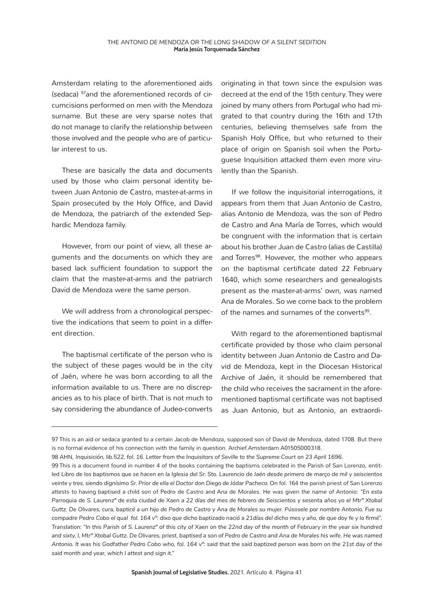Amsterdam relating to the aforementioned aids (*sedaca*) 97and the aforementioned records of circumcisions performed on men with the Mendoza surname. But these are very sparse notes that do not manage to clarify the relationship between those involved and the people who are of particular interest to us.

These are basically the data and documents used by those who claim personal identity between Juan Antonio de Castro, master-at-arms in Spain prosecuted by the Holy Office, and David de Mendoza, the patriarch of the extended Sephardic Mendoza family.

However, from our point of view, all these arguments and the documents on which they are based lack sufficient foundation to support the claim that the master-at-arms and the patriarch David de Mendoza were the same person.

We will address from a chronological perspective the indications that seem to point in a different direction.

The baptismal certificate of the person who is the subject of these pages would be in the city of Jaén, where he was born according to all the information available to us. There are no discrepancies as to his place of birth. That is not much to say considering the abundance of Judeo-converts

originating in that town since the expulsion was decreed at the end of the 15th century. They were joined by many others from Portugal who had migrated to that country during the 16th and 17th centuries, believing themselves safe from the Spanish Holy Office, but who returned to their place of origin on Spanish soil when the Portuguese Inquisition attacked them even more virulently than the Spanish.

If we follow the inquisitorial interrogations, it appears from them that Juan Antonio de Castro, alias Antonio de Mendoza, was the son of Pedro de Castro and Ana María de Torres, which would be congruent with the information that is certain about his brother Juan de Castro (alias de Castilla) and Torres<sup>98</sup>. However, the mother who appears on the baptismal certificate dated 22 February 1640, which some researchers and genealogists present as the master-at-arms' own, was named Ana de Morales. So we come back to the problem of the names and surnames of the converts<sup>99</sup>.

With regard to the aforementioned baptismal certificate provided by those who claim personal identity between Juan Antonio de Castro and David de Mendoza, kept in the Diocesan Historical Archive of Jaén, it should be remembered that the child who receives the sacrament in the aforementioned baptismal certificate was not baptised as Juan Antonio, but as Antonio, an extraordi-

<sup>97</sup> This is an aid or sedaca granted to a certain Jacob de Mendoza, supposed son of David de Mendoza, dated 1708. But there is no formal evidence of his connection with the family in question. Archief.Amsterdam A01505000318.

<sup>98</sup> AHN, *Inquisición, lib.522, fol. 16. Letter from the Inquisitors of Seville to the Supreme Court on 23 April 1696.*

<sup>99</sup> This is a document found in number 4 of the books containing the baptisms celebrated in the Parish of San Lorenzo, entitled Libro de los baptismos que se hacen en la Iglesia del Sr. Sto. Laurencio de Jaén desde primero de março de mil y seiscientos *veinte y tres, siendo dignísimo Sr. Prior de ella el Doctor don Diego de Jódar Pacheco.* On fol. 164 the parish priest of San Lorenzo attests to having baptised a child son of Pedro de Castro and Ana de Morales. He was given the name of Antonio: *"En esta Parroquia de S. Laurenzº de esta ciudad de Xaen a 22 días del mes de febrero de Seiscientos y sesenta años yo el Mtrº Xtobal Guttz. De Olivares, cura, bapticé a un hijo de Pedro de Castro y Ana de Morales su mujer. Púsosele por nombre Antonio. Fue su compadre Pedro Cobo el qual fol. 164 vº: dixo que dicho baptizado nació a 21días del dicho mes y año, de que doy fe y lo firmé". Translation: "In this Parish of S. Laurenzº of this city of Xaen on the 22nd day of the month of February in the year six hundred and sixty, I, Mtrº Xtobal Guttz. De Olivares, priest, baptised a son of Pedro de Castro and Ana de Morales his wife. He was named Antonio. It was his Godfather Pedro Cobo who, fol. 164 vº: said that the said baptized person was born on the 21st day of the said month and year, which I attest and sign it."*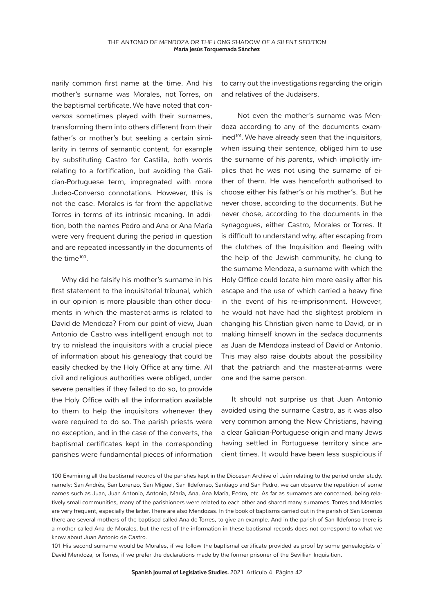narily common first name at the time. And his mother's surname was Morales, not Torres, on the baptismal certificate. We have noted that *conversos* sometimes played with their surnames, transforming them into others different from their father's or mother's but seeking a certain similarity in terms of semantic content, for example by substituting Castro for Castilla, both words relating to a fortification, but avoiding the Galician-Portuguese term, impregnated with more Judeo-Converso connotations. However, this is not the case. Morales is far from the appellative Torres in terms of its intrinsic meaning. In addition, both the names Pedro and Ana or Ana María were very frequent during the period in question and are repeated incessantly in the documents of the time<sup>100</sup>.

Why did he falsify his mother's surname in his first statement to the inquisitorial tribunal, which in our opinion is more plausible than other documents in which the master-at-arms is related to David de Mendoza? From our point of view, Juan Antonio de Castro was intelligent enough not to try to mislead the inquisitors with a crucial piece of information about his genealogy that could be easily checked by the Holy Office at any time. All civil and religious authorities were obliged, under severe penalties if they failed to do so, to provide the Holy Office with all the information available to them to help the inquisitors whenever they were required to do so. The parish priests were no exception, and in the case of the converts, the baptismal certificates kept in the corresponding parishes were fundamental pieces of information

to carry out the investigations regarding the origin and relatives of the Judaisers.

 Not even the mother's surname was Mendoza according to any of the documents examined<sup>101</sup>. We have already seen that the inquisitors, when issuing their sentence, obliged him to use the surname *of his parents*, which implicitly implies that he was not using the surname of either of them. He was henceforth authorised to choose either his father's or his mother's. But he never chose, according to the documents. But he never chose, according to the documents in the synagogues, either Castro, Morales or Torres. It is difficult to understand why, after escaping from the clutches of the Inquisition and fleeing with the help of the Jewish community, he clung to the surname Mendoza, a surname with which the Holy Office could locate him more easily after his escape and the use of which carried a heavy fine in the event of his re-imprisonment. However, he would not have had the slightest problem in changing his Christian given name to David, or in making himself known in the *sedaca* documents as Juan de Mendoza instead of David or Antonio. This may also raise doubts about the possibility that the patriarch and the master-at-arms were one and the same person.

It should not surprise us that Juan Antonio avoided using the surname Castro, as it was also very common among the New Christians, having a clear Galician-Portuguese origin and many Jews having settled in Portuguese territory since ancient times. It would have been less suspicious if

101 His second surname would be Morales, if we follow the baptismal certificate provided as proof by some genealogists of David Mendoza, or Torres, if we prefer the declarations made by the former prisoner of the Sevillian Inquisition.

<sup>100</sup> Examining all the baptismal records of the parishes kept in the Diocesan Archive of Jaén relating to the period under study, namely: San Andrés, San Lorenzo, San Miguel, San Ildefonso, Santiago and San Pedro, we can observe the repetition of some names such as Juan, Juan Antonio, Antonio, María, Ana, Ana María, Pedro, etc. As far as surnames are concerned, being relatively small communities, many of the parishioners were related to each other and shared many surnames. Torres and Morales are very frequent, especially the latter. There are also Mendozas. In the book of baptisms carried out in the parish of San Lorenzo there are several mothers of the baptised called Ana de Torres, to give an example. And in the parish of San Ildefonso there is a mother called Ana de Morales, but the rest of the information in these baptismal records does not correspond to what we know about Juan Antonio de Castro.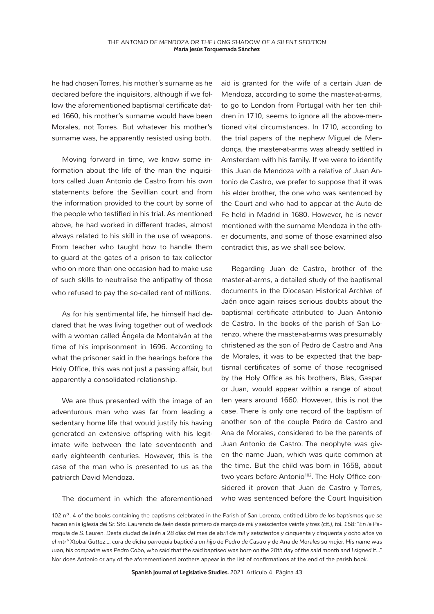he had chosen Torres, his mother's surname as he declared before the inquisitors, although if we follow the aforementioned baptismal certificate dated 1660, his mother's surname would have been Morales, not Torres. But whatever his mother's surname was, he apparently resisted using both.

Moving forward in time, we know some information about the life of the man the inquisitors called Juan Antonio de Castro from his own statements before the Sevillian court and from the information provided to the court by some of the people who testified in his trial. As mentioned above, he had worked in different trades, almost always related to his skill in the use of weapons. From teacher who taught how to handle them to guard at the gates of a prison to tax collector who on more than one occasion had to make use of such skills to neutralise the antipathy of those who refused to pay the so-called rent of *millions*.

As for his sentimental life, he himself had declared that he was living together out of wedlock with a woman called Ángela de Montalván at the time of his imprisonment in 1696. According to what the prisoner said in the hearings before the Holy Office, this was not just a passing affair, but apparently a consolidated relationship.

We are thus presented with the image of an adventurous man who was far from leading a sedentary home life that would justify his having generated an extensive offspring with his legitimate wife between the late seventeenth and early eighteenth centuries. However, this is the case of the man who is presented to us as the patriarch David Mendoza.

The document in which the aforementioned

aid is granted for the wife of a certain Juan de Mendoza, according to some the master-at-arms, to go to London from Portugal with her ten children in 1710, seems to ignore all the above-mentioned vital circumstances. In 1710, according to the trial papers of the nephew Miguel de Mendonça, the master-at-arms was already settled in Amsterdam with his family. If we were to identify this Juan de Mendoza with a relative of Juan Antonio de Castro, we prefer to suppose that it was his elder brother, the one who was sentenced by the Court and who had to appear at the Auto de Fe held in Madrid in 1680. However, he is never mentioned with the surname Mendoza in the other documents, and some of those examined also contradict this, as we shall see below.

Regarding Juan de Castro, brother of the master-at-arms, a detailed study of the baptismal documents in the Diocesan Historical Archive of Jaén once again raises serious doubts about the baptismal certificate attributed to Juan Antonio de Castro. In the books of the parish of San Lorenzo, where the master-at-arms was presumably christened as the son of Pedro de Castro and Ana de Morales, it was to be expected that the baptismal certificates of some of those recognised by the Holy Office as his brothers, Blas, Gaspar or Juan, would appear within a range of about ten years around 1660. However, this is not the case. There is only one record of the baptism of another son of the couple Pedro de Castro and Ana de Morales, considered to be the parents of Juan Antonio de Castro. The neophyte was given the name Juan, which was quite common at the time. But the child was born in 1658, about two years before Antonio<sup>102</sup>. The Holy Office considered it proven that Juan de Castro y Torres, who was sentenced before the Court Inquisition

**Spanish Journal of Legislative Studies.** 2021. Artículo 4. Página 43

<sup>102</sup> nº. 4 of the books containing the baptisms celebrated in the Parish of San Lorenzo, entitled *Libro de los baptismos que se hacen en la Iglesia del Sr. Sto. Laurencio de Jaén desde primero de março de mil y seiscientos veinte y tres (cit.), fol. 158: "En la Parroquia de S. Lauren. Desta ciudad de Jaén a 28 días del mes de abril de mil y seiscientos y cinquenta y cinquenta y ocho años yo el mtrº Xtobal Guttez.... cura de dicha parroquia bapticé a un hijo de Pedro de Castro y de Ana de Morales su mujer. His name was Juan, his compadre was Pedro Cobo, who said that the said baptised was born on the 20th day of the said month and I signed it..."* Nor does Antonio or any of the aforementioned brothers appear in the list of confirmations at the end of the parish book.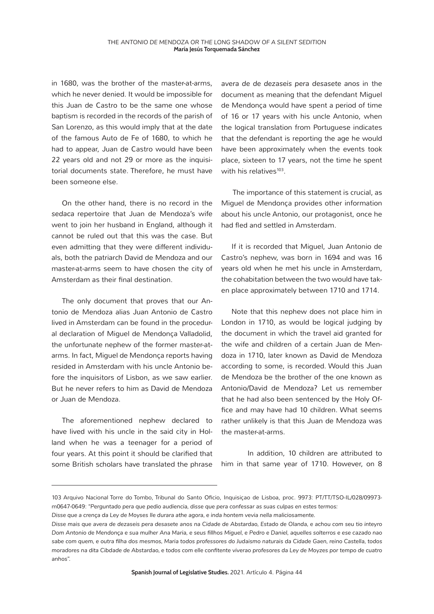in 1680, was the brother of the master-at-arms, which he never denied. It would be impossible for this Juan de Castro to be the same one whose baptism is recorded in the records of the parish of San Lorenzo, as this would imply that at the date of the famous Auto de Fe of 1680, to which he had to appear, Juan de Castro would have been 22 years old and not 29 or more as the inquisitorial documents state. Therefore, he must have been someone else.

On the other hand, there is no record in the *sedaca* repertoire that Juan de Mendoza's wife went to join her husband in England, although it cannot be ruled out that this was the case. But even admitting that they were different individuals, both the patriarch David de Mendoza and our master-at-arms seem to have chosen the city of Amsterdam as their final destination.

The only document that proves that our Antonio de Mendoza alias Juan Antonio de Castro lived in Amsterdam can be found in the procedural declaration of Miguel de Mendonça Valladolid, the unfortunate nephew of the former master-atarms. In fact, Miguel de Mendonça reports having resided in Amsterdam with his uncle Antonio before the inquisitors of Lisbon, as we saw earlier. But he never refers to him as David de Mendoza or Juan de Mendoza.

The aforementioned nephew declared to have lived with his uncle in the said city in Holland when he was a teenager for a period of four years. At this point it should be clarified that some British scholars have translated the phrase

*avera de de dezaseis pera desasete anos* in the document as meaning that the defendant Miguel de Mendonça would have spent a period of time of 16 or 17 years with his uncle Antonio, when the logical translation from Portuguese indicates that the defendant is reporting the age he would have been approximately when the events took place, sixteen to 17 years, not the time he spent with his relatives $103$ .

 The importance of this statement is crucial, as Miguel de Mendonça provides other information about his uncle Antonio, our protagonist, once he had fled and settled in Amsterdam.

If it is recorded that Miguel, Juan Antonio de Castro's nephew, was born in 1694 and was 16 years old when he met his uncle in Amsterdam, the cohabitation between the two would have taken place approximately between 1710 and 1714.

Note that this nephew does not place him in London in 1710, as would be logical judging by the document in which the travel aid granted for the wife and children of a certain Juan de Mendoza in 1710, later known as David de Mendoza according to some, is recorded. Would this Juan de Mendoza be the brother of the one known as Antonio/David de Mendoza? Let us remember that he had also been sentenced by the Holy Office and may have had 10 children. What seems rather unlikely is that this Juan de Mendoza was the master-at-arms.

In addition, 10 children are attributed to him in that same year of 1710. However, on 8

<sup>103</sup> Arquivo Nacional Torre do Tombo, Tribunal do Santo Oficio, Inquisiçao de Lisboa, proc. 9973: PT/TT/TSO-IL/028/09973 m0647-0649: *"Perguntado pera que pedio audiencia, disse que pera confessar as suas culpas en estes termos:*

*Disse que a crença da Ley de Moyses Ile durara athe agora, e inda hontem vevia nella maliciosamente.*

*Disse mais que avera de dezaseis pera desasete anos na Cidade de Abstardao, Estado de Olanda, e achou com seu tio inteyro Dom Antonio de Mendonça e sua mulher Ana Maria, e seus fillhos Miguel, e Pedro e Daniel, aquelles solterros e ese cazado nao sabe com quem, e outra filha dos mesmos, Maria todos professores do Judaismo naturais da Cidade Gaen, reino Castella, todos moradores na dita Cibdade de Abstardao, e todos com elle confitente viverao profesores da Ley de Moyzes por tempo de cuatro anhos".*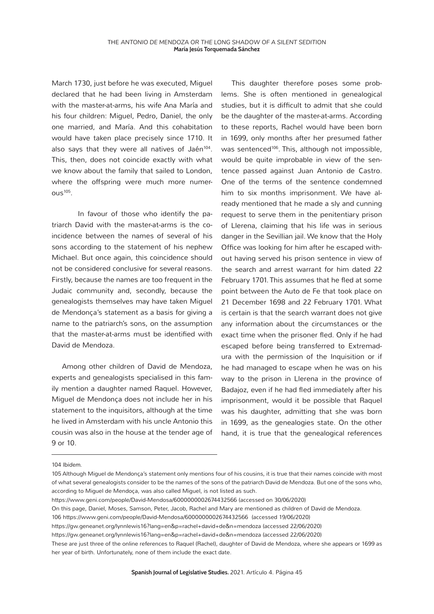March 1730, just before he was executed, Miguel declared that he had been living in Amsterdam with the master-at-arms, his wife Ana María and his four children: Miguel, Pedro, Daniel, the only one married, and María. And this cohabitation would have taken place precisely since 1710. It also says that they were all natives of Jaén<sup>104</sup>. This, then, does not coincide exactly with what we know about the family that sailed to London, where the offspring were much more numer- $OUS<sup>105</sup>$ .

In favour of those who identify the patriarch David with the master-at-arms is the coincidence between the names of several of his sons according to the statement of his nephew Michael. But once again, this coincidence should not be considered conclusive for several reasons. Firstly, because the names are too frequent in the Judaic community and, secondly, because the genealogists themselves may have taken Miguel de Mendonça's statement as a basis for giving a name to the patriarch's sons, on the assumption that the master-at-arms must be identified with David de Mendoza.

Among other children of David de Mendoza, experts and genealogists specialised in this family mention a daughter named Raquel. However, Miguel de Mendonça does not include her in his statement to the inquisitors, although at the time he lived in Amsterdam with his uncle Antonio this cousin was also in the house at the tender age of 9 or 10.

This daughter therefore poses some problems. She is often mentioned in genealogical studies, but it is difficult to admit that she could be the daughter of the master-at-arms. According to these reports, Rachel would have been born in 1699, only months after her presumed father was sentenced<sup>106</sup>. This, although not impossible, would be quite improbable in view of the sentence passed against Juan Antonio de Castro. One of the terms of the sentence condemned him to six months imprisonment. We have already mentioned that he made a sly and cunning request to serve them in the penitentiary prison of Llerena, claiming that his life was in serious danger in the Sevillian jail. We know that the Holy Office was looking for him after he escaped without having served his prison sentence in view of the search and arrest warrant for him dated 22 February 1701. This assumes that he fled at some point between the Auto de Fe that took place on 21 December 1698 and 22 February 1701. What is certain is that the search warrant does not give any information about the circumstances or the exact time when the prisoner fled. Only if he had escaped before being transferred to Extremadura with the permission of the Inquisition or if he had managed to escape when he was on his way to the prison in Llerena in the province of Badajoz, even if he had fled immediately after his imprisonment, would it be possible that Raquel was his daughter, admitting that she was born in 1699, as the genealogies state. On the other hand, it is true that the genealogical references

104 *Ibidem.*

https://www.geni.com/people/David-Mendosa/6000000002674432566 (accessed on 30/06/2020)

<sup>105</sup> Although Miguel de Mendonça's statement only mentions four of his cousins, it is true that their names coincide with most of what several genealogists consider to be the names of the sons of the patriarch David de Mendoza. But one of the sons who, according to Miguel de Mendoça, was also called Miguel, is not listed as such.

On this page, Daniel, Moses, Samson, Peter, Jacob, Rachel and Mary are mentioned as children of David de Mendoza.

<sup>106</sup> https://www.geni.com/people/David-Mendosa/6000000002674432566 (accessed 19/06/2020)

https://gw.geneanet.org/lynnlewis16?lang=en&p=rachel+david+de&n=mendoza (accessed 22/06/2020)

https://gw.geneanet.org/lynnlewis16?lang=en&p=rachel+david+de&n=mendoza (accessed 22/06/2020)

These are just three of the online references to Raquel (Rachel), daughter of David de Mendoza, where she appears or 1699 as her year of birth. Unfortunately, none of them include the exact date.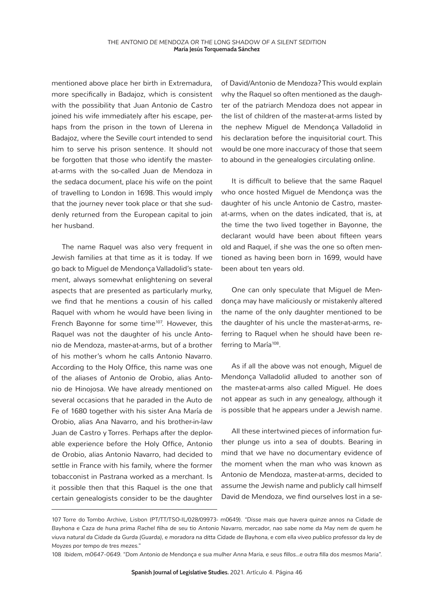mentioned above place her birth in Extremadura, more specifically in Badajoz, which is consistent with the possibility that Juan Antonio de Castro joined his wife immediately after his escape, perhaps from the prison in the town of Llerena in Badajoz, where the Seville court intended to send him to serve his prison sentence. It should not be forgotten that those who identify the masterat-arms with the so-called Juan de Mendoza in the *sedaca* document*,* place his wife on the point of travelling to London in 1698. This would imply that the journey never took place or that she suddenly returned from the European capital to join her husband.

The name Raquel was also very frequent in Jewish families at that time as it is today. If we go back to Miguel de Mendonça Valladolid's statement, always somewhat enlightening on several aspects that are presented as particularly murky, we find that he mentions a cousin of his called Raquel with whom he would have been living in French Bayonne for some time<sup>107</sup>. However, this Raquel was not the daughter of his uncle Antonio de Mendoza, master-at-arms, but of a brother of his mother's whom he calls Antonio Navarro. According to the Holy Office, this name was one of the aliases of Antonio de Orobio, alias Antonio de Hinojosa. We have already mentioned on several occasions that he paraded in the Auto de Fe of 1680 together with his sister Ana María de Orobio, alias Ana Navarro, and his brother-in-law Juan de Castro y Torres. Perhaps after the deplorable experience before the Holy Office, Antonio de Orobio, alias Antonio Navarro, had decided to settle in France with his family, where the former tobacconist in Pastrana worked as a merchant. Is it possible then that this Raquel is the one that certain genealogists consider to be the daughter

of David/Antonio de Mendoza? This would explain why the Raquel so often mentioned as the daughter of the patriarch Mendoza does not appear in the list of children of the master-at-arms listed by the nephew Miguel de Mendonça Valladolid in his declaration before the inquisitorial court. This would be one more inaccuracy of those that seem to abound in the genealogies circulating *online*.

It is difficult to believe that the same Raquel who once hosted Miguel de Mendonça was the daughter of his uncle Antonio de Castro, masterat-arms, when on the dates indicated, that is, at the time the two lived together in Bayonne, the declarant would have been about fifteen years old and Raquel, if she was the one so often mentioned as having been born in 1699, would have been about ten years old.

One can only speculate that Miguel de Mendonça may have maliciously or mistakenly altered the name of the only daughter mentioned to be the daughter of his uncle the master-at-arms, referring to Raquel when he should have been referring to María<sup>108</sup>.

As if all the above was not enough, Miguel de Mendonça Valladolid alluded to another son of the master-at-arms also called Miguel. He does not appear as such in any genealogy, although it is possible that he appears under a Jewish name.

All these intertwined pieces of information further plunge us into a sea of doubts. Bearing in mind that we have no documentary evidence of the moment when the man who was known as Antonio de Mendoza, master-at-arms, decided to assume the Jewish name and publicly call himself David de Mendoza, we find ourselves lost in a se-

<sup>107</sup> Torre do Tombo Archive, Lisbon (PT/TT/TSO-IL/028/09973- m0649). *"Disse mais que havera quinze annos na Cidade de Bayhona e Caza de huna prima Rachel filha de seu tio Antonio Navarro, mercador, nao sabe nome da May nem de quem he viuva natural da Cidade da Gurda (Guarda), e moradora na ditta Cidade de Bayhona, e com ella viveo publico professor da ley de Moyzes por tempo de tres mezes."*

<sup>108</sup> *Ibidem, m0647-0649. "Dom Antonio de Mendonça e sua mulher Anna Maria, e seus fillos...e outra filla dos mesmos Maria".*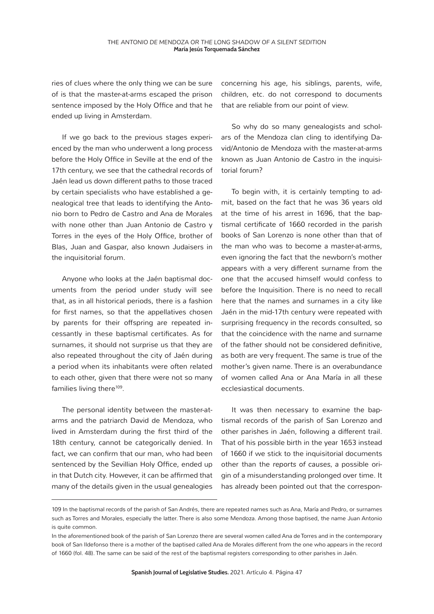ries of clues where the only thing we can be sure of is that the master-at-arms escaped the prison sentence imposed by the Holy Office and that he ended up living in Amsterdam.

If we go back to the previous stages experienced by the man who underwent a long process before the Holy Office in Seville at the end of the 17th century, we see that the cathedral records of Jaén lead us down different paths to those traced by certain specialists who have established a genealogical tree that leads to identifying the Antonio born to Pedro de Castro and Ana de Morales with none other than Juan Antonio de Castro y Torres in the eyes of the Holy Office, brother of Blas, Juan and Gaspar, also known Judaisers in the inquisitorial forum.

Anyone who looks at the Jaén baptismal documents from the period under study will see that, as in all historical periods, there is a fashion for first names, so that the appellatives chosen by parents for their offspring are repeated incessantly in these baptismal certificates. As for surnames, it should not surprise us that they are also repeated throughout the city of Jaén during a period when its inhabitants were often related to each other, given that there were not so many families living there<sup>109</sup>.

The personal identity between the master-atarms and the patriarch David de Mendoza, who lived in Amsterdam during the first third of the 18th century, cannot be categorically denied. In fact, we can confirm that our man, who had been sentenced by the Sevillian Holy Office, ended up in that Dutch city. However, it can be affirmed that many of the details given in the usual genealogies

concerning his age, his siblings, parents, wife, children, etc. do not correspond to documents that are reliable from our point of view.

So why do so many genealogists and scholars of the Mendoza clan cling to identifying David/Antonio de Mendoza with the master-at-arms known as Juan Antonio de Castro in the inquisitorial forum?

To begin with, it is certainly tempting to admit, based on the fact that he was 36 years old at the time of his arrest in 1696, that the baptismal certificate of 1660 recorded in the parish books of San Lorenzo is none other than that of the man who was to become a master-at-arms, even ignoring the fact that the newborn's mother appears with a very different surname from the one that the accused himself would confess to before the Inquisition. There is no need to recall here that the names and surnames in a city like Jaén in the mid-17th century were repeated with surprising frequency in the records consulted, so that the coincidence with the name and surname of the father should not be considered definitive, as both are very frequent. The same is true of the mother's given name. There is an overabundance of women called Ana or Ana María in all these ecclesiastical documents.

It was then necessary to examine the baptismal records of the parish of San Lorenzo and other parishes in Jaén, following a different trail. That of his possible birth in the year 1653 instead of 1660 if we stick to the inquisitorial documents other than the *reports of causes, a* possible origin of a misunderstanding prolonged over time. It has already been pointed out that the correspon-

<sup>109</sup> In the baptismal records of the parish of San Andrés, there are repeated names such as Ana, María and Pedro, or surnames such as Torres and Morales, especially the latter. There is also some Mendoza. Among those baptised, the name Juan Antonio is quite common.

In the aforementioned book of the parish of San Lorenzo there are several women called Ana de Torres and in the contemporary book of San Ildefonso there is a mother of the baptised called Ana de Morales different from the one who appears in the record of 1660 (fol. 48). The same can be said of the rest of the baptismal registers corresponding to other parishes in Jaén.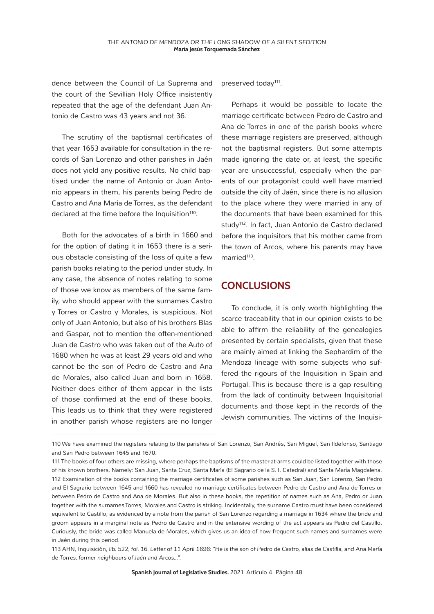dence between the Council of La Suprema and the court of the Sevillian Holy Office insistently repeated that the age of the defendant Juan Antonio de Castro was 43 years and not 36.

The scrutiny of the baptismal certificates of that year 1653 available for consultation in the records of San Lorenzo and other parishes in Jaén does not yield any positive results. No child baptised under the name of Antonio or Juan Antonio appears in them, his parents being Pedro de Castro and Ana María de Torres, as the defendant declared at the time before the Inquisition<sup>110</sup>.

Both for the advocates of a birth in 1660 and for the option of dating it in 1653 there is a serious obstacle consisting of the loss of quite a few parish books relating to the period under study. In any case, the absence of notes relating to some of those we know as members of the same family, who should appear with the surnames Castro y Torres or Castro y Morales, is suspicious. Not only of Juan Antonio, but also of his brothers Blas and Gaspar, not to mention the often-mentioned Juan de Castro who was taken out of the Auto of 1680 when he was at least 29 years old and who cannot be the son of Pedro de Castro and Ana de Morales, also called Juan and born in 1658. Neither does either of them appear in the lists of those confirmed at the end of these books. This leads us to think that they were registered in another parish whose registers are no longer

preserved today<sup>111</sup>.

Perhaps it would be possible to locate the marriage certificate between Pedro de Castro and Ana de Torres in one of the parish books where these marriage registers are preserved, although not the baptismal registers. But some attempts made ignoring the date or, at least, the specific year are unsuccessful, especially when the parents of our protagonist could well have married outside the city of Jaén, since there is no allusion to the place where they were married in any of the documents that have been examined for this study<sup>112</sup>. In fact, Juan Antonio de Castro declared before the inquisitors that his mother came from the town of Arcos, where his parents may have married $113$ .

#### **CONCLUSIONS**

To conclude, it is only worth highlighting the scarce traceability that in our opinion exists to be able to affirm the reliability of the genealogies presented by certain specialists, given that these are mainly aimed at linking the Sephardim of the Mendoza lineage with some subjects who suffered the rigours of the Inquisition in Spain and Portugal. This is because there is a gap resulting from the lack of continuity between Inquisitorial documents and those kept in the records of the Jewish communities. The victims of the Inquisi-

<sup>110</sup> We have examined the registers relating to the parishes of San Lorenzo, San Andrés, San Miguel, San Ildefonso, Santiago and San Pedro between 1645 and 1670.

<sup>111</sup> The books of four others are missing, where perhaps the baptisms of the master-at-arms could be listed together with those of his known brothers. Namely: San Juan, Santa Cruz, Santa María (El Sagrario de la S. I. Catedral) and Santa María Magdalena. 112 Examination of the books containing the marriage certificates of some parishes such as San Juan, San Lorenzo, San Pedro and El Sagrario between 1645 and 1660 has revealed no marriage certificates between Pedro de Castro and Ana de Torres or between Pedro de Castro and Ana de Morales. But also in these books, the repetition of names such as Ana, Pedro or Juan together with the surnames Torres, Morales and Castro is striking. Incidentally, the surname Castro must have been considered equivalent to Castillo, as evidenced by a note from the parish of San Lorenzo regarding a marriage in 1634 where the bride and groom appears in a marginal note as Pedro de Castro and in the extensive wording of the act appears as Pedro del Castillo. Curiously, the bride was called Manuela de Morales, which gives us an idea of how frequent such names and surnames were in Jaén during this period.

<sup>113</sup> AHN, Inquisición, *lib. 522, fol. 16. Letter of 11 April 1696: "He is the son of Pedro de Castro, alias de Castilla, and Ana María de Torres, former neighbours of Jaén and Arcos...".*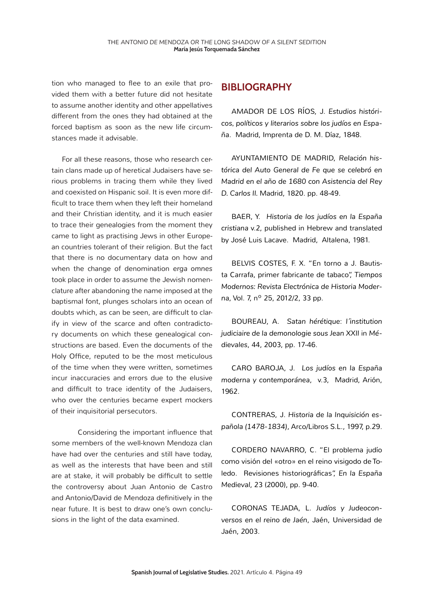tion who managed to flee to an exile that provided them with a better future did not hesitate to assume another identity and other appellatives different from the ones they had obtained at the forced baptism as soon as the new life circumstances made it advisable.

For all these reasons, those who research certain clans made up of heretical Judaisers have serious problems in tracing them while they lived and coexisted on Hispanic soil. It is even more difficult to trace them when they left their homeland and their Christian identity, and it is much easier to trace their genealogies from the moment they came to light as practising Jews in other European countries tolerant of their religion. But the fact that there is no documentary data on how and when the change of denomination *erga omnes*  took place in order to assume the Jewish nomenclature after abandoning the name imposed at the baptismal font, plunges scholars into an ocean of doubts which, as can be seen, are difficult to clarify in view of the scarce and often contradictory documents on which these genealogical constructions are based. Even the documents of the Holy Office, reputed to be the most meticulous of the time when they were written, sometimes incur inaccuracies and errors due to the elusive and difficult to trace identity of the Judaisers, who over the centuries became expert mockers of their inquisitorial persecutors.

Considering the important influence that some members of the well-known Mendoza clan have had over the centuries and still have today, as well as the interests that have been and still are at stake, it will probably be difficult to settle the controversy about Juan Antonio de Castro and Antonio/David de Mendoza definitively in the near future. It is best to draw one's own conclusions in the light of the data examined.

#### **BIBLIOGRAPHY**

AMADOR DE LOS RÍOS, J. *Estudios históricos, políticos y literarios sobre los judíos en España*. Madrid, Imprenta de D. M. Díaz, 1848.

AYUNTAMIENTO DE MADRID, *Relación histórica del Auto General de Fe que se celebró en Madrid en el año de 1680 con Asistencia del Rey D. Carlos II.* Madrid, 1820. pp. 48-49.

BAER, Y. *Historia de los judíos en la España cristiana* v.2, published in Hebrew and translated by José Luis Lacave. Madrid, Altalena, 1981.

BELVIS COSTES, F. X. "En torno a J. Bautista Carrafa, primer fabricante de tabaco", *Tiempos Modernos: Revista Electrónica de Historia Moderna*, Vol. 7, nº 25, 2012/2, 33 pp.

BOUREAU, A. *Satan hérétique*: *l´institution judiciaire de la demonologie sous Jean XXII* in *Médievales*, 44, 2003, pp. 17-46.

CARO BAROJA, J. *Los judíos en la España moderna y contemporánea*, v.3, Madrid, Arión, 1962.

CONTRERAS, J. *Historia de la Inquisición española (1478-1834)*, Arco/Libros S.L., 1997, p.29.

CORDERO NAVARRO, C. "El problema judío como visión del «otro» en el reino visigodo de Toledo. Revisiones historiográficas", *En la España Medieval*, 23 (2000), pp. 9-40.

CORONAS TEJADA, L. *Judíos y Judeoconversos en el reino de Jaén*, Jaén, Universidad de Jaén, 2003.